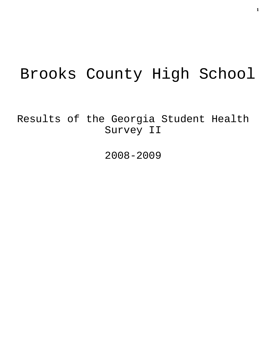# Brooks County High School

Results of the Georgia Student Health Survey II

2008-2009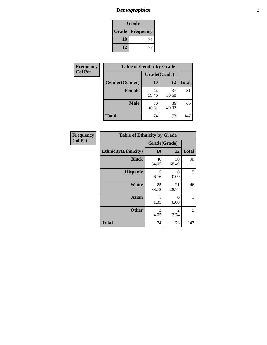# *Demographics* **2**

| Grade                    |    |  |  |
|--------------------------|----|--|--|
| <b>Grade   Frequency</b> |    |  |  |
| 10                       | 74 |  |  |
| 12                       | 73 |  |  |

| Frequency      | <b>Table of Gender by Grade</b> |              |             |              |  |
|----------------|---------------------------------|--------------|-------------|--------------|--|
| <b>Col Pct</b> |                                 | Grade(Grade) |             |              |  |
|                | Gender(Gender)                  | 10           | 12          | <b>Total</b> |  |
|                | <b>Female</b>                   | 44<br>59.46  | 37<br>50.68 | 81           |  |
|                | <b>Male</b>                     | 30<br>40.54  | 36<br>49.32 | 66           |  |
|                | <b>Total</b>                    | 74           | 73          | 147          |  |

| <b>Frequency</b> |  |
|------------------|--|
| Col Pct          |  |

| <b>Table of Ethnicity by Grade</b> |              |             |              |  |  |  |
|------------------------------------|--------------|-------------|--------------|--|--|--|
|                                    | Grade(Grade) |             |              |  |  |  |
| <b>Ethnicity</b> (Ethnicity)       | 10           | 12          | <b>Total</b> |  |  |  |
| <b>Black</b>                       | 40<br>54.05  | 50<br>68.49 | 90           |  |  |  |
| <b>Hispanic</b>                    | 5<br>6.76    | 0<br>0.00   | 5            |  |  |  |
| <b>White</b>                       | 25<br>33.78  | 21<br>28.77 | 46           |  |  |  |
| <b>Asian</b>                       | 1.35         | 0<br>0.00   | 1            |  |  |  |
| <b>Other</b>                       | 3<br>4.05    | 2<br>2.74   | 5            |  |  |  |
| <b>Total</b>                       | 74           | 73          | 147          |  |  |  |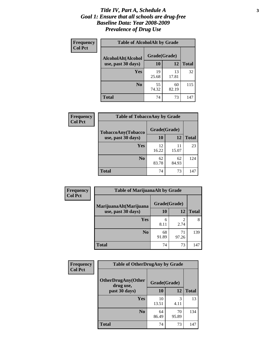### *Title IV, Part A, Schedule A* **3** *Goal 1: Ensure that all schools are drug-free Baseline Data: Year 2008-2009 Prevalence of Drug Use*

| Frequency<br><b>Col Pct</b> | <b>Table of AlcoholAlt by Grade</b> |              |             |              |  |
|-----------------------------|-------------------------------------|--------------|-------------|--------------|--|
|                             | AlcoholAlt(Alcohol                  | Grade(Grade) |             |              |  |
|                             | use, past 30 days)                  | 10           | 12          | <b>Total</b> |  |
|                             | Yes                                 | 19<br>25.68  | 13<br>17.81 | 32           |  |
|                             | N <sub>0</sub>                      | 55<br>74.32  | 60<br>82.19 | 115          |  |
|                             | <b>Total</b>                        | 74           | 73          | 147          |  |

| Frequency<br><b>Col Pct</b> | <b>Table of TobaccoAny by Grade</b> |              |             |              |  |
|-----------------------------|-------------------------------------|--------------|-------------|--------------|--|
|                             | <b>TobaccoAny(Tobacco</b>           | Grade(Grade) |             |              |  |
|                             | use, past 30 days)                  | 10           | 12          | <b>Total</b> |  |
|                             | Yes                                 | 12<br>16.22  | 11<br>15.07 | 23           |  |
|                             | N <sub>0</sub>                      | 62<br>83.78  | 62<br>84.93 | 124          |  |
|                             | <b>Total</b>                        | 74           | 73          | 147          |  |

| Frequency<br><b>Col Pct</b> | <b>Table of MarijuanaAlt by Grade</b> |              |                        |              |  |
|-----------------------------|---------------------------------------|--------------|------------------------|--------------|--|
|                             | MarijuanaAlt(Marijuana                | Grade(Grade) |                        |              |  |
|                             | use, past 30 days)                    | 10           | 12                     | <b>Total</b> |  |
|                             | <b>Yes</b>                            | 6<br>8.11    | $\mathfrak{D}$<br>2.74 | 8            |  |
|                             | N <sub>0</sub>                        | 68<br>91.89  | 71<br>97.26            | 139          |  |
|                             | <b>Total</b>                          | 74           | 73                     | 147          |  |

| Frequency      | <b>Table of OtherDrugAny by Grade</b>  |              |             |              |  |
|----------------|----------------------------------------|--------------|-------------|--------------|--|
| <b>Col Pct</b> | <b>OtherDrugAny(Other</b><br>drug use, | Grade(Grade) |             |              |  |
|                | past 30 days)                          | 10           | 12          | <b>Total</b> |  |
|                | Yes                                    | 10<br>13.51  | 3<br>4.11   | 13           |  |
|                | N <sub>0</sub>                         | 64<br>86.49  | 70<br>95.89 | 134          |  |
|                | <b>Total</b>                           | 74           | 73          | 147          |  |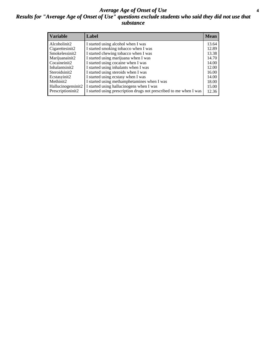### *Average Age of Onset of Use* **4** *Results for "Average Age of Onset of Use" questions exclude students who said they did not use that substance*

| <b>Variable</b>    | Label                                                              | <b>Mean</b> |
|--------------------|--------------------------------------------------------------------|-------------|
| Alcoholinit2       | I started using alcohol when I was                                 | 13.64       |
| Cigarettesinit2    | I started smoking tobacco when I was                               | 12.89       |
| Smokelessinit2     | I started chewing tobacco when I was                               | 13.38       |
| Marijuanainit2     | I started using marijuana when I was                               | 14.70       |
| Cocaineinit2       | I started using cocaine when I was                                 | 14.00       |
| Inhalantsinit2     | I started using inhalants when I was                               | 12.00       |
| Steroidsinit2      | I started using steroids when I was                                | 16.00       |
| Ecstasyinit2       | I started using ecstasy when I was                                 | 14.00       |
| Methinit2          | I started using methamphetamines when I was                        | 18.00       |
| Hallucinogensinit2 | I started using hallucinogens when I was                           | 15.00       |
| Prescriptioninit2  | I started using prescription drugs not prescribed to me when I was | 12.36       |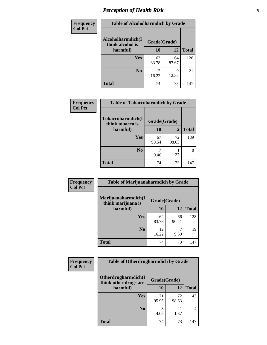# *Perception of Health Risk* **5**

| Frequency      | <b>Table of Alcoholharmdich by Grade</b> |              |             |              |  |
|----------------|------------------------------------------|--------------|-------------|--------------|--|
| <b>Col Pct</b> | Alcoholharmdich(I<br>think alcohol is    | Grade(Grade) |             |              |  |
|                | harmful)                                 | 10           | 12          | <b>Total</b> |  |
|                | <b>Yes</b>                               | 62<br>83.78  | 64<br>87.67 | 126          |  |
|                | N <sub>0</sub>                           | 12<br>16.22  | q<br>12.33  | 21           |  |
|                | <b>Total</b>                             | 74           | 73          | 147          |  |

| Frequency      | <b>Table of Tobaccoharmdich by Grade</b> |              |             |              |  |  |
|----------------|------------------------------------------|--------------|-------------|--------------|--|--|
| <b>Col Pct</b> | Tobaccoharmdich(I<br>think tobacco is    | Grade(Grade) |             |              |  |  |
|                | harmful)                                 | 10           | 12          | <b>Total</b> |  |  |
|                | <b>Yes</b>                               | 67<br>90.54  | 72<br>98.63 | 139          |  |  |
|                | N <sub>0</sub>                           | 9.46         | 1.37        | 8            |  |  |
|                | <b>Total</b>                             | 74           | 73          | 147          |  |  |

| Frequency      | <b>Table of Marijuanaharmdich by Grade</b> |              |             |              |  |  |
|----------------|--------------------------------------------|--------------|-------------|--------------|--|--|
| <b>Col Pct</b> | Marijuanaharmdich(I<br>think marijuana is  | Grade(Grade) |             |              |  |  |
|                | harmful)                                   | <b>10</b>    | 12          | <b>Total</b> |  |  |
|                | Yes                                        | 62<br>83.78  | 66<br>90.41 | 128          |  |  |
|                | N <sub>0</sub>                             | 12<br>16.22  | ┑<br>9.59   | 19           |  |  |
|                | <b>Total</b>                               | 74           | 73          | 147          |  |  |

| <b>Frequency</b> | <b>Table of Otherdrugharmdich by Grade</b>   |              |             |              |  |  |
|------------------|----------------------------------------------|--------------|-------------|--------------|--|--|
| <b>Col Pct</b>   | Otherdrugharmdich(I<br>think other drugs are | Grade(Grade) |             |              |  |  |
|                  | harmful)                                     | 10           | 12          | <b>Total</b> |  |  |
|                  | Yes                                          | 71<br>95.95  | 72<br>98.63 | 143          |  |  |
|                  | N <sub>0</sub>                               | 4.05         | 1.37        | 4            |  |  |
|                  | <b>Total</b>                                 | 74           | 73          | 147          |  |  |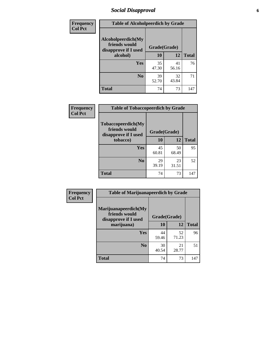# *Social Disapproval* **6**

| Frequency      | <b>Table of Alcoholpeerdich by Grade</b>                    |              |             |              |  |  |  |
|----------------|-------------------------------------------------------------|--------------|-------------|--------------|--|--|--|
| <b>Col Pct</b> | Alcoholpeerdich(My<br>friends would<br>disapprove if I used | Grade(Grade) |             |              |  |  |  |
|                | alcohol)                                                    | 10           | 12          | <b>Total</b> |  |  |  |
|                | <b>Yes</b>                                                  | 35<br>47.30  | 41<br>56.16 | 76           |  |  |  |
|                | N <sub>0</sub>                                              | 39<br>52.70  | 32<br>43.84 | 71           |  |  |  |
|                | <b>Total</b>                                                | 74           | 73          | 147          |  |  |  |

| <b>Frequency</b> |
|------------------|
| <b>Col Pct</b>   |

| <b>Table of Tobaccopeerdich by Grade</b>                    |              |             |              |  |  |
|-------------------------------------------------------------|--------------|-------------|--------------|--|--|
| Tobaccopeerdich(My<br>friends would<br>disapprove if I used | Grade(Grade) |             |              |  |  |
| tobacco)                                                    | 10           | 12          | <b>Total</b> |  |  |
| Yes                                                         | 45<br>60.81  | 50<br>68.49 | 95           |  |  |
| N <sub>0</sub>                                              | 29<br>39.19  | 23<br>31.51 | 52           |  |  |
| <b>Total</b>                                                | 74           | 73          | 147          |  |  |

| Frequency      | <b>Table of Marijuanapeerdich by Grade</b>                    |              |             |              |  |  |
|----------------|---------------------------------------------------------------|--------------|-------------|--------------|--|--|
| <b>Col Pct</b> | Marijuanapeerdich(My<br>friends would<br>disapprove if I used | Grade(Grade) |             |              |  |  |
|                | marijuana)                                                    | 10           | 12          | <b>Total</b> |  |  |
|                | <b>Yes</b>                                                    | 44<br>59.46  | 52<br>71.23 | 96           |  |  |
|                | N <sub>0</sub>                                                | 30<br>40.54  | 21<br>28.77 | 51           |  |  |
|                | <b>Total</b>                                                  | 74           | 73          | 147          |  |  |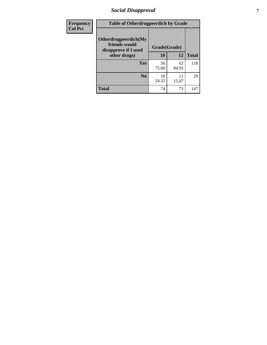# *Social Disapproval* **7**

| Frequency      | <b>Table of Otherdrugpeerdich by Grade</b>                    |              |             |              |  |  |  |
|----------------|---------------------------------------------------------------|--------------|-------------|--------------|--|--|--|
| <b>Col Pct</b> | Otherdrugpeerdich(My<br>friends would<br>disapprove if I used | Grade(Grade) |             |              |  |  |  |
|                | other drugs)                                                  | 10           | 12          | <b>Total</b> |  |  |  |
|                | Yes                                                           | 56<br>75.68  | 62<br>84.93 | 118          |  |  |  |
|                | N <sub>0</sub>                                                | 18<br>24.32  | 11<br>15.07 | 29           |  |  |  |
|                | <b>Total</b>                                                  | 74           | 73          | 147          |  |  |  |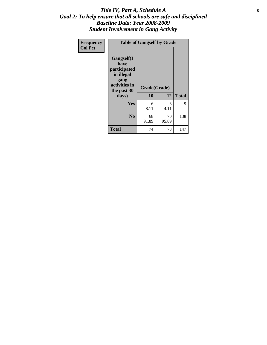### Title IV, Part A, Schedule A **8** *Goal 2: To help ensure that all schools are safe and disciplined Baseline Data: Year 2008-2009 Student Involvement in Gang Activity*

| Frequency      | <b>Table of Gangself by Grade</b>                                                                 |                    |             |              |  |  |
|----------------|---------------------------------------------------------------------------------------------------|--------------------|-------------|--------------|--|--|
| <b>Col Pct</b> | Gangself(I<br>have<br>participated<br>in illegal<br>gang<br>activities in<br>the past 30<br>days) | Grade(Grade)<br>10 | 12          | <b>Total</b> |  |  |
|                | Yes                                                                                               | 6<br>8.11          | 3<br>4.11   | 9            |  |  |
|                | N <sub>0</sub>                                                                                    | 68<br>91.89        | 70<br>95.89 | 138          |  |  |
|                | <b>Total</b>                                                                                      | 74                 | 73          | 147          |  |  |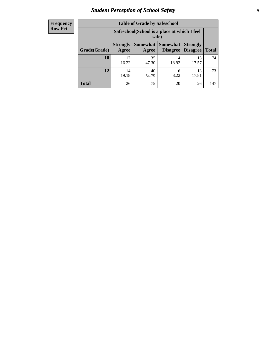# *Student Perception of School Safety* **9**

| <b>Frequency</b><br>Row Pct |
|-----------------------------|
|                             |

| <b>Table of Grade by Safeschool</b> |                                                                                                                                             |                                                        |             |             |     |  |
|-------------------------------------|---------------------------------------------------------------------------------------------------------------------------------------------|--------------------------------------------------------|-------------|-------------|-----|--|
|                                     |                                                                                                                                             | Safeschool (School is a place at which I feel<br>safe) |             |             |     |  |
| Grade(Grade)                        | Somewhat  <br><b>Somewhat</b><br><b>Strongly</b><br><b>Strongly</b><br><b>Disagree</b><br><b>Agree</b><br>Disagree<br><b>Total</b><br>Agree |                                                        |             |             |     |  |
| 10                                  | 12<br>16.22                                                                                                                                 | 35<br>47.30                                            | 14<br>18.92 | 13<br>17.57 | 74  |  |
| 12                                  | 14<br>19.18                                                                                                                                 | 40<br>54.79                                            | 6<br>8.22   | 13<br>17.81 | 73  |  |
| <b>Total</b>                        | 26                                                                                                                                          | 75                                                     | 20          | 26          | 147 |  |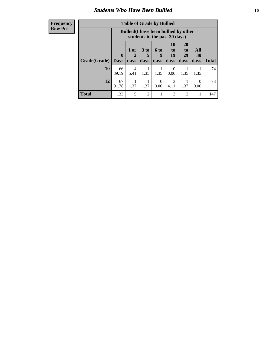### *Students Who Have Been Bullied* **10**

### **Frequency Row Pct**

| <b>Table of Grade by Bullied</b> |                  |                                                                               |                              |                   |                               |                               |                   |              |
|----------------------------------|------------------|-------------------------------------------------------------------------------|------------------------------|-------------------|-------------------------------|-------------------------------|-------------------|--------------|
|                                  |                  | <b>Bullied</b> (I have been bullied by other<br>students in the past 30 days) |                              |                   |                               |                               |                   |              |
| Grade(Grade)                     | 0<br><b>Days</b> | 1 or<br>days                                                                  | 3 <sub>to</sub><br>5<br>days | 6 to<br>9<br>days | <b>10</b><br>to<br>19<br>days | <b>20</b><br>to<br>29<br>days | All<br>30<br>days | <b>Total</b> |
| 10                               | 66<br>89.19      | 4<br>5.41                                                                     | 1.35                         | 1.35              | 0<br>0.00                     | 1.35                          | 1.35              | 74           |
| 12                               | 67<br>91.78      | 1.37                                                                          | 1.37                         | $\Omega$<br>0.00  | 3<br>4.11                     | 1.37                          | $\theta$<br>0.00  | 73           |
| <b>Total</b>                     | 133              | 5                                                                             | $\overline{2}$               |                   | 3                             | $\overline{2}$                |                   | 147          |

 $\blacksquare$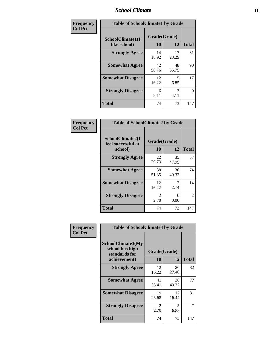### *School Climate* **11**

| Frequency      | <b>Table of SchoolClimate1 by Grade</b> |                    |             |              |  |  |
|----------------|-----------------------------------------|--------------------|-------------|--------------|--|--|
| <b>Col Pct</b> | SchoolClimate1(I<br>like school)        | Grade(Grade)<br>10 | 12          | <b>Total</b> |  |  |
|                | <b>Strongly Agree</b>                   | 14<br>18.92        | 17<br>23.29 | 31           |  |  |
|                | <b>Somewhat Agree</b>                   | 42<br>56.76        | 48<br>65.75 | 90           |  |  |
|                | <b>Somewhat Disagree</b>                | 12<br>16.22        | 5<br>6.85   | 17           |  |  |
|                | <b>Strongly Disagree</b>                | 6<br>8.11          | 3<br>4.11   | 9            |  |  |
|                | <b>Total</b>                            | 74                 | 73          | 147          |  |  |

| <b>Frequency</b> |
|------------------|
| <b>Col Pct</b>   |

| <b>Table of SchoolClimate2 by Grade</b>           |                       |                        |              |  |
|---------------------------------------------------|-----------------------|------------------------|--------------|--|
| SchoolClimate2(I<br>feel successful at<br>school) | 10                    | Grade(Grade)<br>12     | <b>Total</b> |  |
| <b>Strongly Agree</b>                             | 22<br>29.73           | 35<br>47.95            | 57           |  |
| <b>Somewhat Agree</b>                             | 38<br>51.35           | 36<br>49.32            | 74           |  |
| <b>Somewhat Disagree</b>                          | 12<br>16.22           | $\mathfrak{D}$<br>2.74 | 14           |  |
| <b>Strongly Disagree</b>                          | $\mathcal{L}$<br>2.70 | 0<br>0.00              | 2            |  |
| <b>Total</b>                                      | 74                    | 73                     | 147          |  |

| Frequency      | <b>Table of SchoolClimate3 by Grade</b>                                      |                           |             |              |  |
|----------------|------------------------------------------------------------------------------|---------------------------|-------------|--------------|--|
| <b>Col Pct</b> | <b>SchoolClimate3(My</b><br>school has high<br>standards for<br>achievement) | Grade(Grade)<br><b>10</b> | 12          | <b>Total</b> |  |
|                |                                                                              |                           |             |              |  |
|                | <b>Strongly Agree</b>                                                        | 12<br>16.22               | 20<br>27.40 | 32           |  |
|                | <b>Somewhat Agree</b>                                                        | 41<br>55.41               | 36<br>49.32 | 77           |  |
|                | <b>Somewhat Disagree</b>                                                     | 19<br>25.68               | 12<br>16.44 | 31           |  |
|                | <b>Strongly Disagree</b>                                                     | $\mathfrak{D}$<br>2.70    | 5<br>6.85   | 7            |  |
|                | Total                                                                        | 74                        | 73          | 147          |  |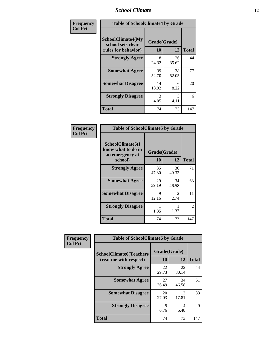### *School Climate* **12**

| Frequency      | <b>Table of SchoolClimate4 by Grade</b>                              |                    |             |              |
|----------------|----------------------------------------------------------------------|--------------------|-------------|--------------|
| <b>Col Pct</b> | <b>SchoolClimate4(My</b><br>school sets clear<br>rules for behavior) | Grade(Grade)<br>10 | 12          | <b>Total</b> |
|                | <b>Strongly Agree</b>                                                | 18<br>24.32        | 26<br>35.62 | 44           |
|                | <b>Somewhat Agree</b>                                                | 39<br>52.70        | 38<br>52.05 | 77           |
|                | <b>Somewhat Disagree</b>                                             | 14<br>18.92        | 6<br>8.22   | 20           |
|                | <b>Strongly Disagree</b>                                             | 3<br>4.05          | 3<br>4.11   | 6            |
|                | <b>Total</b>                                                         | 74                 | 73          | 147          |

| <b>Table of SchoolClimate5 by Grade</b>                   |              |                        |              |  |  |
|-----------------------------------------------------------|--------------|------------------------|--------------|--|--|
| SchoolClimate5(I<br>know what to do in<br>an emergency at | Grade(Grade) |                        |              |  |  |
| school)                                                   | 10           | 12                     | <b>Total</b> |  |  |
| <b>Strongly Agree</b>                                     | 35<br>47.30  | 36<br>49.32            | 71           |  |  |
| <b>Somewhat Agree</b>                                     | 29<br>39.19  | 34<br>46.58            | 63           |  |  |
| <b>Somewhat Disagree</b>                                  | 9<br>12.16   | $\mathfrak{D}$<br>2.74 | 11           |  |  |
| <b>Strongly Disagree</b>                                  | 1.35         | 1.37                   | 2            |  |  |
| <b>Total</b>                                              | 74           | 73                     | 147          |  |  |

| Frequency      | <b>Table of SchoolClimate6 by Grade</b>                  |                    |             |              |  |
|----------------|----------------------------------------------------------|--------------------|-------------|--------------|--|
| <b>Col Pct</b> | <b>SchoolClimate6(Teachers</b><br>treat me with respect) | Grade(Grade)<br>10 | 12          | <b>Total</b> |  |
|                | <b>Strongly Agree</b>                                    | 22<br>29.73        | 22<br>30.14 | 44           |  |
|                | <b>Somewhat Agree</b>                                    | 27<br>36.49        | 34<br>46.58 | 61           |  |
|                | <b>Somewhat Disagree</b>                                 | 20<br>27.03        | 13<br>17.81 | 33           |  |
|                | <b>Strongly Disagree</b>                                 | 5<br>6.76          | 4<br>5.48   | 9            |  |
|                | <b>Total</b>                                             | 74                 | 73          | 147          |  |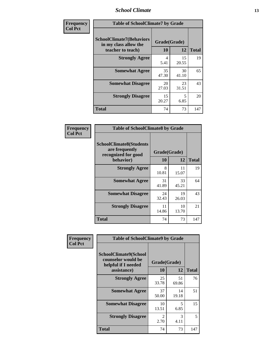### *School Climate* **13**

| Frequency      | <b>Table of SchoolClimate7 by Grade</b>                                       |                           |             |              |
|----------------|-------------------------------------------------------------------------------|---------------------------|-------------|--------------|
| <b>Col Pct</b> | <b>SchoolClimate7(Behaviors</b><br>in my class allow the<br>teacher to teach) | Grade(Grade)<br><b>10</b> | 12          | <b>Total</b> |
|                | <b>Strongly Agree</b>                                                         | 4<br>5.41                 | 15<br>20.55 | 19           |
|                | <b>Somewhat Agree</b>                                                         | 35<br>47.30               | 30<br>41.10 | 65           |
|                | <b>Somewhat Disagree</b>                                                      | 20<br>27.03               | 23<br>31.51 | 43           |
|                | <b>Strongly Disagree</b>                                                      | 15<br>20.27               | 5<br>6.85   | 20           |
|                | <b>Total</b>                                                                  | 74                        | 73          | 147          |

| Frequency      | <b>Table of SchoolClimate8 by Grade</b>                                              |                    |             |              |
|----------------|--------------------------------------------------------------------------------------|--------------------|-------------|--------------|
| <b>Col Pct</b> | <b>SchoolClimate8(Students</b><br>are frequently<br>recognized for good<br>behavior) | Grade(Grade)<br>10 | 12          | <b>Total</b> |
|                | <b>Strongly Agree</b>                                                                | 8<br>10.81         | 11<br>15.07 | 19           |
|                | <b>Somewhat Agree</b>                                                                | 31<br>41.89        | 33<br>45.21 | 64           |
|                | <b>Somewhat Disagree</b>                                                             | 24<br>32.43        | 19<br>26.03 | 43           |
|                | <b>Strongly Disagree</b>                                                             | 11<br>14.86        | 10<br>13.70 | 21           |
|                | <b>Total</b>                                                                         | 74                 | 73          | 147          |

| Frequency      | <b>Table of SchoolClimate9 by Grade</b>                                           |                        |             |              |
|----------------|-----------------------------------------------------------------------------------|------------------------|-------------|--------------|
| <b>Col Pct</b> | SchoolClimate9(School<br>counselor would be<br>helpful if I needed<br>assistance) | Grade(Grade)<br>10     | 12          | <b>Total</b> |
|                | <b>Strongly Agree</b>                                                             | 25<br>33.78            | 51<br>69.86 | 76           |
|                | <b>Somewhat Agree</b>                                                             | 37<br>50.00            | 14<br>19.18 | 51           |
|                | <b>Somewhat Disagree</b>                                                          | 10<br>13.51            | 5<br>6.85   | 15           |
|                | <b>Strongly Disagree</b>                                                          | $\mathfrak{D}$<br>2.70 | 3<br>4.11   | 5            |
|                | Total                                                                             | 74                     | 73          | 147          |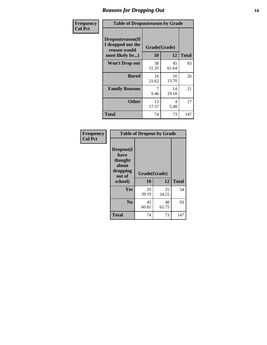### *Reasons for Dropping Out* **14**

| Frequency      | <b>Table of Dropoutreason by Grade</b>                |                    |             |              |
|----------------|-------------------------------------------------------|--------------------|-------------|--------------|
| <b>Col Pct</b> | Dropoutreason(If<br>I dropped out the<br>reason would | Grade(Grade)<br>10 | 12          | <b>Total</b> |
|                | most likely be)                                       | 38                 | 45          | 83           |
|                | <b>Won't Drop out</b>                                 | 51.35              | 61.64       |              |
|                | <b>Bored</b>                                          | 16<br>21.62        | 10<br>13.70 | 26           |
|                | <b>Family Reasons</b>                                 | 7<br>9.46          | 14<br>19.18 | 21           |
|                | <b>Other</b>                                          | 13<br>17.57        | 4<br>5.48   | 17           |
|                | <b>Total</b>                                          | 74                 | 73          | 147          |

| Frequency<br><b>Col Pct</b> | <b>Table of Dropout by Grade</b>                            |                    |             |              |  |
|-----------------------------|-------------------------------------------------------------|--------------------|-------------|--------------|--|
|                             | Dropout(I<br>have<br>thought<br>about<br>dropping<br>out of | Grade(Grade)<br>10 | 12          | <b>Total</b> |  |
|                             | school)                                                     |                    |             |              |  |
|                             | Yes                                                         | 29<br>39.19        | 25<br>34.25 | 54           |  |
|                             | N <sub>0</sub>                                              | 45<br>60.81        | 48<br>65.75 | 93           |  |
|                             | <b>Total</b>                                                | 74                 | 73          | 147          |  |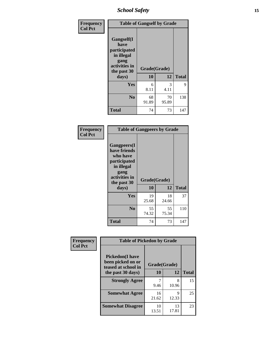*School Safety* **15**

| Frequency      | <b>Table of Gangself by Grade</b>                                                                 |                    |             |              |
|----------------|---------------------------------------------------------------------------------------------------|--------------------|-------------|--------------|
| <b>Col Pct</b> | Gangself(I<br>have<br>participated<br>in illegal<br>gang<br>activities in<br>the past 30<br>days) | Grade(Grade)<br>10 | 12          | <b>Total</b> |
|                | Yes                                                                                               | 6<br>8.11          | 3<br>4.11   | 9            |
|                | N <sub>0</sub>                                                                                    | 68<br>91.89        | 70<br>95.89 | 138          |
|                | <b>Total</b>                                                                                      | 74                 | 73          | 147          |

| Frequency<br><b>Col Pct</b> | <b>Table of Gangpeers by Grade</b>                                                                                             |                    |             |              |
|-----------------------------|--------------------------------------------------------------------------------------------------------------------------------|--------------------|-------------|--------------|
|                             | <b>Gangpeers</b> (I<br>have friends<br>who have<br>participated<br>in illegal<br>gang<br>activities in<br>the past 30<br>days) | Grade(Grade)<br>10 | 12          | <b>Total</b> |
|                             | <b>Yes</b>                                                                                                                     | 19                 | 18          | 37           |
|                             |                                                                                                                                | 25.68              | 24.66       |              |
|                             | N <sub>0</sub>                                                                                                                 | 55<br>74.32        | 55<br>75.34 | 110          |
|                             | <b>Total</b>                                                                                                                   | 74                 | 73          | 147          |

| Frequency      | <b>Table of Pickedon by Grade</b>                                  |              |             |              |
|----------------|--------------------------------------------------------------------|--------------|-------------|--------------|
| <b>Col Pct</b> | <b>Pickedon(I have</b><br>been picked on or<br>teased at school in | Grade(Grade) |             |              |
|                | the past 30 days)                                                  | 10           | 12          | <b>Total</b> |
|                | <b>Strongly Agree</b>                                              | 9.46         | 8<br>10.96  | 15           |
|                | <b>Somewhat Agree</b>                                              | 16<br>21.62  | Q<br>12.33  | 25           |
|                | <b>Somewhat Disagree</b>                                           | 10<br>13.51  | 13<br>17.81 | 23           |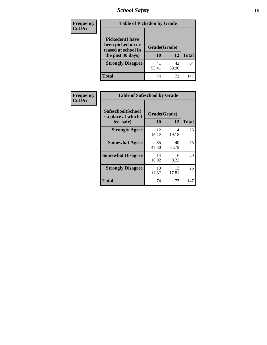*School Safety* **16**

| <b>Frequency</b> | <b>Table of Pickedon by Grade</b>                                                        |                    |             |              |
|------------------|------------------------------------------------------------------------------------------|--------------------|-------------|--------------|
| <b>Col Pct</b>   | <b>Pickedon</b> (I have<br>been picked on or<br>teased at school in<br>the past 30 days) | Grade(Grade)<br>10 | 12          | <b>Total</b> |
|                  | <b>Strongly Disagree</b>                                                                 | 41<br>55.41        | 43<br>58.90 | 84           |
|                  | <b>Total</b>                                                                             | 74                 | 73          | 147          |

| Frequency      | <b>Table of Safeschool by Grade</b>                      |                          |             |     |  |  |  |  |  |
|----------------|----------------------------------------------------------|--------------------------|-------------|-----|--|--|--|--|--|
| <b>Col Pct</b> | Safeschool(School<br>is a place at which I<br>feel safe) | Grade(Grade)<br>12<br>10 |             |     |  |  |  |  |  |
|                | <b>Strongly Agree</b>                                    | 12<br>16.22              | 14<br>19.18 | 26  |  |  |  |  |  |
|                | <b>Somewhat Agree</b>                                    | 35<br>47.30              | 40<br>54.79 | 75  |  |  |  |  |  |
|                | <b>Somewhat Disagree</b>                                 | 14<br>18.92              | 6<br>8.22   | 20  |  |  |  |  |  |
|                | <b>Strongly Disagree</b>                                 | 13<br>17.57              | 13<br>17.81 | 26  |  |  |  |  |  |
|                | <b>Total</b>                                             | 74                       | 73          | 147 |  |  |  |  |  |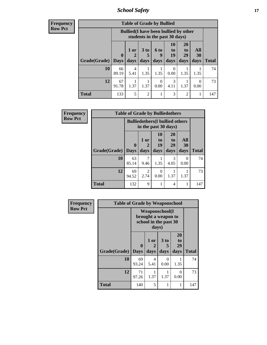*School Safety* **17**

| Frequency      |
|----------------|
| <b>Row Pct</b> |

|                     | <b>Table of Grade by Bullied</b> |                                                                               |                   |                           |                        |                               |                           |              |  |  |  |  |
|---------------------|----------------------------------|-------------------------------------------------------------------------------|-------------------|---------------------------|------------------------|-------------------------------|---------------------------|--------------|--|--|--|--|
|                     |                                  | <b>Bullied</b> (I have been bullied by other<br>students in the past 30 days) |                   |                           |                        |                               |                           |              |  |  |  |  |
| Grade(Grade)   Days | $\bf{0}$                         | $1$ or<br>2<br>days                                                           | 3 to<br>5<br>days | 6 to<br>9<br>days         | 10<br>to<br>19<br>days | <b>20</b><br>to<br>29<br>days | All<br>30<br>days         | <b>Total</b> |  |  |  |  |
| 10                  | 66<br>89.19                      | 4<br>5.41                                                                     | 1.35              | 1.35                      | 0<br>0.00              | 1.35                          | 1.35                      | 74           |  |  |  |  |
| 12                  | 67<br>91.78                      | 1.37                                                                          | 1.37              | $\mathbf{\Omega}$<br>0.00 | 3<br>4.11              | 1.37                          | $\mathbf{\Omega}$<br>0.00 | 73           |  |  |  |  |
| <b>Total</b>        | 133                              | 5                                                                             | $\overline{c}$    |                           | 3                      | $\mathfrak{D}$                |                           | 147          |  |  |  |  |

| Frequency      | <b>Table of Grade by Bulliedothers</b> |                         |                                                                |                        |                        |                   |              |  |  |  |  |
|----------------|----------------------------------------|-------------------------|----------------------------------------------------------------|------------------------|------------------------|-------------------|--------------|--|--|--|--|
| <b>Row Pct</b> |                                        |                         | <b>Bulliedothers</b> (I bullied others<br>in the past 30 days) |                        |                        |                   |              |  |  |  |  |
|                | Grade(Grade)                           | $\bf{0}$<br><b>Days</b> | 1 or<br>days                                                   | 10<br>to<br>19<br>days | 20<br>to<br>29<br>days | All<br>30<br>days | <b>Total</b> |  |  |  |  |
|                | 10                                     | 63<br>85.14             | 9.46                                                           | 1.35                   | 3<br>4.05              | 0<br>0.00         | 74           |  |  |  |  |
|                | 12                                     | 69<br>94.52             | 2<br>2.74                                                      | $\Omega$<br>0.00       | 1.37                   | 1.37              | 73           |  |  |  |  |
|                | <b>Total</b>                           | 132                     | 9                                                              | 1                      | 4                      |                   | 147          |  |  |  |  |

| Frequency      | <b>Table of Grade by Weaponschool</b> |                                 |              |                                                                        |                        |              |
|----------------|---------------------------------------|---------------------------------|--------------|------------------------------------------------------------------------|------------------------|--------------|
| <b>Row Pct</b> |                                       |                                 | days)        | <b>Weaponschool</b> (I<br>brought a weapon to<br>school in the past 30 |                        |              |
|                | Grade(Grade)                          | $\boldsymbol{0}$<br><b>Days</b> | 1 or<br>days | 3 to<br>5<br>days                                                      | 20<br>to<br>29<br>days | <b>Total</b> |
|                | 10                                    | 69<br>93.24                     | 4<br>5.41    | 0<br>0.00                                                              | 1.35                   | 74           |
|                | 12                                    | 71<br>97.26                     | 1.37         | 1.37                                                                   | 0<br>0.00              | 73           |
|                | <b>Total</b>                          | 140                             | 5            |                                                                        |                        | 147          |

ł,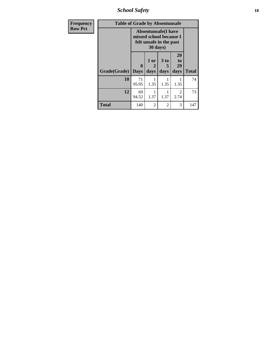*School Safety* **18**

| <b>Frequency</b> | <b>Table of Grade by Absentunsafe</b> |                  |                         |                                                                                  |                        |              |  |  |  |
|------------------|---------------------------------------|------------------|-------------------------|----------------------------------------------------------------------------------|------------------------|--------------|--|--|--|
| <b>Row Pct</b>   |                                       |                  | 30 days)                | <b>Absentunsafe(I have</b><br>missed school because I<br>felt unsafe in the past |                        |              |  |  |  |
|                  | Grade(Grade)                          | 0<br><b>Days</b> | $1$ or $ $<br>2<br>days | 3 <sub>to</sub><br>5<br>days                                                     | 20<br>to<br>29<br>days | <b>Total</b> |  |  |  |
|                  | 10                                    | 71<br>95.95      | 1.35                    | 1.35                                                                             | 1.35                   | 74           |  |  |  |
|                  | 12                                    | 69<br>94.52      | 1.37                    | 1.37                                                                             | $\mathcal{D}$<br>2.74  | 73           |  |  |  |
|                  | <b>Total</b>                          | 140              | $\mathfrak{D}$          | 2                                                                                | 3                      | 147          |  |  |  |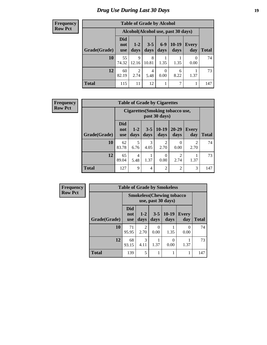#### **Frequency Row Pct**

| <b>Table of Grade by Alcohol</b> |                          |                                     |                 |                  |                 |                     |              |  |  |  |  |
|----------------------------------|--------------------------|-------------------------------------|-----------------|------------------|-----------------|---------------------|--------------|--|--|--|--|
|                                  |                          | Alcohol (Alcohol use, past 30 days) |                 |                  |                 |                     |              |  |  |  |  |
| Grade(Grade)                     | Did<br>not<br><b>use</b> | $1-2$<br>days                       | $3 - 5$<br>days | $6-9$<br>days    | $10-19$<br>days | <b>Every</b><br>day | <b>Total</b> |  |  |  |  |
| 10                               | 55<br>74.32              | 9<br>12.16                          | 8<br>10.81      | 1.35             | 1.35            | $\theta$<br>0.00    | 74           |  |  |  |  |
| 12                               | 60<br>82.19              | 2<br>2.74                           | 4<br>5.48       | $\Omega$<br>0.00 | 6<br>8.22       | 1.37                | 73           |  |  |  |  |
| <b>Total</b>                     | 115                      | 11                                  | 12              |                  | 7               |                     | 147          |  |  |  |  |

| <b>Frequency</b> |
|------------------|
| <b>Row Pct</b>   |

| <b>Table of Grade by Cigarettes</b>                      |                                 |               |                 |                  |                   |                        |              |  |  |
|----------------------------------------------------------|---------------------------------|---------------|-----------------|------------------|-------------------|------------------------|--------------|--|--|
| <b>Cigarettes</b> (Smoking tobacco use,<br>past 30 days) |                                 |               |                 |                  |                   |                        |              |  |  |
| Grade(Grade)                                             | <b>Did</b><br>not<br><b>use</b> | $1-2$<br>days | $3 - 5$<br>days | $10-19$<br>days  | $20 - 29$<br>days | <b>Every</b><br>day    | <b>Total</b> |  |  |
| 10                                                       | 62<br>83.78                     | 5<br>6.76     | 3<br>4.05       | 2<br>2.70        | $\Omega$<br>0.00  | $\mathfrak{D}$<br>2.70 | 74           |  |  |
| 12                                                       | 65<br>89.04                     | 4<br>5.48     | 1.37            | $\Omega$<br>0.00 | 2<br>2.74         | 1.37                   | 73           |  |  |
| <b>Total</b>                                             | 127                             | 9             | 4               | $\overline{2}$   | 2                 | 3                      | 147          |  |  |

| Frequency      |              | <b>Table of Grade by Smokeless</b> |                       |                  |                 |                  |              |  |
|----------------|--------------|------------------------------------|-----------------------|------------------|-----------------|------------------|--------------|--|
| <b>Row Pct</b> |              | <b>Smokeless</b> (Chewing tobacco  |                       |                  |                 |                  |              |  |
|                | Grade(Grade) | Did<br>not<br><b>use</b>           | $1 - 2$<br>days       | $3 - 5$<br>days  | $10-19$<br>days | Every<br>day     | <b>Total</b> |  |
|                | <b>10</b>    | 71<br>95.95                        | 2<br>2.70             | $\Omega$<br>0.00 | 1.35            | $\Omega$<br>0.00 | 74           |  |
|                | 12           | 68<br>93.15                        | $\mathcal{R}$<br>4.11 | 1.37             | 0.00            | 1.37             | 73           |  |
|                | <b>Total</b> | 139                                | 5                     |                  |                 |                  | 147          |  |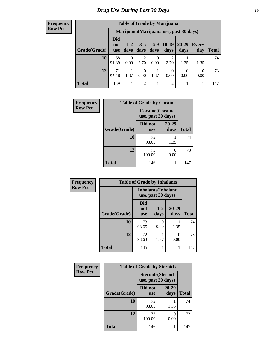#### **Frequency Row Pct**

| <b>Table of Grade by Marijuana</b> |                                 |                                         |                 |               |                        |                   |                     |       |
|------------------------------------|---------------------------------|-----------------------------------------|-----------------|---------------|------------------------|-------------------|---------------------|-------|
|                                    |                                 | Marijuana (Marijuana use, past 30 days) |                 |               |                        |                   |                     |       |
| Grade(Grade)                       | <b>Did</b><br>not<br><b>use</b> | $1 - 2$<br>days                         | $3 - 5$<br>days | $6-9$<br>days | $10-19$<br>days        | $20 - 29$<br>days | <b>Every</b><br>day | Total |
| 10                                 | 68<br>91.89                     | $\Omega$<br>0.00                        | 2<br>2.70       | 0<br>0.00     | $\mathfrak{D}$<br>2.70 | 1.35              | 1.35                | 74    |
| 12                                 | 71<br>97.26                     | 1.37                                    | 0<br>0.00       | 1.37          | $\Omega$<br>0.00       | 0<br>0.00         | 0<br>0.00           | 73    |
| <b>Total</b>                       | 139                             |                                         | 2               | 1             | $\overline{2}$         |                   |                     | 147   |

| Frequency      | <b>Table of Grade by Cocaine</b> |                                               |               |              |  |  |
|----------------|----------------------------------|-----------------------------------------------|---------------|--------------|--|--|
| <b>Row Pct</b> |                                  | <b>Cocaine</b> (Cocaine<br>use, past 30 days) |               |              |  |  |
|                | Grade(Grade)                     | Did not<br><b>use</b>                         | 20-29<br>days | <b>Total</b> |  |  |
|                | 10                               | 73<br>98.65                                   | 1.35          | 74           |  |  |
|                | 12                               | 73<br>100.00                                  | 0<br>0.00     | 73           |  |  |
|                | <b>Total</b>                     | 146                                           | 1             | 147          |  |  |

| Frequency      | <b>Table of Grade by Inhalants</b> |                                                  |                 |                   |              |  |  |
|----------------|------------------------------------|--------------------------------------------------|-----------------|-------------------|--------------|--|--|
| <b>Row Pct</b> |                                    | <b>Inhalants</b> (Inhalant<br>use, past 30 days) |                 |                   |              |  |  |
|                | Grade(Grade)                       | Did<br>not<br><b>use</b>                         | $1 - 2$<br>days | $20 - 29$<br>days | <b>Total</b> |  |  |
|                | 10                                 | 73<br>98.65                                      | 0.00            | 1.35              | 74           |  |  |
|                | 12                                 | 72<br>98.63                                      | 1.37            | 0<br>0.00         | 73           |  |  |
|                | <b>Total</b>                       | 145                                              | 1               |                   | 147          |  |  |

| Frequency      | <b>Table of Grade by Steroids</b> |                                                |               |              |  |  |
|----------------|-----------------------------------|------------------------------------------------|---------------|--------------|--|--|
| <b>Row Pct</b> |                                   | <b>Steroids</b> (Steroid<br>use, past 30 days) |               |              |  |  |
|                | Grade(Grade)                      | Did not<br><b>use</b>                          | 20-29<br>days | <b>Total</b> |  |  |
|                | 10                                | 73<br>98.65                                    | 1.35          | 74           |  |  |
|                | 12                                | 73<br>100.00                                   | 0.00          | 73           |  |  |
|                | <b>Total</b>                      | 146                                            |               | 147          |  |  |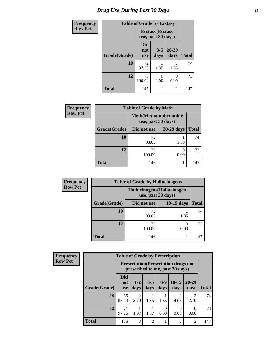| <b>Frequency</b> | <b>Table of Grade by Ecstasy</b> |                                               |                 |               |              |
|------------------|----------------------------------|-----------------------------------------------|-----------------|---------------|--------------|
| Row Pct          |                                  | <b>Ecstasy</b> (Ecstasy<br>use, past 30 days) |                 |               |              |
|                  | Grade(Grade)                     | <b>Did</b><br>not<br><b>use</b>               | $3 - 5$<br>days | 20-29<br>days | <b>Total</b> |
|                  | 10                               | 72<br>97.30                                   | 1.35            | 1.35          | 74           |
|                  | 12                               | 73<br>100.00                                  | 0<br>0.00       | 0.00          | 73           |
|                  | <b>Total</b>                     | 145                                           |                 |               | 147          |

| Frequency      | <b>Table of Grade by Meth</b> |                                                    |            |              |  |  |
|----------------|-------------------------------|----------------------------------------------------|------------|--------------|--|--|
| <b>Row Pct</b> |                               | <b>Meth</b> (Methamphetamine<br>use, past 30 days) |            |              |  |  |
|                | Grade(Grade)                  | Did not use                                        | 20-29 days | <b>Total</b> |  |  |
|                | 10                            | 73<br>98.65                                        | 1.35       | 74           |  |  |
|                | 12                            | 73<br>100.00                                       | 0<br>0.00  | 73           |  |  |
|                | <b>Total</b>                  | 146                                                |            | 147          |  |  |

| Frequency      | <b>Table of Grade by Hallucinogens</b> |                                                   |            |              |  |  |
|----------------|----------------------------------------|---------------------------------------------------|------------|--------------|--|--|
| <b>Row Pct</b> |                                        | Hallucinogens (Hallucinogen<br>use, past 30 days) |            |              |  |  |
|                | Grade(Grade)                           | Did not use                                       | 10-19 days | <b>Total</b> |  |  |
|                | 10                                     | 73<br>98.65                                       | 1.35       | 74           |  |  |
|                | 12                                     | 73<br>100.00                                      | 0.00       | 73           |  |  |
|                | Total                                  | 146                                               |            | 147          |  |  |

| Frequency      |              | <b>Table of Grade by Prescription</b> |                        |                 |               |                                                                                |                        |              |  |
|----------------|--------------|---------------------------------------|------------------------|-----------------|---------------|--------------------------------------------------------------------------------|------------------------|--------------|--|
| <b>Row Pct</b> |              |                                       |                        |                 |               | <b>Prescription</b> (Prescription drugs not<br>prescribed to me, past 30 days) |                        |              |  |
|                | Grade(Grade) | <b>Did</b><br>not<br><b>use</b>       | $1 - 2$<br>days        | $3 - 5$<br>days | $6-9$<br>days | $10-19$<br>days                                                                | $20 - 29$<br>days      | <b>Total</b> |  |
|                | 10           | 65<br>87.84                           | $\mathfrak{D}$<br>2.70 | 1.35            | 1.35          | 3<br>4.05                                                                      | $\mathfrak{D}$<br>2.70 | 74           |  |
|                | 12           | 71<br>97.26                           | 1.37                   | 1.37            | 0.00          | $\Omega$<br>0.00                                                               | $\Omega$<br>0.00       | 73           |  |
|                | <b>Total</b> | 136                                   | 3                      | 2               |               | 3                                                                              | 2                      | 147          |  |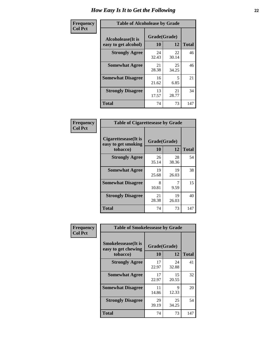| Frequency      | <b>Table of Alcoholease by Grade</b>              |                    |             |              |  |
|----------------|---------------------------------------------------|--------------------|-------------|--------------|--|
| <b>Col Pct</b> | <b>Alcoholease</b> (It is<br>easy to get alcohol) | Grade(Grade)<br>10 | 12          | <b>Total</b> |  |
|                | <b>Strongly Agree</b>                             | 24<br>32.43        | 22<br>30.14 | 46           |  |
|                | <b>Somewhat Agree</b>                             | 21<br>28.38        | 25<br>34.25 | 46           |  |
|                | <b>Somewhat Disagree</b>                          | 16<br>21.62        | 5<br>6.85   | 21           |  |
|                | <b>Strongly Disagree</b>                          | 13<br>17.57        | 21<br>28.77 | 34           |  |
|                | <b>Total</b>                                      | 74                 | 73          | 147          |  |

| Frequency      | <b>Table of Cigarettesease by Grade</b>                 |                    |             |              |  |
|----------------|---------------------------------------------------------|--------------------|-------------|--------------|--|
| <b>Col Pct</b> | Cigarettesease(It is<br>easy to get smoking<br>tobacco) | Grade(Grade)<br>10 | 12          | <b>Total</b> |  |
|                | <b>Strongly Agree</b>                                   | 26<br>35.14        | 28<br>38.36 | 54           |  |
|                | <b>Somewhat Agree</b>                                   | 19<br>25.68        | 19<br>26.03 | 38           |  |
|                | <b>Somewhat Disagree</b>                                | 8<br>10.81         | 9.59        | 15           |  |
|                | <b>Strongly Disagree</b>                                | 21<br>28.38        | 19<br>26.03 | 40           |  |
|                | <b>Total</b>                                            | 74                 | 73          | 147          |  |

| Frequency      | <b>Table of Smokelessease by Grade</b>             |              |             |              |  |  |
|----------------|----------------------------------------------------|--------------|-------------|--------------|--|--|
| <b>Col Pct</b> | <b>Smokelessease</b> (It is<br>easy to get chewing | Grade(Grade) |             |              |  |  |
|                | tobacco)                                           | 10           | 12          | <b>Total</b> |  |  |
|                | <b>Strongly Agree</b>                              | 17<br>22.97  | 24<br>32.88 | 41           |  |  |
|                | <b>Somewhat Agree</b>                              | 17<br>22.97  | 15<br>20.55 | 32           |  |  |
|                | <b>Somewhat Disagree</b>                           | 11<br>14.86  | 9<br>12.33  | 20           |  |  |
|                | <b>Strongly Disagree</b>                           | 29<br>39.19  | 25<br>34.25 | 54           |  |  |
|                | <b>Total</b>                                       | 74           | 73          | 147          |  |  |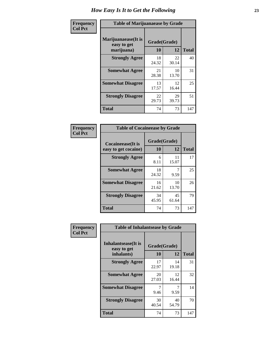| Frequency      | <b>Table of Marijuanaease by Grade</b>           |                    |             |              |  |
|----------------|--------------------------------------------------|--------------------|-------------|--------------|--|
| <b>Col Pct</b> | Marijuanaease(It is<br>easy to get<br>marijuana) | Grade(Grade)<br>10 | 12          | <b>Total</b> |  |
|                | <b>Strongly Agree</b>                            | 18<br>24.32        | 22<br>30.14 | 40           |  |
|                | <b>Somewhat Agree</b>                            | 21<br>28.38        | 10<br>13.70 | 31           |  |
|                | <b>Somewhat Disagree</b>                         | 13<br>17.57        | 12<br>16.44 | 25           |  |
|                | <b>Strongly Disagree</b>                         | 22<br>29.73        | 29<br>39.73 | 51           |  |
|                | <b>Total</b>                                     | 74                 | 73          | 147          |  |

| <b>Table of Cocaineease by Grade</b> |             |              |              |  |  |  |  |  |  |  |
|--------------------------------------|-------------|--------------|--------------|--|--|--|--|--|--|--|
| <b>Cocaineease</b> (It is            |             | Grade(Grade) |              |  |  |  |  |  |  |  |
| easy to get cocaine)                 | 10          | 12           | <b>Total</b> |  |  |  |  |  |  |  |
| <b>Strongly Agree</b>                | 6<br>8.11   | 11<br>15.07  | 17           |  |  |  |  |  |  |  |
| <b>Somewhat Agree</b>                | 18<br>24.32 | 9.59         | 25           |  |  |  |  |  |  |  |
| <b>Somewhat Disagree</b>             | 16<br>21.62 | 10<br>13.70  | 26           |  |  |  |  |  |  |  |
| <b>Strongly Disagree</b>             | 34<br>45.95 | 45<br>61.64  | 79           |  |  |  |  |  |  |  |
| <b>Total</b>                         | 74          | 73           | 147          |  |  |  |  |  |  |  |

| Frequency      | <b>Table of Inhalantsease by Grade</b>                   |                    |             |              |
|----------------|----------------------------------------------------------|--------------------|-------------|--------------|
| <b>Col Pct</b> | <b>Inhalantsease</b> (It is<br>easy to get<br>inhalants) | Grade(Grade)<br>10 | 12          | <b>Total</b> |
|                | <b>Strongly Agree</b>                                    | 17<br>22.97        | 14<br>19.18 | 31           |
|                | <b>Somewhat Agree</b>                                    | 20<br>27.03        | 12<br>16.44 | 32           |
|                | <b>Somewhat Disagree</b>                                 | 9.46               | 9.59        | 14           |
|                | <b>Strongly Disagree</b>                                 | 30<br>40.54        | 40<br>54.79 | 70           |
|                | <b>Total</b>                                             | 74                 | 73          | 147          |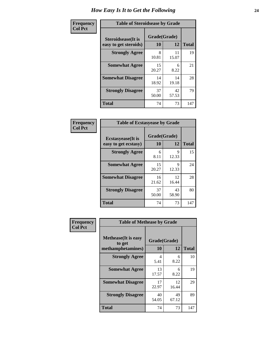| Frequency      | <b>Table of Steroidsease by Grade</b>               |                    |             |              |  |  |  |  |  |  |
|----------------|-----------------------------------------------------|--------------------|-------------|--------------|--|--|--|--|--|--|
| <b>Col Pct</b> | <b>Steroidsease</b> (It is<br>easy to get steroids) | Grade(Grade)<br>10 | 12          | <b>Total</b> |  |  |  |  |  |  |
|                | <b>Strongly Agree</b>                               | 8<br>10.81         | 11<br>15.07 | 19           |  |  |  |  |  |  |
|                | <b>Somewhat Agree</b>                               | 15<br>20.27        | 6<br>8.22   | 21           |  |  |  |  |  |  |
|                | <b>Somewhat Disagree</b>                            | 14<br>18.92        | 14<br>19.18 | 28           |  |  |  |  |  |  |
|                | <b>Strongly Disagree</b>                            | 37<br>50.00        | 42<br>57.53 | 79           |  |  |  |  |  |  |
|                | <b>Total</b>                                        | 74                 | 73          | 147          |  |  |  |  |  |  |

| Frequency      | <b>Table of Ecstasyease by Grade</b>              |                    |              |     |
|----------------|---------------------------------------------------|--------------------|--------------|-----|
| <b>Col Pct</b> | <b>Ecstasyease</b> (It is<br>easy to get ecstasy) | Grade(Grade)<br>10 | <b>Total</b> |     |
|                | <b>Strongly Agree</b>                             | 6<br>8.11          | 9<br>12.33   | 15  |
|                | <b>Somewhat Agree</b>                             | 15<br>20.27        | 9<br>12.33   | 24  |
|                | <b>Somewhat Disagree</b>                          | 16<br>21.62        | 12<br>16.44  | 28  |
|                | <b>Strongly Disagree</b>                          | 37<br>50.00        | 43<br>58.90  | 80  |
|                | Total                                             | 74                 | 73           | 147 |

| <b>Frequency</b> | <b>Table of Methease by Grade</b>                          |                    |              |     |
|------------------|------------------------------------------------------------|--------------------|--------------|-----|
| <b>Col Pct</b>   | <b>Methease</b> (It is easy<br>to get<br>methamphetamines) | Grade(Grade)<br>10 | <b>Total</b> |     |
|                  | <b>Strongly Agree</b>                                      | 4<br>5.41          | 6<br>8.22    | 10  |
|                  | <b>Somewhat Agree</b>                                      | 13<br>17.57        | 6<br>8.22    | 19  |
|                  | <b>Somewhat Disagree</b>                                   | 17<br>22.97        | 12<br>16.44  | 29  |
|                  | <b>Strongly Disagree</b>                                   | 40<br>54.05        | 49<br>67.12  | 89  |
|                  | <b>Total</b>                                               | 74                 | 73           | 147 |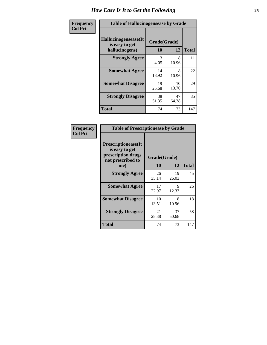| <b>Frequency</b> | <b>Table of Hallucinogensease by Grade</b>               |                    |             |              |
|------------------|----------------------------------------------------------|--------------------|-------------|--------------|
| <b>Col Pct</b>   | Hallucinogensease(It<br>is easy to get<br>hallucinogens) | Grade(Grade)<br>10 | 12          | <b>Total</b> |
|                  | <b>Strongly Agree</b>                                    | 3<br>4.05          | 8<br>10.96  | 11           |
|                  | <b>Somewhat Agree</b>                                    | 14<br>18.92        | 8<br>10.96  | 22           |
|                  | <b>Somewhat Disagree</b>                                 | 19<br>25.68        | 10<br>13.70 | 29           |
|                  | <b>Strongly Disagree</b>                                 | 38<br>51.35        | 47<br>64.38 | 85           |
|                  | <b>Total</b>                                             | 74                 | 73          | 147          |

| Frequency<br>Col Pct |
|----------------------|
|                      |

|                                                                                          | <b>Table of Prescriptionease by Grade</b> |              |              |  |  |  |  |  |  |  |  |
|------------------------------------------------------------------------------------------|-------------------------------------------|--------------|--------------|--|--|--|--|--|--|--|--|
| <b>Prescriptionease</b> (It<br>is easy to get<br>prescription drugs<br>not prescribed to |                                           | Grade(Grade) |              |  |  |  |  |  |  |  |  |
| me)                                                                                      | 10                                        | 12           | <b>Total</b> |  |  |  |  |  |  |  |  |
| <b>Strongly Agree</b>                                                                    | 26<br>35.14                               | 19<br>26.03  | 45           |  |  |  |  |  |  |  |  |
| <b>Somewhat Agree</b>                                                                    | 17<br>22.97                               | 9<br>12.33   | 26           |  |  |  |  |  |  |  |  |
| <b>Somewhat Disagree</b>                                                                 | 10<br>13.51                               | 8<br>10.96   | 18           |  |  |  |  |  |  |  |  |
| <b>Strongly Disagree</b>                                                                 | 21<br>28.38                               | 37<br>50.68  | 58           |  |  |  |  |  |  |  |  |
| Total                                                                                    | 74                                        | 73           | 147          |  |  |  |  |  |  |  |  |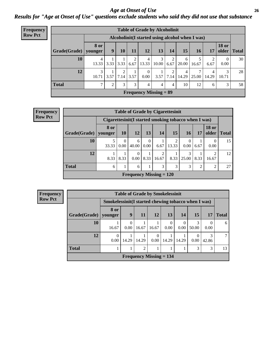*Age at Onset of Use* **26** *Results for "Age at Onset of Use" questions exclude students who said they did not use that substance*

| <b>Frequency</b> | <b>Table of Grade by Alcoholinit</b> |                        |      |      |      |                        |                               |           |            |                                                  |                         |                        |              |
|------------------|--------------------------------------|------------------------|------|------|------|------------------------|-------------------------------|-----------|------------|--------------------------------------------------|-------------------------|------------------------|--------------|
| <b>Row Pct</b>   |                                      |                        |      |      |      |                        |                               |           |            | Alcoholinit (I started using alcohol when I was) |                         |                        |              |
|                  | Grade(Grade)                         | <b>8 or</b><br>younger | 9    | 10   | 11   | 12                     | 13                            | 14        | 15         | 16                                               | 17                      | <b>18 or</b><br>older  | <b>Total</b> |
|                  | 10                                   | 4<br>13.33             | 3.33 | 3.33 | 6.67 | 4<br>13.33             | 3<br>10.00                    | 2<br>6.67 | 6<br>20.00 | 16.67                                            | 2<br>6.67               | $\overline{0}$<br>0.00 | 30           |
|                  | 12                                   | 3<br>10.71             | 3.57 | 7.14 | 3.57 | $\overline{0}$<br>0.00 | 3.57                          | 2<br>7.14 | 4<br>14.29 | 25.00                                            | $\overline{4}$<br>14.29 | 3<br>10.71             | 28           |
|                  | <b>Total</b>                         | 7                      | 2    | 3    | 3    | 4                      | 4                             | 4         | 10         | 12                                               | 6                       | 3                      | 58           |
|                  |                                      |                        |      |      |      |                        | <b>Frequency Missing = 89</b> |           |            |                                                  |                         |                        |              |

| <b>Frequency</b> |                        |             |                  | <b>Table of Grade by Cigarettesinit</b>               |                  |            |       |            |           |                         |              |
|------------------|------------------------|-------------|------------------|-------------------------------------------------------|------------------|------------|-------|------------|-----------|-------------------------|--------------|
| <b>Row Pct</b>   |                        |             |                  | Cigarettesinit (I started smoking tobacco when I was) |                  |            |       |            |           |                         |              |
|                  | Grade(Grade)   younger | <b>8</b> or | <b>10</b>        | 12                                                    | 13               | 14         | 15    | <b>16</b>  | <b>17</b> | <b>18 or</b><br>older   | <b>Total</b> |
|                  | 10                     | 33.33       | $\Omega$<br>0.00 | 6<br>40.00                                            | $\Omega$<br>0.00 | 6.67       | 13.33 | 0<br>0.00  | 6.67      | $\theta$<br>0.00        | 15           |
|                  | 12                     | 8.33        | 8.33             | $\Omega$<br>0.00                                      | 8.33             | 2<br>16.67 | 8.33  | 3<br>25.00 | 8.33      | $\overline{2}$<br>16.67 | 12           |
|                  | <b>Total</b>           | 6           |                  | 6                                                     |                  | 3          | 3     | 3          | 2         | $\overline{c}$          | 27           |
|                  |                        |             |                  | Frequency Missing $= 120$                             |                  |            |       |            |           |                         |              |

| Frequency      |              |                                                     | <b>Table of Grade by Smokelessinit</b> |                           |                  |       |                  |            |            |              |
|----------------|--------------|-----------------------------------------------------|----------------------------------------|---------------------------|------------------|-------|------------------|------------|------------|--------------|
| <b>Row Pct</b> |              | Smokelessinit(I started chewing tobacco when I was) |                                        |                           |                  |       |                  |            |            |              |
|                | Grade(Grade) | 8 or<br>younger                                     | 9                                      | <b>11</b>                 | 12               | 13    | 14               | 15         | 17         | <b>Total</b> |
|                | 10           | 16.67                                               | 0.00                                   | 16.67                     | 16.67            | 0.00  | $\theta$<br>0.00 | 3<br>50.00 | 0.00       | 6            |
|                | 12           | 0<br>0.00                                           | 14.29                                  | 14.29                     | $\Omega$<br>0.00 | 14.29 | 14.29            | 0<br>0.00  | 3<br>42.86 | 7            |
|                | <b>Total</b> |                                                     |                                        | $\mathfrak{D}$            |                  |       |                  | 3          | 3          | 13           |
|                |              |                                                     |                                        | Frequency Missing $= 134$ |                  |       |                  |            |            |              |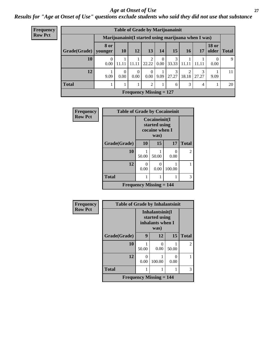### *Age at Onset of Use* **27**

*Results for "Age at Onset of Use" questions exclude students who said they did not use that substance*

| Frequency      | <b>Table of Grade by Marijuanainit</b> |                  |                  |                                |                  |                  |                                                      |            |            |                       |              |  |  |
|----------------|----------------------------------------|------------------|------------------|--------------------------------|------------------|------------------|------------------------------------------------------|------------|------------|-----------------------|--------------|--|--|
| <b>Row Pct</b> |                                        |                  |                  |                                |                  |                  | Marijuanainit (I started using marijuana when I was) |            |            |                       |              |  |  |
|                | Grade(Grade)                           | 8 or<br>younger  | 10               | 12                             | 13               | 14               | 15                                                   | <b>16</b>  | 17         | <b>18 or</b><br>older | <b>Total</b> |  |  |
|                | 10                                     | $\Omega$<br>0.00 | 11.11            | 11.11                          | 2<br>22.22       | $\Omega$<br>0.00 | 3<br>33.33                                           | 11.11      | 11.11      | $\Omega$<br>0.00      | 9            |  |  |
|                | 12                                     | 9.09             | $\Omega$<br>0.00 | $\Omega$<br>0.00               | $\theta$<br>0.00 | 9.09             | 3<br>27.27                                           | ◠<br>18.18 | 3<br>27.27 | 9.09                  | 11           |  |  |
|                | <b>Total</b>                           |                  |                  |                                | 2                |                  | 6                                                    | 3          | 4          |                       | 20           |  |  |
|                |                                        |                  |                  | <b>Frequency Missing = 127</b> |                  |                  |                                                      |            |            |                       |              |  |  |

| Frequency      | <b>Table of Grade by Cocaineinit</b> |                                                  |           |           |                |  |  |  |
|----------------|--------------------------------------|--------------------------------------------------|-----------|-----------|----------------|--|--|--|
| <b>Row Pct</b> |                                      | Cocaineinit(I<br>started using<br>cocaine when I |           |           |                |  |  |  |
|                | Grade(Grade)                         | 10                                               | 15        | 17        | <b>Total</b>   |  |  |  |
|                | 10                                   | 50.00                                            | 50.00     | 0<br>0.00 | $\mathfrak{D}$ |  |  |  |
|                | 12                                   | 0.00                                             | 0<br>0.00 | 100.00    |                |  |  |  |
|                | <b>Total</b>                         |                                                  |           | 1         | 3              |  |  |  |
|                |                                      | <b>Frequency Missing <math>= 144</math></b>      |           |           |                |  |  |  |

| Frequency      | <b>Table of Grade by Inhalantsinit</b> |                                                      |                                             |       |                |  |
|----------------|----------------------------------------|------------------------------------------------------|---------------------------------------------|-------|----------------|--|
| <b>Row Pct</b> |                                        | Inhalantsinit(I<br>started using<br>inhalants when I |                                             |       |                |  |
|                | Grade(Grade)                           | 9                                                    | 12                                          | 15    | <b>Total</b>   |  |
|                | 10                                     | 50.00                                                | 0<br>0.00                                   | 50.00 | $\overline{2}$ |  |
|                | 12                                     | 0<br>0.00                                            | 100.00                                      | 0.00  |                |  |
|                | <b>Total</b>                           |                                                      |                                             |       | 3              |  |
|                |                                        |                                                      | <b>Frequency Missing <math>= 144</math></b> |       |                |  |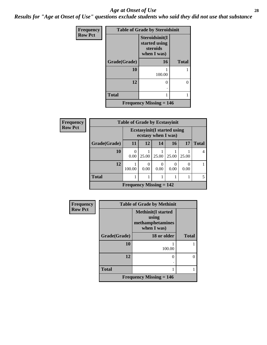### *Age at Onset of Use* **28**

*Results for "Age at Onset of Use" questions exclude students who said they did not use that substance*

| Frequency      | <b>Table of Grade by Steroidsinit</b> |                                                            |              |  |  |  |  |
|----------------|---------------------------------------|------------------------------------------------------------|--------------|--|--|--|--|
| <b>Row Pct</b> |                                       | Steroidsinit(I<br>started using<br>steroids<br>when I was) |              |  |  |  |  |
|                | Grade(Grade)                          | 16                                                         | <b>Total</b> |  |  |  |  |
|                | 10                                    | 100.00                                                     |              |  |  |  |  |
|                | 12                                    | 0                                                          | 0            |  |  |  |  |
|                | <b>Total</b>                          |                                                            |              |  |  |  |  |
|                |                                       | <b>Frequency Missing = 146</b>                             |              |  |  |  |  |

| <b>Frequency</b> | <b>Table of Grade by Ecstasyinit</b>                       |                                |                  |                  |                          |       |       |
|------------------|------------------------------------------------------------|--------------------------------|------------------|------------------|--------------------------|-------|-------|
| <b>Row Pct</b>   | <b>Ecstasyinit</b> (I started using<br>ecstasy when I was) |                                |                  |                  |                          |       |       |
|                  | Grade(Grade)                                               | <b>11</b>                      | 12               | 14               | <b>16</b>                | 17    | Total |
|                  | 10                                                         | 0.00                           | 25.00            | 25.00            | 25.00                    | 25.00 |       |
|                  | 12                                                         | 100.00                         | $\Omega$<br>0.00 | $\Omega$<br>0.00 | $\left( \right)$<br>0.00 | 0.00  |       |
|                  | <b>Total</b>                                               |                                |                  |                  |                          |       |       |
|                  |                                                            | <b>Frequency Missing = 142</b> |                  |                  |                          |       |       |

| Frequency      | <b>Table of Grade by Methinit</b> |                                                                       |              |  |  |  |
|----------------|-----------------------------------|-----------------------------------------------------------------------|--------------|--|--|--|
| <b>Row Pct</b> |                                   | <b>Methinit(I started</b><br>using<br>methamphetamines<br>when I was) |              |  |  |  |
|                | Grade(Grade)                      | 18 or older                                                           | <b>Total</b> |  |  |  |
|                | 10                                | 100.00                                                                |              |  |  |  |
|                | 12                                | 0                                                                     |              |  |  |  |
|                | <b>Total</b>                      |                                                                       |              |  |  |  |
|                |                                   | <b>Frequency Missing = 146</b>                                        |              |  |  |  |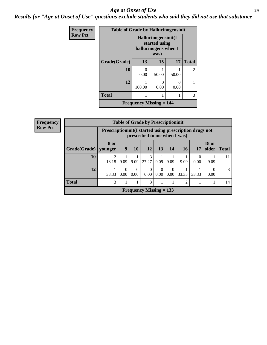### *Age at Onset of Use* **29**

*Results for "Age at Onset of Use" questions exclude students who said they did not use that substance*

| Frequency      | <b>Table of Grade by Hallucinogensinit</b>  |                                                              |                           |           |                |  |  |  |
|----------------|---------------------------------------------|--------------------------------------------------------------|---------------------------|-----------|----------------|--|--|--|
| <b>Row Pct</b> |                                             | Hallucinogensinit(I<br>started using<br>hallucinogens when I |                           |           |                |  |  |  |
|                | Grade(Grade)                                | 13                                                           | 15                        | 17        | <b>Total</b>   |  |  |  |
|                | 10                                          | 0.00                                                         | 50.00                     | 50.00     | $\overline{2}$ |  |  |  |
|                | 12                                          | 100.00                                                       | $\mathbf{\Omega}$<br>0.00 | 0<br>0.00 |                |  |  |  |
|                | <b>Total</b>                                |                                                              |                           |           | 3              |  |  |  |
|                | <b>Frequency Missing <math>= 144</math></b> |                                                              |                           |           |                |  |  |  |

| Frequency      | <b>Table of Grade by Prescriptioninit</b> |            |                                                                                            |                  |                           |                  |                      |                |                  |                       |              |
|----------------|-------------------------------------------|------------|--------------------------------------------------------------------------------------------|------------------|---------------------------|------------------|----------------------|----------------|------------------|-----------------------|--------------|
| <b>Row Pct</b> |                                           |            | Prescription in it (I started using prescription drugs not<br>prescribed to me when I was) |                  |                           |                  |                      |                |                  |                       |              |
|                | Grade(Grade)   younger                    | 8 or       | 9                                                                                          | 10               | 12                        | 13               | 14                   | <b>16</b>      | 17               | <b>18 or</b><br>older | <b>Total</b> |
|                | 10                                        | 2<br>18.18 | 9.09                                                                                       | 9.09             | 3<br>27.27                | 9.09             | 9.09                 | 9.09           | $\Omega$<br>0.00 | 9.09                  | 11           |
|                | 12                                        | 33.33      | 0<br>0.00                                                                                  | $\Omega$<br>0.00 | 0<br>0.00                 | $\Omega$<br>0.00 | $\Omega$<br>$0.00\,$ | 33.33          | 33.33            | 0.00                  | 3            |
|                | <b>Total</b>                              | 3          |                                                                                            |                  | 3                         |                  |                      | $\overline{2}$ |                  |                       | 14           |
|                |                                           |            |                                                                                            |                  | Frequency Missing $= 133$ |                  |                      |                |                  |                       |              |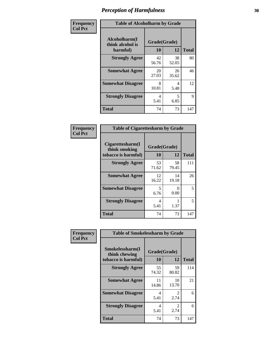| Frequency      | <b>Table of Alcoholharm by Grade</b>          |                    |             |              |  |  |
|----------------|-----------------------------------------------|--------------------|-------------|--------------|--|--|
| <b>Col Pct</b> | Alcoholharm(I<br>think alcohol is<br>harmful) | Grade(Grade)<br>10 | 12          | <b>Total</b> |  |  |
|                | <b>Strongly Agree</b>                         | 42<br>56.76        | 38<br>52.05 | 80           |  |  |
|                | <b>Somewhat Agree</b>                         | 20<br>27.03        | 26<br>35.62 | 46           |  |  |
|                | <b>Somewhat Disagree</b>                      | 8<br>10.81         | 4<br>5.48   | 12           |  |  |
|                | <b>Strongly Disagree</b>                      | 4<br>5.41          | 5<br>6.85   | 9            |  |  |
|                | <b>Total</b>                                  | 74                 | 73          | 147          |  |  |

| <b>Table of Cigarettesharm by Grade</b>                  |                    |                      |              |  |  |  |  |
|----------------------------------------------------------|--------------------|----------------------|--------------|--|--|--|--|
| Cigarettesharm(I<br>think smoking<br>tobacco is harmful) | Grade(Grade)<br>10 | 12                   | <b>Total</b> |  |  |  |  |
| <b>Strongly Agree</b>                                    | 53<br>71.62        | 58<br>79.45          | 111          |  |  |  |  |
| <b>Somewhat Agree</b>                                    | 12<br>16.22        | 14<br>19.18          | 26           |  |  |  |  |
| <b>Somewhat Disagree</b>                                 | 5<br>6.76          | $\mathbf{0}$<br>0.00 | 5            |  |  |  |  |
| <b>Strongly Disagree</b>                                 | 4<br>5.41          | 1.37                 | 5            |  |  |  |  |
| <b>Total</b>                                             | 74                 | 73                   | 147          |  |  |  |  |

| Frequency      | <b>Table of Smokelessharm by Grade</b>                  |                                 |                        |              |  |  |  |  |
|----------------|---------------------------------------------------------|---------------------------------|------------------------|--------------|--|--|--|--|
| <b>Col Pct</b> | Smokelessharm(I<br>think chewing<br>tobacco is harmful) | Grade(Grade)<br>12<br><b>10</b> |                        | <b>Total</b> |  |  |  |  |
|                | <b>Strongly Agree</b>                                   | 55<br>74.32                     | 59<br>80.82            | 114          |  |  |  |  |
|                | <b>Somewhat Agree</b>                                   | 11<br>14.86                     | 10<br>13.70            | 21           |  |  |  |  |
|                | <b>Somewhat Disagree</b>                                | 4<br>5.41                       | $\mathfrak{D}$<br>2.74 | 6            |  |  |  |  |
|                | <b>Strongly Disagree</b>                                | 4<br>5.41                       | $\mathfrak{D}$<br>2.74 | 6            |  |  |  |  |
|                | <b>Total</b>                                            | 74                              | 73                     | 147          |  |  |  |  |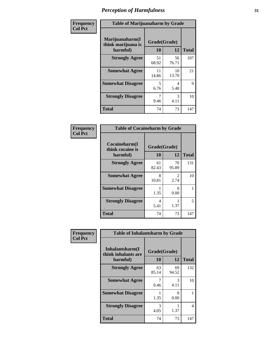| Frequency      | <b>Table of Marijuanaharm by Grade</b>            |                    |                       |              |  |  |
|----------------|---------------------------------------------------|--------------------|-----------------------|--------------|--|--|
| <b>Col Pct</b> | Marijuanaharm(I<br>think marijuana is<br>harmful) | Grade(Grade)<br>10 | 12                    | <b>Total</b> |  |  |
|                | <b>Strongly Agree</b>                             | 51<br>68.92        | 56<br>76.71           | 107          |  |  |
|                | <b>Somewhat Agree</b>                             | 11<br>14.86        | 10<br>13.70           | 21           |  |  |
|                | <b>Somewhat Disagree</b>                          | 5<br>6.76          | 4<br>5.48             | 9            |  |  |
|                | <b>Strongly Disagree</b>                          | 7<br>9.46          | $\mathcal{F}$<br>4.11 | 10           |  |  |
|                | <b>Total</b>                                      | 74                 | 73                    | 147          |  |  |

| <b>Table of Cocaineharm by Grade</b>          |                    |                           |              |  |  |  |  |
|-----------------------------------------------|--------------------|---------------------------|--------------|--|--|--|--|
| Cocaineharm(I<br>think cocaine is<br>harmful) | Grade(Grade)<br>10 | 12                        | <b>Total</b> |  |  |  |  |
| <b>Strongly Agree</b>                         | 61<br>82.43        | 70<br>95.89               | 131          |  |  |  |  |
| <b>Somewhat Agree</b>                         | 8<br>10.81         | 2<br>2.74                 | 10           |  |  |  |  |
| <b>Somewhat Disagree</b>                      | 1.35               | $\mathbf{\Omega}$<br>0.00 | 1            |  |  |  |  |
| <b>Strongly Disagree</b>                      | 4<br>5.41          | 1.37                      | 5            |  |  |  |  |
| <b>Total</b>                                  | 74                 | 73                        | 147          |  |  |  |  |

| Frequency      | <b>Table of Inhalantsharm by Grade</b>             |                    |             |              |
|----------------|----------------------------------------------------|--------------------|-------------|--------------|
| <b>Col Pct</b> | Inhalantsharm(I<br>think inhalants are<br>harmful) | Grade(Grade)<br>10 | 12          | <b>Total</b> |
|                | <b>Strongly Agree</b>                              | 63<br>85.14        | 69<br>94.52 | 132          |
|                | <b>Somewhat Agree</b>                              | 9.46               | 3<br>4.11   | 10           |
|                | <b>Somewhat Disagree</b>                           | 1.35               | 0<br>0.00   |              |
|                | <b>Strongly Disagree</b>                           | 3<br>4.05          | 1.37        | 4            |
|                | <b>Total</b>                                       | 74                 | 73          | 147          |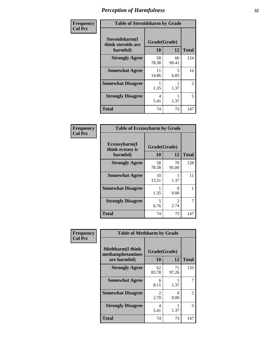| Frequency      | <b>Table of Steroidsharm by Grade</b>            |                    |             |                |
|----------------|--------------------------------------------------|--------------------|-------------|----------------|
| <b>Col Pct</b> | Steroidsharm(I<br>think steroids are<br>harmful) | Grade(Grade)<br>10 | 12          | <b>Total</b>   |
|                | <b>Strongly Agree</b>                            | 58<br>78.38        | 66<br>90.41 | 124            |
|                | <b>Somewhat Agree</b>                            | 11<br>14.86        | 5<br>6.85   | 16             |
|                | <b>Somewhat Disagree</b>                         | 1.35               | 1.37        | $\mathfrak{D}$ |
|                | <b>Strongly Disagree</b>                         | 4<br>5.41          | 1.37        | 5              |
|                | <b>Total</b>                                     | 74                 | 73          | 147            |

| <b>Table of Ecstasyharm by Grade</b>          |                    |                               |     |  |  |  |  |
|-----------------------------------------------|--------------------|-------------------------------|-----|--|--|--|--|
| Ecstasyharm(I<br>think ecstasy is<br>harmful) | Grade(Grade)<br>10 | <b>Total</b>                  |     |  |  |  |  |
| <b>Strongly Agree</b>                         | 58<br>78.38        | 70<br>95.89                   | 128 |  |  |  |  |
| <b>Somewhat Agree</b>                         | 10<br>13.51        | 1.37                          | 11  |  |  |  |  |
| <b>Somewhat Disagree</b>                      | 1.35               | 0<br>0.00                     |     |  |  |  |  |
| <b>Strongly Disagree</b>                      | 5<br>6.76          | $\mathcal{D}_{\cdot}$<br>2.74 | 7   |  |  |  |  |
| <b>Total</b>                                  | 74                 | 73                            | 147 |  |  |  |  |

| Frequency      | <b>Table of Methharm by Grade</b>                           |                        |             |              |
|----------------|-------------------------------------------------------------|------------------------|-------------|--------------|
| <b>Col Pct</b> | <b>Methharm(I think</b><br>methamphetamines<br>are harmful) | Grade(Grade)<br>10     | 12          | <b>Total</b> |
|                | <b>Strongly Agree</b>                                       | 62<br>83.78            | 71<br>97.26 | 133          |
|                | <b>Somewhat Agree</b>                                       | 6<br>8.11              | 1.37        |              |
|                | <b>Somewhat Disagree</b>                                    | $\mathfrak{D}$<br>2.70 | 0<br>0.00   | 2            |
|                | <b>Strongly Disagree</b>                                    | 4<br>5.41              | 1.37        | 5            |
|                | <b>Total</b>                                                | 74                     | 73          | 147          |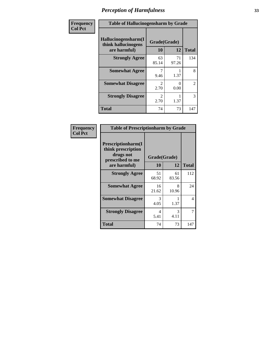| Frequency      | <b>Table of Hallucinogensharm by Grade</b>                 |                       |             |                |
|----------------|------------------------------------------------------------|-----------------------|-------------|----------------|
| <b>Col Pct</b> | Hallucinogensharm(I<br>think hallucinogens<br>are harmful) | Grade(Grade)<br>10    | 12          | <b>Total</b>   |
|                | <b>Strongly Agree</b>                                      | 63<br>85.14           | 71<br>97.26 | 134            |
|                | <b>Somewhat Agree</b>                                      | 7<br>9.46             | 1.37        | 8              |
|                | <b>Somewhat Disagree</b>                                   | $\mathcal{L}$<br>2.70 | 0<br>0.00   | $\overline{2}$ |
|                | <b>Strongly Disagree</b>                                   | 2<br>2.70             | 1.37        | 3              |
|                | <b>Total</b>                                               | 74                    | 73          | 147            |

| Frequency<br>  Col Pct |
|------------------------|

| <b>Table of Prescriptionharm by Grade</b>                                         |              |             |              |  |  |  |
|-----------------------------------------------------------------------------------|--------------|-------------|--------------|--|--|--|
| <b>Prescriptionharm(I)</b><br>think prescription<br>drugs not<br>prescribed to me | Grade(Grade) |             |              |  |  |  |
| are harmful)                                                                      | 10           | 12          | <b>Total</b> |  |  |  |
| <b>Strongly Agree</b>                                                             | 51<br>68.92  | 61<br>83.56 | 112          |  |  |  |
| <b>Somewhat Agree</b>                                                             | 16<br>21.62  | 8<br>10.96  | 24           |  |  |  |
| <b>Somewhat Disagree</b>                                                          | 3<br>4.05    | 1.37        | 4            |  |  |  |
| <b>Strongly Disagree</b>                                                          | 4<br>5.41    | 3<br>4.11   | 7            |  |  |  |
| Total                                                                             | 74           | 73          | 147          |  |  |  |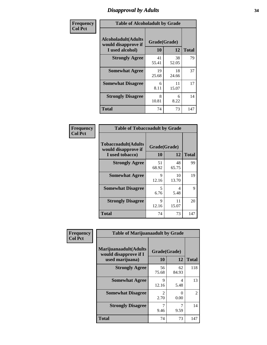# *Disapproval by Adults* **34**

| Frequency      | <b>Table of Alcoholadult by Grade</b>                                 |                    |             |              |  |
|----------------|-----------------------------------------------------------------------|--------------------|-------------|--------------|--|
| <b>Col Pct</b> | <b>Alcoholadult</b> (Adults<br>would disapprove if<br>I used alcohol) | Grade(Grade)<br>10 | 12          | <b>Total</b> |  |
|                | <b>Strongly Agree</b>                                                 | 41<br>55.41        | 38<br>52.05 | 79           |  |
|                | <b>Somewhat Agree</b>                                                 | 19<br>25.68        | 18<br>24.66 | 37           |  |
|                | <b>Somewhat Disagree</b>                                              | 6<br>8.11          | 11<br>15.07 | 17           |  |
|                | <b>Strongly Disagree</b>                                              | 8<br>10.81         | 6<br>8.22   | 14           |  |
|                | <b>Total</b>                                                          | 74                 | 73          | 147          |  |

| <b>Table of Tobaccoadult by Grade</b>                                 |                    |             |              |  |  |  |
|-----------------------------------------------------------------------|--------------------|-------------|--------------|--|--|--|
| <b>Tobaccoadult</b> (Adults<br>would disapprove if<br>I used tobacco) | Grade(Grade)<br>10 | 12          | <b>Total</b> |  |  |  |
| <b>Strongly Agree</b>                                                 | 51<br>68.92        | 48<br>65.75 | 99           |  |  |  |
| <b>Somewhat Agree</b>                                                 | 9<br>12.16         | 10<br>13.70 | 19           |  |  |  |
| <b>Somewhat Disagree</b>                                              | 5<br>6.76          | 4<br>5.48   | 9            |  |  |  |
| <b>Strongly Disagree</b>                                              | 9<br>12.16         | 11<br>15.07 | 20           |  |  |  |
| Total                                                                 | 74                 | 73          | 147          |  |  |  |

| Frequency      | <b>Table of Marijuanaadult by Grade</b>                           |                        |                  |              |  |
|----------------|-------------------------------------------------------------------|------------------------|------------------|--------------|--|
| <b>Col Pct</b> | Marijuanaadult(Adults<br>would disapprove if I<br>used marijuana) | Grade(Grade)<br>10     | 12               | <b>Total</b> |  |
|                | <b>Strongly Agree</b>                                             | 56<br>75.68            | 62<br>84.93      | 118          |  |
|                | <b>Somewhat Agree</b>                                             | 9<br>12.16             | 4<br>5.48        | 13           |  |
|                | <b>Somewhat Disagree</b>                                          | $\mathfrak{D}$<br>2.70 | $\Omega$<br>0.00 | 2            |  |
|                | <b>Strongly Disagree</b>                                          | 7<br>9.46              | 7<br>9.59        | 14           |  |
|                | <b>Total</b>                                                      | 74                     | 73               | 147          |  |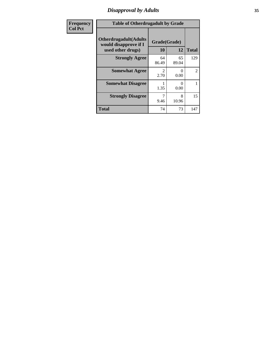# *Disapproval by Adults* **35**

| <b>Frequency</b> | <b>Table of Otherdrugadult by Grade</b>                                     |                       |             |              |
|------------------|-----------------------------------------------------------------------------|-----------------------|-------------|--------------|
| <b>Col Pct</b>   | <b>Otherdrugadult</b> (Adults<br>would disapprove if I<br>used other drugs) | Grade(Grade)<br>10    | 12          | <b>Total</b> |
|                  | <b>Strongly Agree</b>                                                       | 64<br>86.49           | 65<br>89.04 | 129          |
|                  | <b>Somewhat Agree</b>                                                       | $\mathcal{D}$<br>2.70 | 0<br>0.00   | 2            |
|                  | <b>Somewhat Disagree</b>                                                    | 1.35                  | 0<br>0.00   |              |
|                  | <b>Strongly Disagree</b>                                                    | 9.46                  | 8<br>10.96  | 15           |
|                  | <b>Total</b>                                                                | 74                    | 73          | 147          |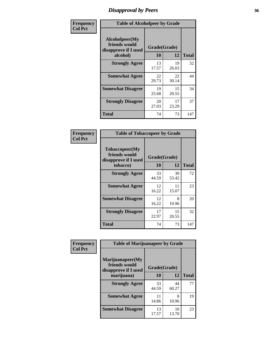# *Disapproval by Peers* **36**

| Frequency      | <b>Table of Alcoholpeer by Grade</b>                    |              |             |              |  |
|----------------|---------------------------------------------------------|--------------|-------------|--------------|--|
| <b>Col Pct</b> | Alcoholpeer(My<br>friends would<br>disapprove if I used | Grade(Grade) |             |              |  |
|                | alcohol)                                                | 10           | 12          | <b>Total</b> |  |
|                | <b>Strongly Agree</b>                                   | 13<br>17.57  | 19<br>26.03 | 32           |  |
|                | <b>Somewhat Agree</b>                                   | 22<br>29.73  | 22<br>30.14 | 44           |  |
|                | <b>Somewhat Disagree</b>                                | 19<br>25.68  | 15<br>20.55 | 34           |  |
|                | <b>Strongly Disagree</b>                                | 20<br>27.03  | 17<br>23.29 | 37           |  |
|                | Total                                                   | 74           | 73          | 147          |  |

| Frequency      | <b>Table of Tobaccopeer by Grade</b>                    |              |             |              |  |
|----------------|---------------------------------------------------------|--------------|-------------|--------------|--|
| <b>Col Pct</b> | Tobaccopeer(My<br>friends would<br>disapprove if I used | Grade(Grade) |             |              |  |
|                | tobacco)                                                | 10           | 12          | <b>Total</b> |  |
|                | <b>Strongly Agree</b>                                   | 33<br>44.59  | 39<br>53.42 | 72           |  |
|                | <b>Somewhat Agree</b>                                   | 12<br>16.22  | 11<br>15.07 | 23           |  |
|                | <b>Somewhat Disagree</b>                                | 12<br>16.22  | 8<br>10.96  | 20           |  |
|                | <b>Strongly Disagree</b>                                | 17<br>22.97  | 15<br>20.55 | 32           |  |
|                | Total                                                   | 74           | 73          | 147          |  |

| Frequency      | <b>Table of Marijuanapeer by Grade</b>                    |              |             |              |  |
|----------------|-----------------------------------------------------------|--------------|-------------|--------------|--|
| <b>Col Pct</b> | Marijuanapeer(My<br>friends would<br>disapprove if I used | Grade(Grade) |             |              |  |
|                | marijuana)                                                | <b>10</b>    | 12          | <b>Total</b> |  |
|                | <b>Strongly Agree</b>                                     | 33<br>44.59  | 44<br>60.27 | 77           |  |
|                | <b>Somewhat Agree</b>                                     | 11<br>14.86  | 8<br>10.96  | 19           |  |
|                | <b>Somewhat Disagree</b>                                  | 13<br>17.57  | 10<br>13.70 | 23           |  |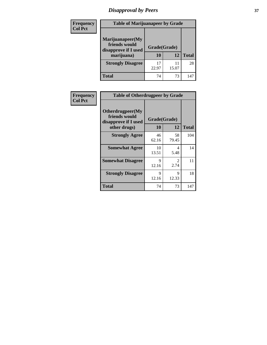# *Disapproval by Peers* **37**

| <b>Frequency</b> | <b>Table of Marijuanapeer by Grade</b>                                  |                    |       |              |  |
|------------------|-------------------------------------------------------------------------|--------------------|-------|--------------|--|
| <b>Col Pct</b>   | Marijuanapeer(My<br>friends would<br>disapprove if I used<br>marijuana) | Grade(Grade)<br>10 | 12    | <b>Total</b> |  |
|                  | <b>Strongly Disagree</b>                                                | 17<br>22.97        | 15.07 | 28           |  |
|                  | <b>Total</b>                                                            | 74                 | 73    | 147          |  |

| Frequency      | <b>Table of Otherdrugpeer by Grade</b>                                    |                    |                       |              |
|----------------|---------------------------------------------------------------------------|--------------------|-----------------------|--------------|
| <b>Col Pct</b> | Otherdrugpeer(My<br>friends would<br>disapprove if I used<br>other drugs) | Grade(Grade)<br>10 | 12                    | <b>Total</b> |
|                | <b>Strongly Agree</b>                                                     | 46<br>62.16        | 58<br>79.45           | 104          |
|                | <b>Somewhat Agree</b>                                                     | 10<br>13.51        | 4<br>5.48             | 14           |
|                | <b>Somewhat Disagree</b>                                                  | 9<br>12.16         | $\mathcal{L}$<br>2.74 | 11           |
|                | <b>Strongly Disagree</b>                                                  | 9<br>12.16         | 9<br>12.33            | 18           |
|                | <b>Total</b>                                                              | 74                 | 73                    | 147          |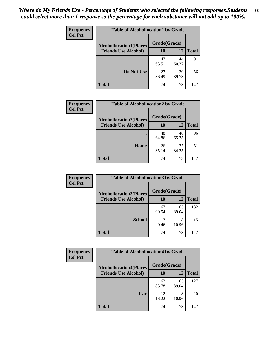| Frequency<br><b>Col Pct</b> | <b>Table of Alcohollocation1 by Grade</b> |              |             |              |  |
|-----------------------------|-------------------------------------------|--------------|-------------|--------------|--|
|                             | <b>Alcohollocation1(Places</b>            | Grade(Grade) |             |              |  |
|                             | <b>Friends Use Alcohol)</b>               | 10           | 12          | <b>Total</b> |  |
|                             |                                           | 47<br>63.51  | 44<br>60.27 | 91           |  |
|                             | Do Not Use                                | 27<br>36.49  | 29<br>39.73 | 56           |  |
|                             | <b>Total</b>                              | 74           | 73          | 147          |  |

| Frequency      | <b>Table of Alcohollocation2 by Grade</b>                     |                    |             |              |
|----------------|---------------------------------------------------------------|--------------------|-------------|--------------|
| <b>Col Pct</b> | <b>Alcohollocation2(Places</b><br><b>Friends Use Alcohol)</b> | Grade(Grade)<br>10 | <b>12</b>   | <b>Total</b> |
|                |                                                               | 48<br>64.86        | 48<br>65.75 | 96           |
|                | Home                                                          | 26<br>35.14        | 25<br>34.25 | 51           |
|                | <b>Total</b>                                                  | 74                 | 73          | 147          |

| Frequency      | <b>Table of Alcohollocation 3 by Grade</b>                    |                    |             |              |
|----------------|---------------------------------------------------------------|--------------------|-------------|--------------|
| <b>Col Pct</b> | <b>Alcohollocation3(Places</b><br><b>Friends Use Alcohol)</b> | Grade(Grade)<br>10 | 12          | <b>Total</b> |
|                |                                                               |                    |             |              |
|                |                                                               | 67<br>90.54        | 65<br>89.04 | 132          |
|                | <b>School</b>                                                 | 9.46               | 8<br>10.96  | 15           |
|                | <b>Total</b>                                                  | 74                 | 73          | 147          |

| <b>Frequency</b> | <b>Table of Alcohollocation4 by Grade</b> |              |             |              |  |
|------------------|-------------------------------------------|--------------|-------------|--------------|--|
| <b>Col Pct</b>   | <b>Alcohollocation4(Places</b>            | Grade(Grade) |             |              |  |
|                  | <b>Friends Use Alcohol)</b>               | 10           | 12          | <b>Total</b> |  |
|                  |                                           | 62<br>83.78  | 65<br>89.04 | 127          |  |
|                  | Car                                       | 12<br>16.22  | 8<br>10.96  | 20           |  |
|                  | <b>Total</b>                              | 74           | 73          | 147          |  |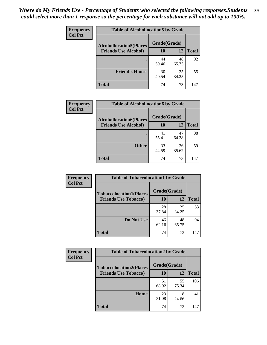| Frequency<br><b>Col Pct</b> | <b>Table of Alcohollocation5 by Grade</b> |              |             |              |  |
|-----------------------------|-------------------------------------------|--------------|-------------|--------------|--|
|                             | <b>Alcohollocation5(Places</b>            | Grade(Grade) |             |              |  |
|                             | <b>Friends Use Alcohol)</b>               | 10           | 12          | <b>Total</b> |  |
|                             |                                           | 44<br>59.46  | 48<br>65.75 | 92           |  |
|                             | <b>Friend's House</b>                     | 30<br>40.54  | 25<br>34.25 | 55           |  |
|                             | Total                                     | 74           | 73          | 147          |  |

| <b>Frequency</b> | <b>Table of Alcohollocation6 by Grade</b>                     |                           |             |              |
|------------------|---------------------------------------------------------------|---------------------------|-------------|--------------|
| <b>Col Pct</b>   | <b>Alcohollocation6(Places</b><br><b>Friends Use Alcohol)</b> | Grade(Grade)<br><b>10</b> | 12          | <b>Total</b> |
|                  |                                                               | 41<br>55.41               | 47<br>64.38 | 88           |
|                  | <b>Other</b>                                                  | 33<br>44.59               | 26<br>35.62 | 59           |
|                  | <b>Total</b>                                                  | 74                        | 73          | 147          |

| Frequency      | <b>Table of Tobaccolocation1 by Grade</b> |              |             |              |
|----------------|-------------------------------------------|--------------|-------------|--------------|
| <b>Col Pct</b> | <b>Tobaccolocation1(Places</b>            | Grade(Grade) |             |              |
|                | <b>Friends Use Tobacco)</b>               | 10           | 12          | <b>Total</b> |
|                |                                           | 28<br>37.84  | 25<br>34.25 | 53           |
|                | Do Not Use                                | 46<br>62.16  | 48<br>65.75 | 94           |
|                | <b>Total</b>                              | 74           | 73          | 147          |

| <b>Frequency</b> | <b>Table of Tobaccolocation2 by Grade</b> |              |             |              |
|------------------|-------------------------------------------|--------------|-------------|--------------|
| <b>Col Pct</b>   | <b>Tobaccolocation2(Places</b>            | Grade(Grade) |             |              |
|                  | <b>Friends Use Tobacco)</b>               | 10           | 12          | <b>Total</b> |
|                  |                                           | 51<br>68.92  | 55<br>75.34 | 106          |
|                  | Home                                      | 23<br>31.08  | 18<br>24.66 | 41           |
|                  | <b>Total</b>                              | 74           | 73          | 147          |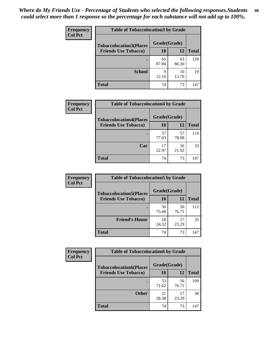| Frequency      | <b>Table of Tobaccolocation 3 by Grade</b> |              |             |              |  |
|----------------|--------------------------------------------|--------------|-------------|--------------|--|
| <b>Col Pct</b> | <b>Tobaccolocation3(Places</b>             | Grade(Grade) |             |              |  |
|                | <b>Friends Use Tobacco)</b>                | 10           | 12          | <b>Total</b> |  |
|                | ٠                                          | 65<br>87.84  | 63<br>86.30 | 128          |  |
|                | <b>School</b>                              | q<br>12.16   | 10<br>13.70 | 19           |  |
|                | <b>Total</b>                               | 74           | 73          | 147          |  |

| Frequency      | <b>Table of Tobaccolocation4 by Grade</b> |              |             |              |
|----------------|-------------------------------------------|--------------|-------------|--------------|
| <b>Col Pct</b> | <b>Tobaccolocation4(Places</b>            | Grade(Grade) |             |              |
|                | <b>Friends Use Tobacco)</b>               | 10           | 12          | <b>Total</b> |
|                |                                           | 57<br>77.03  | 57<br>78.08 | 114          |
|                | Car                                       | 17<br>22.97  | 16<br>21.92 | 33           |
|                | <b>Total</b>                              | 74           | 73          | 147          |

| <b>Frequency</b><br><b>Col Pct</b> | <b>Table of Tobaccolocation5 by Grade</b> |              |             |              |  |
|------------------------------------|-------------------------------------------|--------------|-------------|--------------|--|
|                                    | <b>Tobaccolocation5(Places</b>            | Grade(Grade) |             |              |  |
|                                    | <b>Friends Use Tobacco)</b>               | 10           | 12          | <b>Total</b> |  |
|                                    |                                           | 56<br>75.68  | 56<br>76.71 | 112          |  |
|                                    | <b>Friend's House</b>                     | 18<br>24.32  | 17<br>23.29 | 35           |  |
|                                    | Total                                     | 74           | 73          | 147          |  |

| Frequency      | <b>Table of Tobaccolocation6 by Grade</b> |              |             |              |  |
|----------------|-------------------------------------------|--------------|-------------|--------------|--|
| <b>Col Pct</b> | <b>Tobaccolocation6(Places</b>            | Grade(Grade) |             |              |  |
|                | <b>Friends Use Tobacco)</b>               | 10           | 12          | <b>Total</b> |  |
|                |                                           | 53<br>71.62  | 56<br>76.71 | 109          |  |
|                | <b>Other</b>                              | 21<br>28.38  | 17<br>23.29 | 38           |  |
|                | <b>Total</b>                              | 74           | 73          | 147          |  |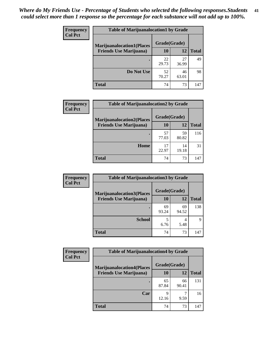| <b>Frequency</b> | <b>Table of Marijuanalocation1 by Grade</b> |              |             |              |  |
|------------------|---------------------------------------------|--------------|-------------|--------------|--|
| <b>Col Pct</b>   | <b>Marijuanalocation1(Places</b>            | Grade(Grade) |             |              |  |
|                  | <b>Friends Use Marijuana</b> )              | <b>10</b>    | 12          | <b>Total</b> |  |
|                  |                                             | 22<br>29.73  | 27<br>36.99 | 49           |  |
|                  | Do Not Use                                  | 52<br>70.27  | 46<br>63.01 | 98           |  |
|                  | <b>Total</b>                                | 74           | 73          | 147          |  |

| <b>Frequency</b> | <b>Table of Marijuanalocation2 by Grade</b> |                    |             |              |
|------------------|---------------------------------------------|--------------------|-------------|--------------|
| <b>Col Pct</b>   | <b>Marijuanalocation2(Places</b>            | Grade(Grade)<br>10 | 12          |              |
|                  | <b>Friends Use Marijuana</b> )              |                    |             | <b>Total</b> |
|                  |                                             | 57<br>77.03        | 59<br>80.82 | 116          |
|                  | Home                                        | 17<br>22.97        | 14<br>19.18 | 31           |
|                  | <b>Total</b>                                | 74                 | 73          | 147          |

| <b>Frequency</b> | <b>Table of Marijuanalocation3 by Grade</b> |              |             |              |
|------------------|---------------------------------------------|--------------|-------------|--------------|
| <b>Col Pct</b>   | <b>Marijuanalocation3</b> (Places           | Grade(Grade) |             |              |
|                  | <b>Friends Use Marijuana</b> )              | 10           | 12          | <b>Total</b> |
|                  |                                             | 69<br>93.24  | 69<br>94.52 | 138          |
|                  | <b>School</b>                               | 5<br>6.76    | 5.48        | Q            |
|                  | <b>Total</b>                                | 74           | 73          | 147          |

| <b>Frequency</b> | <b>Table of Marijuanalocation4 by Grade</b> |              |             |       |  |
|------------------|---------------------------------------------|--------------|-------------|-------|--|
| <b>Col Pct</b>   | <b>Marijuanalocation4(Places</b>            | Grade(Grade) |             |       |  |
|                  | <b>Friends Use Marijuana</b> )              | 10           | 12          | Total |  |
|                  |                                             | 65<br>87.84  | 66<br>90.41 | 131   |  |
|                  | Car                                         | q<br>12.16   | 9.59        | 16    |  |
|                  | <b>Total</b>                                | 74           | 73          | 147   |  |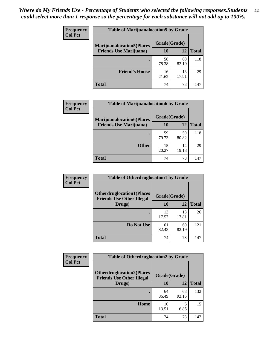| <b>Frequency</b>               | <b>Table of Marijuanalocation5 by Grade</b> |              |              |     |
|--------------------------------|---------------------------------------------|--------------|--------------|-----|
| <b>Col Pct</b>                 | <b>Marijuanalocation5</b> (Places           | Grade(Grade) |              |     |
| <b>Friends Use Marijuana</b> ) | 10                                          | 12           | <b>Total</b> |     |
|                                |                                             | 58<br>78.38  | 60<br>82.19  | 118 |
|                                | <b>Friend's House</b>                       | 16<br>21.62  | 13<br>17.81  | 29  |
|                                | <b>Total</b>                                | 74           | 73           | 147 |

| Frequency      | <b>Table of Marijuanalocation6 by Grade</b> |              |             |              |
|----------------|---------------------------------------------|--------------|-------------|--------------|
| <b>Col Pct</b> | <b>Marijuanalocation6(Places</b>            | Grade(Grade) |             |              |
|                | <b>Friends Use Marijuana</b> )              | 10           | 12          | <b>Total</b> |
|                |                                             | 59<br>79.73  | 59<br>80.82 | 118          |
|                | <b>Other</b>                                | 15<br>20.27  | 14<br>19.18 | 29           |
|                | <b>Total</b>                                | 74           | 73          | 147          |

| <b>Frequency</b> | <b>Table of Otherdruglocation1 by Grade</b>                          |              |             |              |
|------------------|----------------------------------------------------------------------|--------------|-------------|--------------|
| <b>Col Pct</b>   | <b>Otherdruglocation1(Places</b><br><b>Friends Use Other Illegal</b> | Grade(Grade) |             |              |
|                  | Drugs)                                                               | <b>10</b>    | 12          | <b>Total</b> |
|                  |                                                                      | 13<br>17.57  | 13<br>17.81 | 26           |
|                  | Do Not Use                                                           | 61<br>82.43  | 60<br>82.19 | 121          |
|                  | <b>Total</b>                                                         | 74           | 73          | 147          |

| Frequency      | <b>Table of Otherdruglocation2 by Grade</b>                          |              |             |              |
|----------------|----------------------------------------------------------------------|--------------|-------------|--------------|
| <b>Col Pct</b> | <b>Otherdruglocation2(Places</b><br><b>Friends Use Other Illegal</b> | Grade(Grade) |             |              |
|                | Drugs)                                                               | 10           | 12          | <b>Total</b> |
|                |                                                                      | 64<br>86.49  | 68<br>93.15 | 132          |
|                | Home                                                                 | 10<br>13.51  | 5<br>6.85   | 15           |
|                | Total                                                                | 74           | 73          | 147          |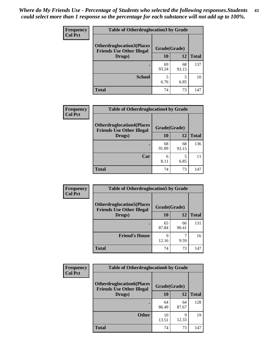| <b>Frequency</b> | <b>Table of Otherdruglocation 3 by Grade</b>                         |              |             |              |
|------------------|----------------------------------------------------------------------|--------------|-------------|--------------|
| <b>Col Pct</b>   | <b>Otherdruglocation3(Places</b><br><b>Friends Use Other Illegal</b> | Grade(Grade) |             |              |
|                  | Drugs)                                                               | 10           | 12          | <b>Total</b> |
|                  |                                                                      | 69<br>93.24  | 68<br>93.15 | 137          |
|                  | <b>School</b>                                                        | 5<br>6.76    | 6.85        | 10           |
|                  | <b>Total</b>                                                         | 74           | 73          | 147          |

| Frequency      | <b>Table of Otherdruglocation4 by Grade</b>                          |             |              |              |
|----------------|----------------------------------------------------------------------|-------------|--------------|--------------|
| <b>Col Pct</b> | <b>Otherdruglocation4(Places</b><br><b>Friends Use Other Illegal</b> |             | Grade(Grade) |              |
|                | Drugs)                                                               | 10          | 12           | <b>Total</b> |
|                |                                                                      | 68<br>91.89 | 68<br>93.15  | 136          |
|                | Car                                                                  | 6<br>8.11   | 5<br>6.85    | 11           |
|                | <b>Total</b>                                                         | 74          | 73           | 147          |

| <b>Frequency</b> | <b>Table of Otherdruglocation5 by Grade</b>                          |              |             |              |
|------------------|----------------------------------------------------------------------|--------------|-------------|--------------|
| <b>Col Pct</b>   | <b>Otherdruglocation5(Places</b><br><b>Friends Use Other Illegal</b> | Grade(Grade) |             |              |
|                  | Drugs)                                                               | <b>10</b>    | 12          | <b>Total</b> |
|                  |                                                                      | 65<br>87.84  | 66<br>90.41 | 131          |
|                  | <b>Friend's House</b>                                                | 9<br>12.16   | 9.59        | 16           |
|                  | <b>Total</b>                                                         | 74           | 73          | 147          |

| <b>Frequency</b> | <b>Table of Otherdruglocation6 by Grade</b>                          |              |             |              |
|------------------|----------------------------------------------------------------------|--------------|-------------|--------------|
| <b>Col Pct</b>   | <b>Otherdruglocation6(Places</b><br><b>Friends Use Other Illegal</b> | Grade(Grade) |             |              |
|                  | Drugs)                                                               | 10           | 12          | <b>Total</b> |
|                  |                                                                      | 64<br>86.49  | 64<br>87.67 | 128          |
|                  | <b>Other</b>                                                         | 10<br>13.51  | 9<br>12.33  | 19           |
|                  | <b>Total</b>                                                         | 74           | 73          | 147          |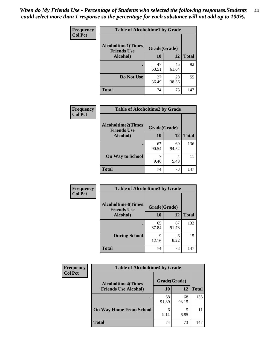| Frequency      | <b>Table of Alcoholtime1 by Grade</b>           |              |             |              |
|----------------|-------------------------------------------------|--------------|-------------|--------------|
| <b>Col Pct</b> | <b>Alcoholtime1(Times</b><br><b>Friends Use</b> | Grade(Grade) |             |              |
|                | Alcohol)                                        | 10           | <b>12</b>   | <b>Total</b> |
|                |                                                 | 47<br>63.51  | 45<br>61.64 | 92           |
|                | Do Not Use                                      | 27<br>36.49  | 28<br>38.36 | 55           |
|                | <b>Total</b>                                    | 74           | 73          | 147          |

| <b>Frequency</b> | <b>Table of Alcoholtime2 by Grade</b>           |              |             |              |
|------------------|-------------------------------------------------|--------------|-------------|--------------|
| <b>Col Pct</b>   | <b>Alcoholtime2(Times</b><br><b>Friends Use</b> | Grade(Grade) |             |              |
|                  | Alcohol)                                        | 10           | 12          | <b>Total</b> |
|                  |                                                 | 67<br>90.54  | 69<br>94.52 | 136          |
|                  | <b>On Way to School</b>                         | 9.46         | 4<br>5.48   | 11           |
|                  | <b>Total</b>                                    | 74           | 73          | 147          |

| Frequency      | <b>Table of Alcoholtime3 by Grade</b>                           |             |             |              |
|----------------|-----------------------------------------------------------------|-------------|-------------|--------------|
| <b>Col Pct</b> | <b>Alcoholtime3(Times</b><br>Grade(Grade)<br><b>Friends Use</b> |             |             |              |
|                | Alcohol)                                                        | 10          | <b>12</b>   | <b>Total</b> |
|                |                                                                 | 65<br>87.84 | 67<br>91.78 | 132          |
|                | <b>During School</b>                                            | 9<br>12.16  | 6<br>8.22   | 15           |
|                | <b>Total</b>                                                    | 74          | 73          | 147          |

| <b>Frequency</b> | <b>Table of Alcoholtime4 by Grade</b> |              |             |              |  |
|------------------|---------------------------------------|--------------|-------------|--------------|--|
| <b>Col Pct</b>   | <b>Alcoholtime4(Times</b>             | Grade(Grade) |             |              |  |
|                  | <b>Friends Use Alcohol)</b>           | 10           | 12          | <b>Total</b> |  |
|                  |                                       | 68<br>91.89  | 68<br>93.15 | 136          |  |
|                  | <b>On Way Home From School</b>        | 6<br>8.11    | 6.85        | 11           |  |
|                  | <b>Total</b>                          | 74           | 73          | 147          |  |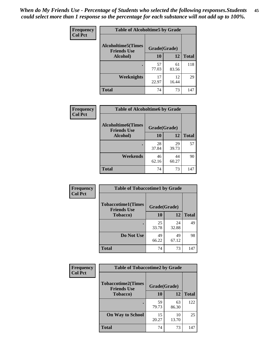*When do My Friends Use - Percentage of Students who selected the following responses.Students could select more than 1 response so the percentage for each substance will not add up to 100%.* **45**

| Frequency      | <b>Table of Alcoholtime5 by Grade</b>           |              |             |              |
|----------------|-------------------------------------------------|--------------|-------------|--------------|
| <b>Col Pct</b> | <b>Alcoholtime5(Times</b><br><b>Friends Use</b> | Grade(Grade) |             |              |
|                | Alcohol)                                        | 10           | 12          | <b>Total</b> |
|                |                                                 | 57<br>77.03  | 61<br>83.56 | 118          |
|                | Weeknights                                      | 17<br>22.97  | 12<br>16.44 | 29           |
|                | <b>Total</b>                                    | 74           | 73          | 147          |

| Frequency      | <b>Table of Alcoholtime6 by Grade</b>           |              |             |              |  |
|----------------|-------------------------------------------------|--------------|-------------|--------------|--|
| <b>Col Pct</b> | <b>Alcoholtime6(Times</b><br><b>Friends Use</b> | Grade(Grade) |             |              |  |
|                | Alcohol)                                        | 10           | 12          | <b>Total</b> |  |
|                |                                                 | 28<br>37.84  | 29<br>39.73 | 57           |  |
|                | Weekends                                        | 46<br>62.16  | 44<br>60.27 | 90           |  |
|                | <b>Total</b>                                    | 74           | 73          | 147          |  |

| Frequency      | <b>Table of Tobaccotime1 by Grade</b>           |              |             |              |  |
|----------------|-------------------------------------------------|--------------|-------------|--------------|--|
| <b>Col Pct</b> | <b>Tobaccotime1(Times</b><br><b>Friends Use</b> | Grade(Grade) |             |              |  |
|                | <b>Tobacco</b> )                                | 10           | 12          | <b>Total</b> |  |
|                | ٠                                               | 25<br>33.78  | 24<br>32.88 | 49           |  |
|                | Do Not Use                                      | 49<br>66.22  | 49<br>67.12 | 98           |  |
|                | <b>Total</b>                                    | 74           | 73          | 147          |  |

| Frequency      | <b>Table of Tobaccotime2 by Grade</b>                           |             |             |              |
|----------------|-----------------------------------------------------------------|-------------|-------------|--------------|
| <b>Col Pct</b> | <b>Tobaccotime2(Times</b><br>Grade(Grade)<br><b>Friends Use</b> |             |             |              |
|                | <b>Tobacco</b> )                                                | 10          | 12          | <b>Total</b> |
|                |                                                                 | 59<br>79.73 | 63<br>86.30 | 122          |
|                | <b>On Way to School</b>                                         | 15<br>20.27 | 10<br>13.70 | 25           |
|                | <b>Total</b>                                                    | 74          | 73          | 147          |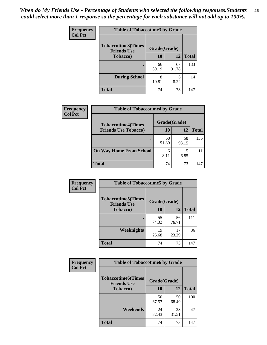| <b>Frequency</b> | <b>Table of Tobaccotime3 by Grade</b>           |              |             |              |  |
|------------------|-------------------------------------------------|--------------|-------------|--------------|--|
| <b>Col Pct</b>   | <b>Tobaccotime3(Times</b><br><b>Friends Use</b> | Grade(Grade) |             |              |  |
|                  | <b>Tobacco</b> )                                | 10           | 12          | <b>Total</b> |  |
|                  |                                                 | 66<br>89.19  | 67<br>91.78 | 133          |  |
|                  | <b>During School</b>                            | 8<br>10.81   | 6<br>8.22   | 14           |  |
|                  | <b>Total</b>                                    | 74           | 73          | 147          |  |

| <b>Frequency</b><br><b>Col Pct</b> | <b>Table of Tobaccotime4 by Grade</b> |              |             |              |  |
|------------------------------------|---------------------------------------|--------------|-------------|--------------|--|
|                                    | <b>Tobaccotime4(Times</b>             | Grade(Grade) |             |              |  |
|                                    | <b>Friends Use Tobacco)</b>           | 10           | 12          | <b>Total</b> |  |
|                                    |                                       | 68<br>91.89  | 68<br>93.15 | 136          |  |
|                                    | <b>On Way Home From School</b>        | 6<br>8.11    | 6.85        |              |  |
|                                    | <b>Total</b>                          | 74           | 73          | 147          |  |

| Frequency<br><b>Col Pct</b> | <b>Table of Tobaccotime5 by Grade</b>           |              |             |              |  |
|-----------------------------|-------------------------------------------------|--------------|-------------|--------------|--|
|                             | <b>Tobaccotime5(Times</b><br><b>Friends Use</b> | Grade(Grade) |             |              |  |
|                             | <b>Tobacco</b> )                                | 10           | 12          | <b>Total</b> |  |
|                             |                                                 | 55<br>74.32  | 56<br>76.71 | 111          |  |
|                             | <b>Weeknights</b>                               | 19<br>25.68  | 17<br>23.29 | 36           |  |
|                             | <b>Total</b>                                    | 74           | 73          | 147          |  |

| Frequency      | <b>Table of Tobaccotime6 by Grade</b>           |              |             |              |
|----------------|-------------------------------------------------|--------------|-------------|--------------|
| <b>Col Pct</b> | <b>Tobaccotime6(Times</b><br><b>Friends Use</b> | Grade(Grade) |             |              |
|                | <b>Tobacco</b> )                                | 10           | 12          | <b>Total</b> |
|                |                                                 | 50<br>67.57  | 50<br>68.49 | 100          |
|                | Weekends                                        | 24<br>32.43  | 23<br>31.51 | 47           |
|                | <b>Total</b>                                    | 74           | 73          | 147          |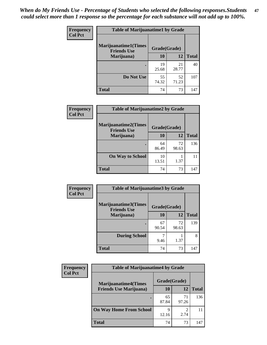| Frequency      | <b>Table of Marijuanatime1 by Grade</b>           |              |             |              |
|----------------|---------------------------------------------------|--------------|-------------|--------------|
| <b>Col Pct</b> | <b>Marijuanatime1(Times</b><br><b>Friends Use</b> | Grade(Grade) |             |              |
|                | Marijuana)                                        | 10           | 12          | <b>Total</b> |
|                |                                                   | 19<br>25.68  | 21<br>28.77 | 40           |
|                | Do Not Use                                        | 55<br>74.32  | 52<br>71.23 | 107          |
|                | <b>Total</b>                                      | 74           | 73          | 147          |

| Frequency      | <b>Table of Marijuanatime2 by Grade</b>           |              |             |              |
|----------------|---------------------------------------------------|--------------|-------------|--------------|
| <b>Col Pct</b> | <b>Marijuanatime2(Times</b><br><b>Friends Use</b> | Grade(Grade) |             |              |
|                | Marijuana)                                        | 10           | 12          | <b>Total</b> |
|                |                                                   | 64<br>86.49  | 72<br>98.63 | 136          |
|                | <b>On Way to School</b>                           | 10<br>13.51  | 1.37        | 11           |
|                | <b>Total</b>                                      | 74           | 73          | 147          |

| Frequency<br><b>Col Pct</b> | <b>Table of Marijuanatime3 by Grade</b>    |              |             |              |  |
|-----------------------------|--------------------------------------------|--------------|-------------|--------------|--|
|                             | Marijuanatime3(Times<br><b>Friends Use</b> | Grade(Grade) |             |              |  |
|                             | Marijuana)                                 | 10           | 12          | <b>Total</b> |  |
|                             |                                            | 67<br>90.54  | 72<br>98.63 | 139          |  |
|                             | <b>During School</b>                       | 9.46         | 1.37        | 8            |  |
|                             | <b>Total</b>                               | 74           | 73          | 147          |  |

| <b>Frequency</b> | <b>Table of Marijuanatime4 by Grade</b> |              |             |              |
|------------------|-----------------------------------------|--------------|-------------|--------------|
| <b>Col Pct</b>   | <b>Marijuanatime4(Times</b>             | Grade(Grade) |             |              |
|                  | <b>Friends Use Marijuana</b> )          | 10           | 12          | <b>Total</b> |
|                  |                                         | 65<br>87.84  | 71<br>97.26 | 136          |
|                  | <b>On Way Home From School</b>          | 9<br>12.16   | ി<br>2.74   |              |
|                  | <b>Total</b>                            | 74           | 73          | 147          |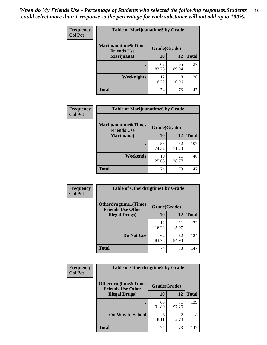| <b>Frequency</b> | <b>Table of Marijuanatime5 by Grade</b>            |              |             |              |
|------------------|----------------------------------------------------|--------------|-------------|--------------|
| <b>Col Pct</b>   | <b>Marijuanatime5</b> (Times<br><b>Friends Use</b> | Grade(Grade) |             |              |
|                  | Marijuana)                                         | 10           | 12          | <b>Total</b> |
|                  |                                                    | 62<br>83.78  | 65<br>89.04 | 127          |
|                  | Weeknights                                         | 12<br>16.22  | 8<br>10.96  | 20           |
|                  | <b>Total</b>                                       | 74           | 73          | 147          |

| Frequency      | <b>Table of Marijuanatime6 by Grade</b>    |              |             |              |
|----------------|--------------------------------------------|--------------|-------------|--------------|
| <b>Col Pct</b> | Marijuanatime6(Times<br><b>Friends Use</b> | Grade(Grade) |             |              |
|                | Marijuana)                                 | 10           | 12          | <b>Total</b> |
|                |                                            | 55<br>74.32  | 52<br>71.23 | 107          |
|                | Weekends                                   | 19<br>25.68  | 21<br>28.77 | 40           |
|                | <b>Total</b>                               | 74           | 73          | 147          |

| <b>Frequency</b> | <b>Table of Otherdrugtime1 by Grade</b>                 |              |             |              |  |
|------------------|---------------------------------------------------------|--------------|-------------|--------------|--|
| <b>Col Pct</b>   | <b>Otherdrugtime1(Times</b><br><b>Friends Use Other</b> | Grade(Grade) |             |              |  |
|                  | <b>Illegal Drugs</b> )                                  | 10           | 12          | <b>Total</b> |  |
|                  |                                                         | 12<br>16.22  | 11<br>15.07 | 23           |  |
|                  | Do Not Use                                              | 62<br>83.78  | 62<br>84.93 | 124          |  |
|                  | Total                                                   | 74           | 73          | 147          |  |

| <b>Frequency</b> | <b>Table of Otherdrugtime2 by Grade</b>                                 |             |                        |              |
|------------------|-------------------------------------------------------------------------|-------------|------------------------|--------------|
| <b>Col Pct</b>   | <b>Otherdrugtime2(Times</b><br>Grade(Grade)<br><b>Friends Use Other</b> |             |                        |              |
|                  | <b>Illegal Drugs</b> )                                                  | 10          | 12                     | <b>Total</b> |
|                  |                                                                         | 68<br>91.89 | 71<br>97.26            | 139          |
|                  | <b>On Way to School</b>                                                 | 6<br>8.11   | $\mathfrak{D}$<br>2.74 | 8            |
|                  | Total                                                                   | 74          | 73                     | 147          |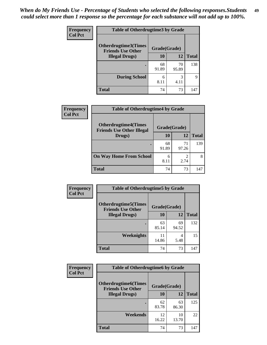| <b>Frequency</b> | <b>Table of Otherdrugtime3 by Grade</b>          |              |             |              |
|------------------|--------------------------------------------------|--------------|-------------|--------------|
| <b>Col Pct</b>   | Otherdrugtime3(Times<br><b>Friends Use Other</b> | Grade(Grade) |             |              |
|                  | <b>Illegal Drugs</b> )                           | 10           | 12          | <b>Total</b> |
|                  |                                                  | 68<br>91.89  | 70<br>95.89 | 138          |
|                  | <b>During School</b>                             | 6<br>8.11    | 3<br>4.11   | 9            |
|                  | Total                                            | 74           | 73          | 147          |

| Frequency      | <b>Table of Otherdrugtime4 by Grade</b>                         |              |             |              |
|----------------|-----------------------------------------------------------------|--------------|-------------|--------------|
| <b>Col Pct</b> | <b>Otherdrugtime4(Times</b><br><b>Friends Use Other Illegal</b> | Grade(Grade) |             |              |
|                | Drugs)                                                          | 10           | 12          | <b>Total</b> |
|                | ٠                                                               | 68<br>91.89  | 71<br>97.26 | 139          |
|                | <b>On Way Home From School</b>                                  | 6<br>8.11    | 2.74        | 8            |
|                | <b>Total</b>                                                    | 74           | 73          | 147          |

| <b>Frequency</b> | <b>Table of Otherdrugtime5 by Grade</b>                  |              |             |              |  |
|------------------|----------------------------------------------------------|--------------|-------------|--------------|--|
| <b>Col Pct</b>   | <b>Otherdrugtime5</b> (Times<br><b>Friends Use Other</b> | Grade(Grade) |             |              |  |
|                  | <b>Illegal Drugs</b> )                                   | 10           | 12          | <b>Total</b> |  |
|                  |                                                          | 63<br>85.14  | 69<br>94.52 | 132          |  |
|                  | Weeknights                                               | 11<br>14.86  | 4<br>5.48   | 15           |  |
|                  | Total                                                    | 74           | 73          | 147          |  |

| <b>Frequency</b> | <b>Table of Otherdrugtime6 by Grade</b>                 |              |             |              |  |
|------------------|---------------------------------------------------------|--------------|-------------|--------------|--|
| <b>Col Pct</b>   | <b>Otherdrugtime6(Times</b><br><b>Friends Use Other</b> | Grade(Grade) |             |              |  |
|                  | <b>Illegal Drugs</b> )                                  | 10           | 12          | <b>Total</b> |  |
|                  |                                                         | 62<br>83.78  | 63<br>86.30 | 125          |  |
|                  | Weekends                                                | 12<br>16.22  | 10<br>13.70 | 22           |  |
|                  | <b>Total</b>                                            | 74           | 73          | 147          |  |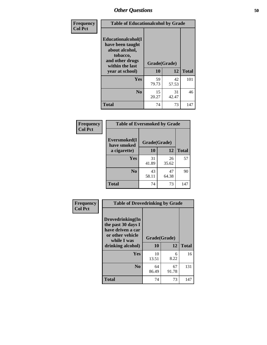| Frequency      | <b>Table of Educationalcohol by Grade</b>                                                                  |              |             |              |
|----------------|------------------------------------------------------------------------------------------------------------|--------------|-------------|--------------|
| <b>Col Pct</b> | Educationalcohol(I<br>have been taught<br>about alcohol,<br>tobacco,<br>and other drugs<br>within the last | Grade(Grade) |             |              |
|                | year at school)                                                                                            | 10           | 12          | <b>Total</b> |
|                | Yes                                                                                                        | 59<br>79.73  | 42<br>57.53 | 101          |
|                | N <sub>0</sub>                                                                                             | 15<br>20.27  | 31<br>42.47 | 46           |
|                | <b>Total</b>                                                                                               | 74           | 73          | 147          |

| Frequency      | <b>Table of Eversmoked by Grade</b> |              |             |              |  |  |
|----------------|-------------------------------------|--------------|-------------|--------------|--|--|
| <b>Col Pct</b> | Eversmoked(I<br>have smoked         | Grade(Grade) |             |              |  |  |
|                | a cigarette)                        | 10           | 12          | <b>Total</b> |  |  |
|                | Yes                                 | 31<br>41.89  | 26<br>35.62 | 57           |  |  |
|                | N <sub>0</sub>                      | 43<br>58.11  | 47<br>64.38 | 90           |  |  |
|                | <b>Total</b>                        | 74           | 73          | 147          |  |  |

| Frequency      | <b>Table of Drovedrinking by Grade</b>                                                                              |                          |             |              |
|----------------|---------------------------------------------------------------------------------------------------------------------|--------------------------|-------------|--------------|
| <b>Col Pct</b> | Drovedrinking(In<br>the past 30 days I<br>have driven a car<br>or other vehicle<br>while I was<br>drinking alcohol) | Grade(Grade)<br>10<br>12 |             | <b>Total</b> |
|                | <b>Yes</b>                                                                                                          | 10<br>13.51              | 6<br>8.22   | 16           |
|                | N <sub>0</sub>                                                                                                      | 64<br>86.49              | 67<br>91.78 | 131          |
|                | <b>Total</b>                                                                                                        | 74                       | 73          | 147          |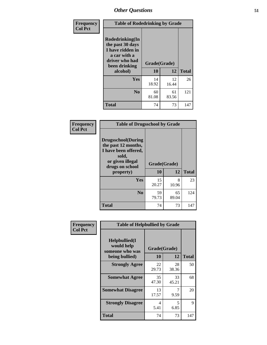| Frequency      | <b>Table of Rodedrinking by Grade</b>                                                                                      |             |             |              |
|----------------|----------------------------------------------------------------------------------------------------------------------------|-------------|-------------|--------------|
| <b>Col Pct</b> | Rodedrinking(In<br>the past 30 days<br>I have ridden in<br>a car with a<br>driver who had<br>Grade(Grade)<br>been drinking |             |             |              |
|                | alcohol)                                                                                                                   | 10          | 12          | <b>Total</b> |
|                | <b>Yes</b>                                                                                                                 | 14<br>18.92 | 12<br>16.44 | 26           |
|                | N <sub>0</sub>                                                                                                             | 60<br>81.08 | 61<br>83.56 | 121          |
|                | <b>Total</b>                                                                                                               | 74          | 73          | 147          |

#### **Frequency Col Pct**

| <b>Table of Drugsschool by Grade</b>                                                                                      |              |             |              |  |  |  |
|---------------------------------------------------------------------------------------------------------------------------|--------------|-------------|--------------|--|--|--|
| <b>Drugsschool</b> (During<br>the past 12 months,<br>I have been offered,<br>sold,<br>or given illegal<br>drugs on school | Grade(Grade) |             |              |  |  |  |
| property)                                                                                                                 | 10           | 12          | <b>Total</b> |  |  |  |
| Yes                                                                                                                       | 15<br>20.27  | 8<br>10.96  | 23           |  |  |  |
| N <sub>0</sub>                                                                                                            |              |             | 124          |  |  |  |
|                                                                                                                           | 59<br>79.73  | 65<br>89.04 |              |  |  |  |

| Frequency      | <b>Table of Helpbullied by Grade</b>                                   |                    |             |              |
|----------------|------------------------------------------------------------------------|--------------------|-------------|--------------|
| <b>Col Pct</b> | $Helpb$ ullied $(I$<br>would help<br>someone who was<br>being bullied) | Grade(Grade)<br>10 | 12          | <b>Total</b> |
|                | <b>Strongly Agree</b>                                                  | 22<br>29.73        | 28<br>38.36 | 50           |
|                | <b>Somewhat Agree</b>                                                  | 35<br>47.30        | 33<br>45.21 | 68           |
|                | <b>Somewhat Disagree</b>                                               | 13<br>17.57        | 7<br>9.59   | 20           |
|                | <b>Strongly Disagree</b>                                               | 4<br>5.41          | 5<br>6.85   | 9            |
|                | Total                                                                  | 74                 | 73          | 147          |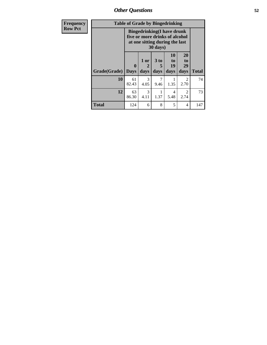*Other Questions* **52**

| Frequency      | <b>Table of Grade by Bingedrinking</b><br><b>Bingedrinking(I have drunk</b><br>five or more drinks of alcohol<br>at one sitting during the last<br>30 days) |                             |                   |                              |                        |                        |              |
|----------------|-------------------------------------------------------------------------------------------------------------------------------------------------------------|-----------------------------|-------------------|------------------------------|------------------------|------------------------|--------------|
| <b>Row Pct</b> |                                                                                                                                                             |                             |                   |                              |                        |                        |              |
|                | Grade(Grade)                                                                                                                                                | $\mathbf{0}$<br><b>Days</b> | 1 or<br>2<br>days | 3 <sub>to</sub><br>5<br>days | 10<br>to<br>19<br>days | 20<br>to<br>29<br>days | <b>Total</b> |
|                | 10                                                                                                                                                          | 61<br>82.43                 | 3<br>4.05         | 9.46                         | 1.35                   | $\overline{2}$<br>2.70 | 74           |
|                | 12                                                                                                                                                          | 63<br>86.30                 | 3<br>4.11         | 1.37                         | 4<br>5.48              | $\mathfrak{D}$<br>2.74 | 73           |
|                | <b>Total</b>                                                                                                                                                | 124                         | 6                 | 8                            | 5                      | 4                      | 147          |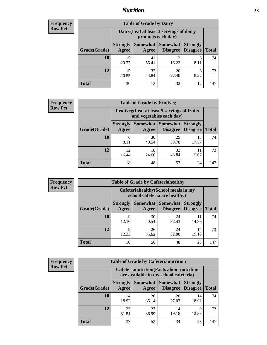## *Nutrition* **53**

| Frequency |
|-----------|
| Row Pct   |

| <b>Table of Grade by Dairy</b> |                          |                                                                 |                             |                                    |              |  |
|--------------------------------|--------------------------|-----------------------------------------------------------------|-----------------------------|------------------------------------|--------------|--|
|                                |                          | Dairy (I eat at least 3 servings of dairy<br>products each day) |                             |                                    |              |  |
| Grade(Grade)                   | <b>Strongly</b><br>Agree | Somewhat<br>Agree                                               | <b>Somewhat</b><br>Disagree | <b>Strongly</b><br><b>Disagree</b> | <b>Total</b> |  |
| 10                             | 15<br>20.27              | 41<br>55.41                                                     | 12<br>16.22                 | 6<br>8.11                          | 74           |  |
| 12                             | 15<br>20.55              | 32<br>43.84                                                     | 20<br>27.40                 | 6<br>8.22                          | 73           |  |
| <b>Total</b>                   | 30                       | 73                                                              | 32                          | 12                                 | 147          |  |

| <b>Frequency</b> |  |
|------------------|--|
| <b>Row Pct</b>   |  |

| <b>y</b> | <b>Table of Grade by Fruitveg</b> |                          |                                                                          |                               |                                    |              |  |
|----------|-----------------------------------|--------------------------|--------------------------------------------------------------------------|-------------------------------|------------------------------------|--------------|--|
|          |                                   |                          | Fruitveg(I eat at least 5 servings of fruits<br>and vegetables each day) |                               |                                    |              |  |
|          | Grade(Grade)                      | <b>Strongly</b><br>Agree | Agree                                                                    | Somewhat Somewhat<br>Disagree | <b>Strongly</b><br><b>Disagree</b> | <b>Total</b> |  |
|          | 10                                | 6<br>8.11                | 30<br>40.54                                                              | 25<br>33.78                   | 13<br>17.57                        | 74           |  |
|          | 12                                | 12.<br>16.44             | 18<br>24.66                                                              | 32<br>43.84                   | 15.07                              | 73           |  |
|          | <b>Total</b>                      | 18                       | 48                                                                       | 57                            | 24                                 | 147          |  |

| <b>Frequency</b> | <b>Table of Grade by Cafeteriahealthy</b> |                                                                       |             |                                          |                                    |              |  |  |
|------------------|-------------------------------------------|-----------------------------------------------------------------------|-------------|------------------------------------------|------------------------------------|--------------|--|--|
| <b>Row Pct</b>   |                                           | Cafeteriahealthy (School meals in my<br>school cafeteria are healthy) |             |                                          |                                    |              |  |  |
|                  | Grade(Grade)                              | <b>Strongly</b><br>Agree                                              | Agree       | Somewhat   Somewhat  <br><b>Disagree</b> | <b>Strongly</b><br><b>Disagree</b> | <b>Total</b> |  |  |
|                  | 10                                        | Q<br>12.16                                                            | 30<br>40.54 | 24<br>32.43                              | 11<br>14.86                        | 74           |  |  |
|                  | 12                                        | Q<br>12.33                                                            | 26<br>35.62 | 24<br>32.88                              | 14<br>19.18                        | 73           |  |  |
|                  | Total                                     | 18                                                                    | 56          | 48                                       | 25                                 | 147          |  |  |

| <b>Frequency</b> |
|------------------|
| <b>Row Pct</b>   |

| <b>Table of Grade by Cafeterianutrition</b> |                          |                                                                                           |                                    |                                    |              |  |  |
|---------------------------------------------|--------------------------|-------------------------------------------------------------------------------------------|------------------------------------|------------------------------------|--------------|--|--|
|                                             |                          | <b>Cafeterianutrition</b> (Facts about nutrition<br>are available in my school cafeteria) |                                    |                                    |              |  |  |
| Grade(Grade)                                | <b>Strongly</b><br>Agree | <b>Somewhat</b><br>Agree                                                                  | <b>Somewhat</b><br><b>Disagree</b> | <b>Strongly</b><br><b>Disagree</b> | <b>Total</b> |  |  |
| 10                                          | 14<br>18.92              | 26<br>35.14                                                                               | 20<br>27.03                        | 14<br>18.92                        | 74           |  |  |
| 12                                          | 23<br>31.51              | 27<br>36.99                                                                               | 14<br>19.18                        | 9<br>12.33                         | 73           |  |  |
| <b>Total</b>                                | 37                       | 53                                                                                        | 34                                 | 23                                 | 147          |  |  |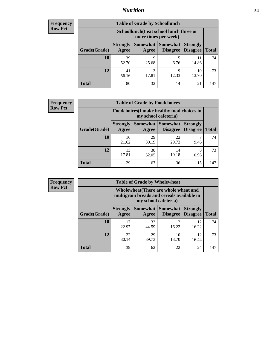## *Nutrition* **54**

| Frequency |
|-----------|
| Row Pct   |

| <b>Table of Grade by Schoollunch</b> |                                                                                                                                      |                                                                 |            |             |     |  |  |
|--------------------------------------|--------------------------------------------------------------------------------------------------------------------------------------|-----------------------------------------------------------------|------------|-------------|-----|--|--|
|                                      |                                                                                                                                      | Schoollunch(I eat school lunch three or<br>more times per week) |            |             |     |  |  |
| Grade(Grade)                         | Somewhat  <br><b>Somewhat</b><br><b>Strongly</b><br><b>Strongly</b><br><b>Disagree</b><br>Agree<br>Disagree<br><b>Total</b><br>Agree |                                                                 |            |             |     |  |  |
| 10                                   | 39<br>52.70                                                                                                                          | 19<br>25.68                                                     | 5<br>6.76  | 14.86       | 74  |  |  |
| 12                                   | 41<br>56.16                                                                                                                          | 13<br>17.81                                                     | Q<br>12.33 | 10<br>13.70 | 73  |  |  |
| <b>Total</b>                         | 80                                                                                                                                   | 32                                                              | 14         | 21          | 147 |  |  |

| <b>Frequency</b> |  |
|------------------|--|
| <b>Row Pct</b>   |  |

| <b>Table of Grade by Foodchoices</b> |                                                                     |             |                                        |                                    |              |
|--------------------------------------|---------------------------------------------------------------------|-------------|----------------------------------------|------------------------------------|--------------|
|                                      | Foodchoices (I make healthy food choices in<br>my school cafeteria) |             |                                        |                                    |              |
| Grade(Grade)                         | <b>Strongly</b><br>Agree                                            | Agree       | Somewhat   Somewhat<br><b>Disagree</b> | <b>Strongly</b><br><b>Disagree</b> | <b>Total</b> |
| 10                                   | 16<br>21.62                                                         | 29<br>39.19 | 22<br>29.73                            | 9.46                               | 74           |
| 12                                   | 13<br>17.81                                                         | 38<br>52.05 | 14<br>19.18                            | 8<br>10.96                         | 73           |
| <b>Total</b>                         | 29                                                                  | 67          | 36                                     | 15                                 | 147          |

| Frequency      | <b>Table of Grade by Wholewheat</b> |                          |                      |                                                                                     |                                    |              |  |  |  |
|----------------|-------------------------------------|--------------------------|----------------------|-------------------------------------------------------------------------------------|------------------------------------|--------------|--|--|--|
| <b>Row Pct</b> |                                     |                          | my school cafeteria) | Wholewheat (There are whole wheat and<br>multigrain breads and cereals available in |                                    |              |  |  |  |
|                | Grade(Grade)                        | <b>Strongly</b><br>Agree | Agree                | Somewhat   Somewhat  <br><b>Disagree</b>                                            | <b>Strongly</b><br><b>Disagree</b> | <b>Total</b> |  |  |  |
|                | 10                                  | 17<br>22.97              | 33<br>44.59          | 12<br>16.22                                                                         | 12<br>16.22                        | 74           |  |  |  |
|                | 12                                  | 22<br>30.14              | 29<br>39.73          | 10<br>13.70                                                                         | 12<br>16.44                        | 73           |  |  |  |
|                | <b>Total</b>                        | 39                       | 62                   | 22                                                                                  | 24                                 | 147          |  |  |  |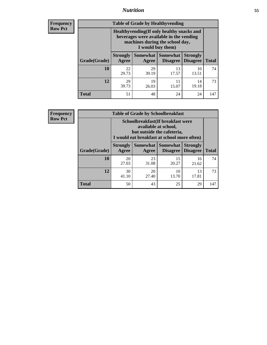## *Nutrition* **55**

**Frequency Row Pct**

| <b>Table of Grade by Healthyvending</b> |                                                                                                                                               |                          |                                    |                                    |              |  |  |  |
|-----------------------------------------|-----------------------------------------------------------------------------------------------------------------------------------------------|--------------------------|------------------------------------|------------------------------------|--------------|--|--|--|
|                                         | Healthyvending (If only healthy snacks and<br>beverages were available in the vending<br>machines during the school day,<br>I would buy them) |                          |                                    |                                    |              |  |  |  |
| Grade(Grade)                            | <b>Strongly</b><br>Agree                                                                                                                      | <b>Somewhat</b><br>Agree | <b>Somewhat</b><br><b>Disagree</b> | <b>Strongly</b><br><b>Disagree</b> | <b>Total</b> |  |  |  |
| 10                                      | 22<br>29.73                                                                                                                                   | 29<br>39.19              | 13<br>17.57                        | 10<br>13.51                        | 74           |  |  |  |
| 12                                      | 29<br>39.73                                                                                                                                   | 19<br>26.03              | 11<br>15.07                        | 14<br>19.18                        | 73           |  |  |  |
| <b>Total</b>                            | 51                                                                                                                                            | 48                       | 24                                 | 24                                 | 147          |  |  |  |

**Frequency Row Pct**

| <b>Table of Grade by Schoolbreakfast</b> |                                                                                                                                         |                     |                                    |                                    |              |  |  |
|------------------------------------------|-----------------------------------------------------------------------------------------------------------------------------------------|---------------------|------------------------------------|------------------------------------|--------------|--|--|
|                                          | Schoolbreakfast (If breakfast were<br>available at school,<br>but outside the cafeteria,<br>I would eat breakfast at school more often) |                     |                                    |                                    |              |  |  |
| Grade(Grade)                             | <b>Strongly</b><br>Agree                                                                                                                | Somewhat  <br>Agree | <b>Somewhat</b><br><b>Disagree</b> | <b>Strongly</b><br><b>Disagree</b> | <b>Total</b> |  |  |
| 10                                       | 20<br>27.03                                                                                                                             | 23<br>31.08         | 15<br>20.27                        | 16<br>21.62                        | 74           |  |  |
| 12                                       | 30<br>41.10                                                                                                                             | 20<br>27.40         | 10<br>13.70                        | 13<br>17.81                        | 73           |  |  |
| <b>Total</b>                             | 50                                                                                                                                      | 43                  | 25                                 | 29                                 | 147          |  |  |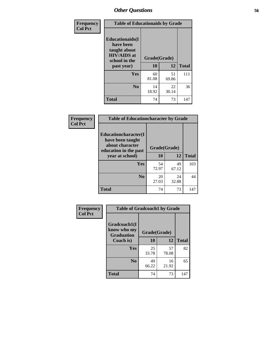| Frequency<br><b>Col Pct</b> | <b>Table of Educationaids by Grade</b>                                                                    |                    |              |     |  |  |
|-----------------------------|-----------------------------------------------------------------------------------------------------------|--------------------|--------------|-----|--|--|
|                             | <b>Educationaids</b> (I<br>have been<br>taught about<br><b>HIV/AIDS</b> at<br>school in the<br>past year) | Grade(Grade)<br>10 | <b>Total</b> |     |  |  |
|                             | Yes                                                                                                       | 60<br>81.08        | 51<br>69.86  | 111 |  |  |
|                             | N <sub>0</sub>                                                                                            | 14<br>18.92        | 22<br>30.14  | 36  |  |  |
|                             | <b>Total</b>                                                                                              | 74                 | 73           | 147 |  |  |

| Frequency      | <b>Table of Educationcharacter by Grade</b>                         |              |             |              |  |  |
|----------------|---------------------------------------------------------------------|--------------|-------------|--------------|--|--|
| <b>Col Pct</b> | <b>Educationcharacter(I)</b><br>have been taught<br>about character |              |             |              |  |  |
|                | education in the past                                               | Grade(Grade) |             |              |  |  |
|                | year at school)                                                     | 10           | <b>12</b>   | <b>Total</b> |  |  |
|                | Yes                                                                 | 54<br>72.97  | 49<br>67.12 | 103          |  |  |
|                | N <sub>0</sub>                                                      | 20<br>27.03  | 24<br>32.88 | 44           |  |  |
|                | <b>Total</b>                                                        | 74           | 73          | 147          |  |  |

| Frequency      | <b>Table of Gradcoach1 by Grade</b>              |              |             |              |  |
|----------------|--------------------------------------------------|--------------|-------------|--------------|--|
| <b>Col Pct</b> | Gradcoach1(I<br>know who my<br><b>Graduation</b> | Grade(Grade) |             |              |  |
|                | Coach is)                                        | 10           | 12          | <b>Total</b> |  |
|                | <b>Yes</b>                                       | 25<br>33.78  | 57<br>78.08 | 82           |  |
|                | N <sub>0</sub>                                   | 49<br>66.22  | 16<br>21.92 | 65           |  |
|                | <b>Total</b>                                     | 74           | 73          | 147          |  |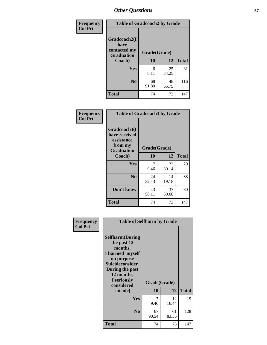| Frequency      | <b>Table of Gradcoach2 by Grade</b>  |              |             |              |
|----------------|--------------------------------------|--------------|-------------|--------------|
| <b>Col Pct</b> | Gradcoach2(I<br>have<br>contacted my | Grade(Grade) |             |              |
|                | <b>Graduation</b><br>Coach)          | 10           | 12          | <b>Total</b> |
|                | Yes                                  | 6<br>8.11    | 25<br>34.25 | 31           |
|                | N <sub>0</sub>                       | 68<br>91.89  | 48<br>65.75 | 116          |
|                | <b>Total</b>                         | 74           | 73          | 147          |

| Frequency<br><b>Col Pct</b> | <b>Table of Gradcoach3 by Grade</b>                    |              |             |              |
|-----------------------------|--------------------------------------------------------|--------------|-------------|--------------|
|                             | Gradcoach3(I<br>have received<br>assistance<br>from my | Grade(Grade) |             |              |
|                             | <b>Graduation</b><br>Coach)                            | 10           | 12          | <b>Total</b> |
|                             | Yes                                                    | 7<br>9.46    | 22<br>30.14 | 29           |
|                             | N <sub>0</sub>                                         | 24<br>32.43  | 14<br>19.18 | 38           |
|                             | Don't know                                             | 43<br>58.11  | 37<br>50.68 | 80           |
|                             | <b>Total</b>                                           | 74           | 73          | 147          |

| Frequency      | <b>Table of Selfharm by Grade</b>                                                                                                                                                      |             |                    |              |
|----------------|----------------------------------------------------------------------------------------------------------------------------------------------------------------------------------------|-------------|--------------------|--------------|
| <b>Col Pct</b> | <b>Selfharm</b> (During<br>the past 12<br>months,<br>I harmed myself<br>on purpose<br><b>Suicideconsider</b><br>During the past<br>12 months,<br>I seriously<br>considered<br>suicide) | 10          | Grade(Grade)<br>12 | <b>Total</b> |
|                | Yes                                                                                                                                                                                    | 7<br>9.46   | 12<br>16.44        | 19           |
|                | N <sub>0</sub>                                                                                                                                                                         | 67<br>90.54 | 61<br>83.56        | 128          |
|                | Total                                                                                                                                                                                  | 74          | 73                 | 147          |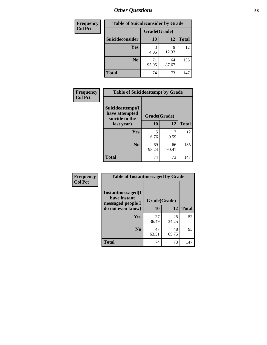| <b>Frequency</b> | <b>Table of Suicideconsider by Grade</b> |              |             |              |  |
|------------------|------------------------------------------|--------------|-------------|--------------|--|
| <b>Col Pct</b>   |                                          | Grade(Grade) |             |              |  |
|                  | Suicideconsider                          | <b>10</b>    | 12          | <b>Total</b> |  |
|                  | <b>Yes</b>                               | 3<br>4.05    | q<br>12.33  | 12           |  |
|                  | N <sub>0</sub>                           | 71<br>95.95  | 64<br>87.67 | 135          |  |
|                  | <b>Total</b>                             | 74           | 73          | 147          |  |

| Frequency      | <b>Table of Suicideattempt by Grade</b>              |              |             |              |
|----------------|------------------------------------------------------|--------------|-------------|--------------|
| <b>Col Pct</b> | Suicideattempt(I<br>have attempted<br>suicide in the | Grade(Grade) |             |              |
|                | last year)                                           | 10           | 12          | <b>Total</b> |
|                | Yes                                                  | 5<br>6.76    | 9.59        | 12           |
|                | N <sub>0</sub>                                       | 69<br>93.24  | 66<br>90.41 | 135          |
|                | <b>Total</b>                                         | 74           | 73          | 147          |

| Frequency      | <b>Table of Instantmessaged by Grade</b>               |              |             |              |
|----------------|--------------------------------------------------------|--------------|-------------|--------------|
| <b>Col Pct</b> | Instantmessaged(I<br>have instant<br>messaged people I | Grade(Grade) |             |              |
|                | do not even know)                                      | 10           | 12          | <b>Total</b> |
|                | Yes                                                    | 27<br>36.49  | 25<br>34.25 | 52           |
|                | N <sub>0</sub>                                         | 47<br>63.51  | 48<br>65.75 | 95           |
|                | <b>Total</b>                                           | 74           | 73          | 147          |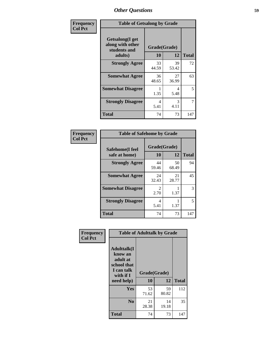| Frequency      | <b>Table of Getsalong by Grade</b>                          |              |             |              |
|----------------|-------------------------------------------------------------|--------------|-------------|--------------|
| <b>Col Pct</b> | <b>Getsalong</b> (I get<br>along with other<br>students and | Grade(Grade) |             |              |
|                | adults)                                                     | 10           | 12          | <b>Total</b> |
|                | <b>Strongly Agree</b>                                       | 33<br>44.59  | 39<br>53.42 | 72           |
|                | <b>Somewhat Agree</b>                                       | 36<br>48.65  | 27<br>36.99 | 63           |
|                | <b>Somewhat Disagree</b>                                    | 1.35         | 4<br>5.48   | 5            |
|                | <b>Strongly Disagree</b>                                    | 4<br>5.41    | 3<br>4.11   | 7            |
|                | <b>Total</b>                                                | 74           | 73          | 147          |

| Frequency      | <b>Table of Safehome by Grade</b> |                        |             |              |  |
|----------------|-----------------------------------|------------------------|-------------|--------------|--|
| <b>Col Pct</b> | Safehome(I feel<br>safe at home)  | Grade(Grade)<br>10     | 12          | <b>Total</b> |  |
|                | <b>Strongly Agree</b>             | 44<br>59.46            | 50<br>68.49 | 94           |  |
|                | <b>Somewhat Agree</b>             | 24<br>32.43            | 21<br>28.77 | 45           |  |
|                | <b>Somewhat Disagree</b>          | $\mathfrak{D}$<br>2.70 | 1.37        | 3            |  |
|                | <b>Strongly Disagree</b>          | 4<br>5.41              | 1.37        | 5            |  |
|                | <b>Total</b>                      | 74                     | 73          | 147          |  |

| Frequency      | <b>Table of Adulttalk by Grade</b>                                                   |              |             |              |  |  |
|----------------|--------------------------------------------------------------------------------------|--------------|-------------|--------------|--|--|
| <b>Col Pct</b> | <b>Adulttalk</b> (I<br>know an<br>adult at<br>school that<br>I can talk<br>with if I | Grade(Grade) |             |              |  |  |
|                | need help)                                                                           | 10           | 12          | <b>Total</b> |  |  |
|                | <b>Yes</b>                                                                           | 53<br>71.62  | 59<br>80.82 | 112          |  |  |
|                | N <sub>0</sub>                                                                       | 21<br>28.38  | 14<br>19.18 | 35           |  |  |
|                | <b>Total</b>                                                                         | 74           | 73          | 147          |  |  |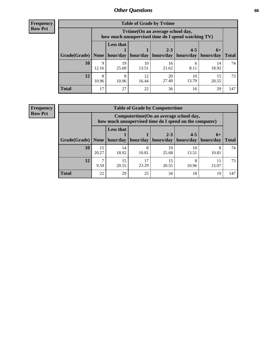**Frequency Row Pct**

| <b>Table of Grade by Tvtime</b> |            |                                                                                         |                     |             |             |             |              |
|---------------------------------|------------|-----------------------------------------------------------------------------------------|---------------------|-------------|-------------|-------------|--------------|
|                                 |            | Tytime (On an average school day,<br>how much unsupervised time do I spend watching TV) |                     |             |             |             |              |
|                                 |            | <b>Less that</b><br>$2 - 3$<br>$4 - 5$<br>$6+$                                          |                     |             |             |             |              |
| Grade(Grade)   None             |            |                                                                                         | hour/day   hour/day | hours/day   | hours/day   | hours/day   | <b>Total</b> |
| 10                              | 9<br>12.16 | 19<br>25.68                                                                             | 10<br>13.51         | 16<br>21.62 | 6<br>8.11   | 14<br>18.92 | 74           |
| 12                              | 8<br>10.96 | 8<br>10.96                                                                              | 12<br>16.44         | 20<br>27.40 | 10<br>13.70 | 15<br>20.55 | 73           |
| <b>Total</b>                    | 17         | 27                                                                                      | 22                  | 36          | 16          | 29          | 147          |

**Frequency Row Pct**

| <b>Table of Grade by Computertime</b> |             |                                                                                                                               |             |             |             |             |     |  |  |
|---------------------------------------|-------------|-------------------------------------------------------------------------------------------------------------------------------|-------------|-------------|-------------|-------------|-----|--|--|
|                                       |             | Computertime (On an average school day,<br>how much unsupervised time do I spend on the computer)                             |             |             |             |             |     |  |  |
| Grade(Grade)                          | None        | <b>Less that</b><br>$4 - 5$<br>$2 - 3$<br>$6+$<br>hour/day<br>hours/day<br>hour/day<br>hours/day<br>hours/day<br><b>Total</b> |             |             |             |             |     |  |  |
| 10                                    | 15<br>20.27 | 14<br>18.92                                                                                                                   | 8<br>10.81  | 19<br>25.68 | 10<br>13.51 | 10.81       | 74  |  |  |
| 12                                    | ⇁<br>9.59   | 15<br>20.55                                                                                                                   | 17<br>23.29 | 15<br>20.55 | 8<br>10.96  | 11<br>15.07 | 73  |  |  |
| <b>Total</b>                          | 22          | 29                                                                                                                            | 25          | 34          | 18          | 19          | 147 |  |  |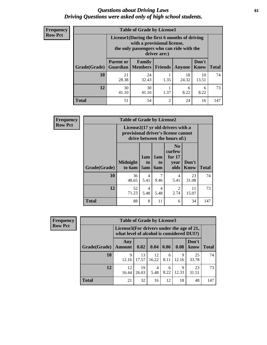#### *Questions about Driving Laws* **61** *Driving Questions were asked only of high school students.*

| <b>Frequency</b> |
|------------------|
| <b>Row Pct</b>   |

| <b>Table of Grade by License1</b> |                  |                                                                                                                                           |                |             |               |              |  |  |  |  |
|-----------------------------------|------------------|-------------------------------------------------------------------------------------------------------------------------------------------|----------------|-------------|---------------|--------------|--|--|--|--|
|                                   |                  | License1(During the first 6 months of driving<br>with a provisional license,<br>the only passengers who can ride with the<br>driver are:) |                |             |               |              |  |  |  |  |
| Grade(Grade)                      | <b>Parent or</b> | <b>Family</b><br><b>Guardian   Members</b>                                                                                                | <b>Friends</b> | Anyone      | Don't<br>Know | <b>Total</b> |  |  |  |  |
| 10                                | 21<br>28.38      | 24<br>32.43                                                                                                                               | 1.35           | 18<br>24.32 | 10<br>13.51   | 74           |  |  |  |  |
| 12                                | 30<br>41.10      | 30<br>41.10                                                                                                                               | 1.37           | 6<br>8.22   | 6<br>8.22     | 73           |  |  |  |  |
| <b>Total</b>                      | 51               | 54                                                                                                                                        | $\overline{2}$ | 24          | 16            | 147          |  |  |  |  |

| <b>Frequency</b> |              |                                                                                                                      |                  |                         |                                                      | <b>Table of Grade by License2</b> |              |  |  |  |  |  |  |  |  |
|------------------|--------------|----------------------------------------------------------------------------------------------------------------------|------------------|-------------------------|------------------------------------------------------|-----------------------------------|--------------|--|--|--|--|--|--|--|--|
| <b>Row Pct</b>   |              | License $2(17 \text{ yr})$ old drivers with a<br>provisional driver's license cannot<br>drive between the hours of:) |                  |                         |                                                      |                                   |              |  |  |  |  |  |  |  |  |
|                  | Grade(Grade) | <b>Midnight</b><br>to 6am                                                                                            | 1am<br>to<br>5am | 1am<br>to<br><b>6am</b> | N <sub>0</sub><br>curfew<br>for $17$<br>year<br>olds | Don't<br><b>Know</b>              | <b>Total</b> |  |  |  |  |  |  |  |  |
|                  | 10           | 36<br>48.65                                                                                                          | 4<br>5.41        | 7<br>9.46               | $\overline{4}$<br>5.41                               | 23<br>31.08                       | 74           |  |  |  |  |  |  |  |  |
|                  | 12           | 52<br>71.23                                                                                                          | 4<br>5.48        | 4<br>5.48               | $\overline{2}$<br>2.74                               | 11<br>15.07                       | 73           |  |  |  |  |  |  |  |  |
|                  | <b>Total</b> | 88                                                                                                                   | 8                | 11                      | 6                                                    | 34                                | 147          |  |  |  |  |  |  |  |  |

| Frequency      | <b>Table of Grade by License3</b> |               |                                                                                        |             |           |            |               |              |  |
|----------------|-----------------------------------|---------------|----------------------------------------------------------------------------------------|-------------|-----------|------------|---------------|--------------|--|
| <b>Row Pct</b> |                                   |               | License3(For drivers under the age of 21,<br>what level of alcohol is considered DUI?) |             |           |            |               |              |  |
|                | Grade(Grade)                      | Any<br>Amount | 0.02                                                                                   | 0.04        | 0.06      | 0.08       | Don't<br>know | <b>Total</b> |  |
|                | <b>10</b>                         | 9<br>12.16    | 13<br>17.57                                                                            | 12<br>16.22 | 6<br>8.11 | 9<br>12.16 | 25<br>33.78   | 74           |  |
|                | 12                                | 12<br>16.44   | 19<br>26.03                                                                            | 4<br>5.48   | 6<br>8.22 | 9<br>12.33 | 23<br>31.51   | 73           |  |
|                | <b>Total</b>                      | 21            | 32                                                                                     | 16          | 12        | 18         | 48            | 147          |  |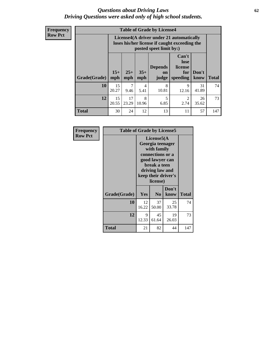#### *Questions about Driving Laws* **62** *Driving Questions were asked only of high school students.*

**Frequency Row Pct**

| <b>Table of Grade by License4</b> |              |                                                                                                                                                      |            |            |                        |             |     |  |
|-----------------------------------|--------------|------------------------------------------------------------------------------------------------------------------------------------------------------|------------|------------|------------------------|-------------|-----|--|
|                                   |              | License4(A driver under 21 automatically<br>loses his/her license if caught exceeding the<br>posted speet limit by:)                                 |            |            |                        |             |     |  |
| Grade(Grade)                      | $15+$<br>mph | Can't<br>lose<br><b>Depends</b><br>license<br>$25+$<br>$35+$<br>Don't<br>for<br><b>on</b><br><b>Total</b><br>speeding<br>mph<br>mph<br>know<br>judge |            |            |                        |             |     |  |
| 10                                | 15<br>20.27  | 7<br>9.46                                                                                                                                            | 4<br>5.41  | 8<br>10.81 | 9<br>12.16             | 31<br>41.89 | 74  |  |
| 12                                | 15<br>20.55  | 17<br>23.29                                                                                                                                          | 8<br>10.96 | 5<br>6.85  | $\mathfrak{D}$<br>2.74 | 26<br>35.62 | 73  |  |
| <b>Total</b>                      | 30           | 24                                                                                                                                                   | 12         | 13         | 11                     | 57          | 147 |  |

| Frequency      | <b>Table of Grade by License5</b> |                                                                                                                                                             |                |               |              |  |
|----------------|-----------------------------------|-------------------------------------------------------------------------------------------------------------------------------------------------------------|----------------|---------------|--------------|--|
| <b>Row Pct</b> |                                   | License5(A)<br>Georgia teenager<br>with family<br>connections or a<br>good lawyer can<br>break a teen<br>driving law and<br>keep their driver's<br>license) |                |               |              |  |
|                | Grade(Grade)                      | Yes                                                                                                                                                         | N <sub>0</sub> | Don't<br>know | <b>Total</b> |  |
|                | 10                                | 12<br>16.22                                                                                                                                                 | 37<br>50.00    | 25<br>33.78   | 74           |  |
|                | 12                                | 9<br>12.33                                                                                                                                                  | 45<br>61.64    | 19<br>26.03   | 73           |  |
|                | <b>Total</b>                      | 21                                                                                                                                                          | 82             | 44            | 147          |  |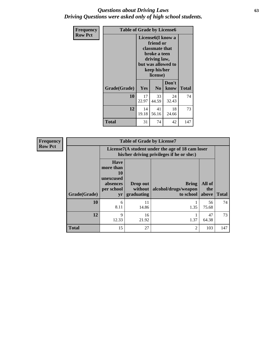### *Questions about Driving Laws* **63** *Driving Questions were asked only of high school students.*

| <b>Frequency</b> | <b>Table of Grade by License6</b> |                                                                                                                                                 |                |               |              |  |
|------------------|-----------------------------------|-------------------------------------------------------------------------------------------------------------------------------------------------|----------------|---------------|--------------|--|
| <b>Row Pct</b>   |                                   | License <sub>6</sub> (I know a<br>friend or<br>classmate that<br>broke a teen<br>driving law,<br>but was allowed to<br>keep his/her<br>license) |                |               |              |  |
|                  | Grade(Grade)                      | <b>Yes</b>                                                                                                                                      | N <sub>0</sub> | Don't<br>know | <b>Total</b> |  |
|                  | 10                                | 17<br>22.97                                                                                                                                     | 33<br>44.59    | 24<br>32.43   | 74           |  |
|                  | 12                                | 14<br>19.18                                                                                                                                     | 41<br>56.16    | 18<br>24.66   | 73           |  |
|                  | Total                             | 31                                                                                                                                              | 74             | 42            | 147          |  |

| <b>Frequency</b> |              |                                                                             | <b>Table of Grade by License7</b> |                                                                                               |                        |              |
|------------------|--------------|-----------------------------------------------------------------------------|-----------------------------------|-----------------------------------------------------------------------------------------------|------------------------|--------------|
| <b>Row Pct</b>   |              |                                                                             |                                   | License7(A student under the age of 18 cam loser<br>his/her driving privileges if he or she:) |                        |              |
|                  | Grade(Grade) | <b>Have</b><br>more than<br>10<br>unexcused<br>absences<br>per school<br>yr | Drop out<br>without<br>graduating | Bring<br>alcohol/drugs/weapon<br>to school                                                    | All of<br>the<br>above | <b>Total</b> |
|                  | 10           | 6<br>8.11                                                                   | 11<br>14.86                       | 1.35                                                                                          | 56<br>75.68            | 74           |
|                  | 12           | 9<br>12.33                                                                  | 16<br>21.92                       | 1.37                                                                                          | 47<br>64.38            | 73           |
|                  | <b>Total</b> | 15                                                                          | 27                                | 2                                                                                             | 103                    | 147          |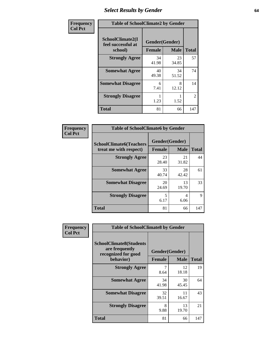# *Select Results by Gender* **64**

| Frequency      | <b>Table of SchoolClimate2 by Gender</b>          |                                 |             |                |  |  |
|----------------|---------------------------------------------------|---------------------------------|-------------|----------------|--|--|
| <b>Col Pct</b> | SchoolClimate2(I<br>feel successful at<br>school) | Gender(Gender)<br><b>Female</b> | <b>Male</b> | <b>Total</b>   |  |  |
|                | <b>Strongly Agree</b>                             | 34<br>41.98                     | 23<br>34.85 | 57             |  |  |
|                | <b>Somewhat Agree</b>                             | 40<br>49.38                     | 34<br>51.52 | 74             |  |  |
|                | <b>Somewhat Disagree</b>                          | 6<br>7.41                       | 8<br>12.12  | 14             |  |  |
|                | <b>Strongly Disagree</b>                          | 1.23                            | 1.52        | $\overline{2}$ |  |  |
|                | <b>Total</b>                                      | 81                              | 66          | 147            |  |  |

| Frequency      | <b>Table of SchoolClimate6 by Gender</b>                 |                                 |             |              |  |  |  |  |
|----------------|----------------------------------------------------------|---------------------------------|-------------|--------------|--|--|--|--|
| <b>Col Pct</b> | <b>SchoolClimate6(Teachers</b><br>treat me with respect) | Gender(Gender)<br><b>Female</b> | <b>Male</b> | <b>Total</b> |  |  |  |  |
|                | <b>Strongly Agree</b>                                    | 23<br>28.40                     | 21<br>31.82 | 44           |  |  |  |  |
|                | <b>Somewhat Agree</b>                                    | 33<br>40.74                     | 28<br>42.42 | 61           |  |  |  |  |
|                | <b>Somewhat Disagree</b>                                 | 20<br>24.69                     | 13<br>19.70 | 33           |  |  |  |  |
|                | <b>Strongly Disagree</b>                                 | 5<br>6.17                       | 4<br>6.06   | 9            |  |  |  |  |
|                | <b>Total</b>                                             | 81                              | 66          | 147          |  |  |  |  |

| <b>Frequency</b> | <b>Table of SchoolClimate8 by Gender</b>                                             |                                 |              |     |  |  |  |  |
|------------------|--------------------------------------------------------------------------------------|---------------------------------|--------------|-----|--|--|--|--|
| <b>Col Pct</b>   | <b>SchoolClimate8(Students</b><br>are frequently<br>recognized for good<br>behavior) | Gender(Gender)<br><b>Female</b> | <b>Total</b> |     |  |  |  |  |
|                  | <b>Strongly Agree</b>                                                                | 7<br>8.64                       | 12<br>18.18  | 19  |  |  |  |  |
|                  | <b>Somewhat Agree</b>                                                                | 34<br>41.98                     | 30<br>45.45  | 64  |  |  |  |  |
|                  | <b>Somewhat Disagree</b>                                                             | 32<br>39.51                     | 11<br>16.67  | 43  |  |  |  |  |
|                  | <b>Strongly Disagree</b>                                                             | 8<br>9.88                       | 13<br>19.70  | 21  |  |  |  |  |
|                  | Total                                                                                | 81                              | 66           | 147 |  |  |  |  |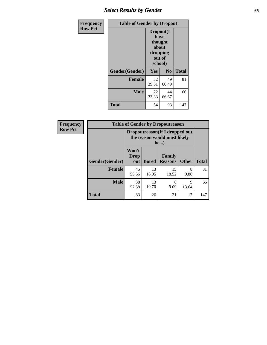# *Select Results by Gender* **65**

| <b>Frequency</b> | <b>Table of Gender by Dropout</b> |                                                                        |                |              |
|------------------|-----------------------------------|------------------------------------------------------------------------|----------------|--------------|
| <b>Row Pct</b>   |                                   | Dropout(I<br>have<br>thought<br>about<br>dropping<br>out of<br>school) |                |              |
|                  | Gender(Gender)                    | Yes                                                                    | N <sub>0</sub> | <b>Total</b> |
|                  | <b>Female</b>                     | 32<br>39.51                                                            | 49<br>60.49    | 81           |
|                  | <b>Male</b>                       | 22<br>33.33                                                            | 44<br>66.67    | 66           |
|                  | <b>Total</b>                      | 54                                                                     | 93             | 147          |

| Frequency      |                | <b>Table of Gender by Dropoutreason</b>                                        |              |                          |              |              |  |  |
|----------------|----------------|--------------------------------------------------------------------------------|--------------|--------------------------|--------------|--------------|--|--|
| <b>Row Pct</b> |                | Dropoutreason (If I dropped out<br>the reason would most likely<br><b>be</b> ) |              |                          |              |              |  |  |
|                | Gender(Gender) | Won't<br>Drop<br>out                                                           | <b>Bored</b> | Family<br><b>Reasons</b> | <b>Other</b> | <b>Total</b> |  |  |
|                | <b>Female</b>  | 45<br>55.56                                                                    | 13<br>16.05  | 15<br>18.52              | 8<br>9.88    | 81           |  |  |
|                | <b>Male</b>    | 38<br>57.58                                                                    | 13<br>19.70  | 6<br>9.09                | 9<br>13.64   | 66           |  |  |
|                | <b>Total</b>   | 83                                                                             | 26           | 21                       | 17           | 147          |  |  |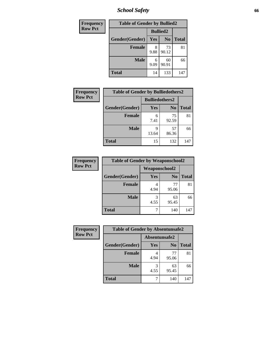*School Safety* **66**

| Frequency      | <b>Table of Gender by Bullied2</b> |                 |                |              |
|----------------|------------------------------------|-----------------|----------------|--------------|
| <b>Row Pct</b> |                                    | <b>Bullied2</b> |                |              |
|                | Gender(Gender)                     | Yes             | N <sub>0</sub> | <b>Total</b> |
|                | <b>Female</b>                      | 9.88            | 73<br>90.12    | 81           |
|                | <b>Male</b>                        | 6<br>9.09       | 60<br>90.91    | 66           |
|                | <b>Total</b>                       | 14              | 133            | 147          |

| <b>Frequency</b> | <b>Table of Gender by Bulliedothers2</b> |                       |                |              |
|------------------|------------------------------------------|-----------------------|----------------|--------------|
| <b>Row Pct</b>   |                                          | <b>Bulliedothers2</b> |                |              |
|                  | Gender(Gender)                           | Yes                   | N <sub>0</sub> | <b>Total</b> |
|                  | <b>Female</b>                            | 6<br>7.41             | 75<br>92.59    | 81           |
|                  | <b>Male</b>                              | 9<br>13.64            | 57<br>86.36    | 66           |
|                  | <b>Total</b>                             | 15                    | 132            | 147          |

| <b>Frequency</b> | <b>Table of Gender by Weaponschool2</b> |                      |                |              |
|------------------|-----------------------------------------|----------------------|----------------|--------------|
| <b>Row Pct</b>   |                                         | <b>Weaponschool2</b> |                |              |
|                  | Gender(Gender)                          | Yes                  | N <sub>0</sub> | <b>Total</b> |
|                  | <b>Female</b>                           | 4.94                 | 77<br>95.06    | 81           |
|                  | <b>Male</b>                             | 3<br>4.55            | 63<br>95.45    | 66           |
|                  | <b>Total</b>                            | ¬                    | 140            | 147          |

| Frequency      | <b>Table of Gender by Absentunsafe2</b> |               |                |              |  |
|----------------|-----------------------------------------|---------------|----------------|--------------|--|
| <b>Row Pct</b> |                                         | Absentunsafe2 |                |              |  |
|                | Gender(Gender)                          | Yes           | N <sub>0</sub> | <b>Total</b> |  |
|                | <b>Female</b>                           | 4.94          | 77<br>95.06    | 81           |  |
|                | <b>Male</b>                             | 4.55          | 63<br>95.45    | 66           |  |
|                | <b>Total</b>                            |               | 140            | 147          |  |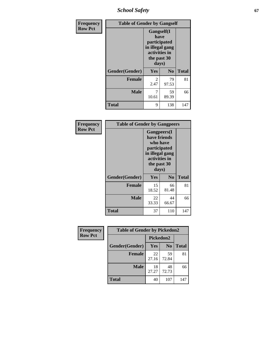*School Safety* **67**

| Frequency      | <b>Table of Gender by Gangself</b> |                                                                                                        |                |              |
|----------------|------------------------------------|--------------------------------------------------------------------------------------------------------|----------------|--------------|
| <b>Row Pct</b> |                                    | <b>Gangself</b> (I<br>have<br>participated<br>in illegal gang<br>activities in<br>the past 30<br>days) |                |              |
|                | Gender(Gender)                     | Yes                                                                                                    | N <sub>0</sub> | <b>Total</b> |
|                | <b>Female</b>                      | 2<br>2.47                                                                                              | 79<br>97.53    | 81           |
|                | <b>Male</b>                        | 7<br>10.61                                                                                             | 59<br>89.39    | 66           |
|                | <b>Total</b>                       | 9                                                                                                      | 138            | 147          |

| Frequency      | <b>Table of Gender by Gangpeers</b> |                                                                                                                             |                |              |
|----------------|-------------------------------------|-----------------------------------------------------------------------------------------------------------------------------|----------------|--------------|
| <b>Row Pct</b> |                                     | <b>Gangpeers</b> (I<br>have friends<br>who have<br>participated<br>in illegal gang<br>activities in<br>the past 30<br>days) |                |              |
|                | Gender(Gender)                      | Yes                                                                                                                         | N <sub>0</sub> | <b>Total</b> |
|                | <b>Female</b>                       | 15<br>18.52                                                                                                                 | 66<br>81.48    | 81           |
|                | <b>Male</b>                         | 22<br>33.33                                                                                                                 | 44<br>66.67    | 66           |
|                | Total                               | 37                                                                                                                          | 110            | 147          |

| Frequency      | <b>Table of Gender by Pickedon2</b> |             |                |              |
|----------------|-------------------------------------|-------------|----------------|--------------|
| <b>Row Pct</b> |                                     | Pickedon2   |                |              |
|                | Gender(Gender)                      | <b>Yes</b>  | N <sub>0</sub> | <b>Total</b> |
|                | <b>Female</b>                       | 22<br>27.16 | 59<br>72.84    | 81           |
|                | <b>Male</b>                         | 18<br>27.27 | 48<br>72.73    | 66           |
|                | <b>Total</b>                        | 40          | 107            | 147          |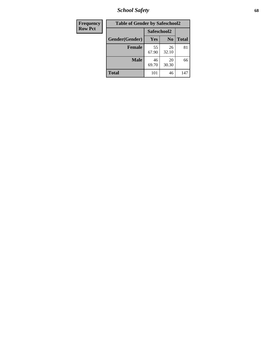*School Safety* **68**

| Frequency      | <b>Table of Gender by Safeschool2</b> |             |                |              |
|----------------|---------------------------------------|-------------|----------------|--------------|
| <b>Row Pct</b> |                                       | Safeschool2 |                |              |
|                | Gender(Gender)                        | Yes         | N <sub>0</sub> | <b>Total</b> |
|                | <b>Female</b>                         | 55<br>67.90 | 26<br>32.10    | 81           |
|                | <b>Male</b>                           | 46<br>69.70 | 20<br>30.30    | 66           |
|                | <b>Total</b>                          | 101         | 46             | 147          |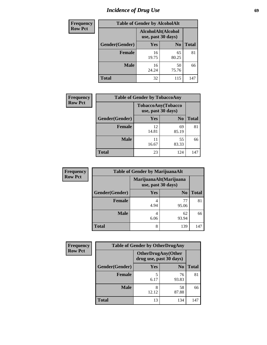# *Incidence of Drug Use* 69

| <b>Frequency</b> | <b>Table of Gender by AlcoholAlt</b> |                                          |                |              |  |
|------------------|--------------------------------------|------------------------------------------|----------------|--------------|--|
| <b>Row Pct</b>   |                                      | AlcoholAlt(Alcohol<br>use, past 30 days) |                |              |  |
|                  | Gender(Gender)                       | <b>Yes</b>                               | N <sub>0</sub> | <b>Total</b> |  |
|                  | <b>Female</b>                        | 16<br>19.75                              | 65<br>80.25    | 81           |  |
|                  | <b>Male</b>                          | 16<br>24.24                              | 50<br>75.76    | 66           |  |
|                  | <b>Total</b>                         | 32                                       | 115            | 147          |  |

| <b>Frequency</b> | <b>Table of Gender by TobaccoAny</b> |                    |                    |              |  |
|------------------|--------------------------------------|--------------------|--------------------|--------------|--|
| <b>Row Pct</b>   |                                      | use, past 30 days) | TobaccoAny(Tobacco |              |  |
|                  | Gender(Gender)                       | Yes                | N <sub>0</sub>     | <b>Total</b> |  |
|                  | Female                               | 12<br>14.81        | 69<br>85.19        | 81           |  |
|                  | <b>Male</b>                          | 11<br>16.67        | 55<br>83.33        | 66           |  |
|                  | <b>Total</b>                         | 23                 | 124                | 147          |  |

| <b>Frequency</b> | <b>Table of Gender by MarijuanaAlt</b> |            |                                              |              |
|------------------|----------------------------------------|------------|----------------------------------------------|--------------|
| <b>Row Pct</b>   |                                        |            | MarijuanaAlt(Marijuana<br>use, past 30 days) |              |
|                  | Gender(Gender)                         | <b>Yes</b> | N <sub>0</sub>                               | <b>Total</b> |
|                  | <b>Female</b>                          | 4.94       | 77<br>95.06                                  | 81           |
|                  | <b>Male</b>                            | 4<br>6.06  | 62<br>93.94                                  | 66           |
|                  | <b>Total</b>                           | 8          | 139                                          | 147          |

| <b>Frequency</b> | <b>Table of Gender by OtherDrugAny</b> |                                                      |                |              |
|------------------|----------------------------------------|------------------------------------------------------|----------------|--------------|
| <b>Row Pct</b>   |                                        | <b>OtherDrugAny(Other</b><br>drug use, past 30 days) |                |              |
|                  | Gender(Gender)                         | <b>Yes</b>                                           | N <sub>0</sub> | <b>Total</b> |
|                  | <b>Female</b>                          | 5<br>6.17                                            | 76<br>93.83    | 81           |
|                  | <b>Male</b>                            | 8<br>12.12                                           | 58<br>87.88    | 66           |
|                  | <b>Total</b>                           | 13                                                   | 134            | 147          |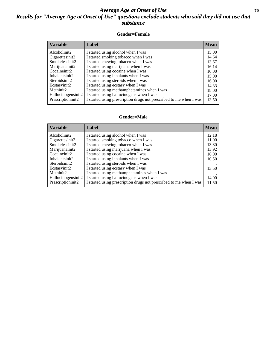### *Average Age at Onset of Use* 70 *Results for "Average Age at Onset of Use" questions exclude students who said they did not use that substance*

#### **Gender=Female**

| <b>Variable</b>                 | Label                                                              | <b>Mean</b> |
|---------------------------------|--------------------------------------------------------------------|-------------|
| Alcoholinit2                    | I started using alcohol when I was                                 | 15.00       |
| Cigarettesinit2                 | I started smoking tobacco when I was                               | 14.64       |
| Smokelessinit2                  | I started chewing tobacco when I was                               | 13.67       |
| Marijuanainit2                  | I started using marijuana when I was                               | 16.14       |
| Cocaineinit2                    | I started using cocaine when I was                                 | 10.00       |
| Inhalantsinit2                  | I started using inhalants when I was                               | 15.00       |
| Steroidsinit2                   | I started using steroids when I was                                | 16.00       |
| Ecstasyinit2                    | I started using ecstasy when I was                                 | 14.33       |
| Methinit2                       | I started using methamphetamines when I was                        | 18.00       |
| Hallucinogensinit2              | I started using hallucinogens when I was                           | 17.00       |
| Prescription in it <sub>2</sub> | I started using prescription drugs not prescribed to me when I was | 13.50       |

#### **Gender=Male**

| <b>Variable</b>                 | Label                                                              | <b>Mean</b> |
|---------------------------------|--------------------------------------------------------------------|-------------|
| Alcoholinit2                    | I started using alcohol when I was                                 | 12.18       |
| Cigarettesinit2                 | I started smoking tobacco when I was                               | 11.00       |
| Smokelessinit2                  | I started chewing tobacco when I was                               | 13.30       |
| Marijuanainit2                  | I started using marijuana when I was                               | 13.92       |
| Cocaineinit2                    | I started using cocaine when I was                                 | 16.00       |
| Inhalantsinit2                  | I started using inhalants when I was                               | 10.50       |
| Steroidsinit2                   | I started using steroids when I was                                |             |
| Ecstasyinit2                    | I started using ecstasy when I was                                 | 13.50       |
| Methinit2                       | I started using methamphetamines when I was                        |             |
| Hallucinogensinit2              | I started using hallucinogens when I was                           | 14.00       |
| Prescription in it <sub>2</sub> | I started using prescription drugs not prescribed to me when I was | 11.50       |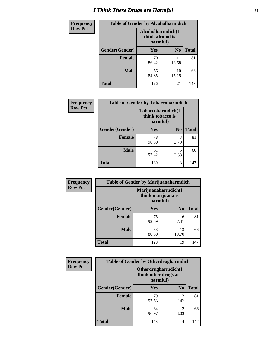# *I Think These Drugs are Harmful* **71**

| <b>Frequency</b> | <b>Table of Gender by Alcoholharmdich</b> |                                                   |                |              |
|------------------|-------------------------------------------|---------------------------------------------------|----------------|--------------|
| <b>Row Pct</b>   |                                           | Alcoholharmdich(I<br>think alcohol is<br>harmful) |                |              |
|                  | Gender(Gender)                            | <b>Yes</b>                                        | N <sub>0</sub> | <b>Total</b> |
|                  | <b>Female</b>                             | 70<br>86.42                                       | 11<br>13.58    | 81           |
|                  | <b>Male</b>                               | 56<br>84.85                                       | 10<br>15.15    | 66           |
|                  | <b>Total</b>                              | 126                                               | 21             | 147          |

| Frequency      | <b>Table of Gender by Tobaccoharmdich</b> |                                                   |                |              |
|----------------|-------------------------------------------|---------------------------------------------------|----------------|--------------|
| <b>Row Pct</b> |                                           | Tobaccoharmdich(I<br>think tobacco is<br>harmful) |                |              |
|                | Gender(Gender)                            | Yes                                               | N <sub>0</sub> | <b>Total</b> |
|                | <b>Female</b>                             | 78<br>96.30                                       | 3<br>3.70      | 81           |
|                | <b>Male</b>                               | 61<br>92.42                                       | 5<br>7.58      | 66           |
|                | <b>Total</b>                              | 139                                               | 8              | 147          |

| Frequency      | <b>Table of Gender by Marijuanaharmdich</b> |                                |                     |              |  |
|----------------|---------------------------------------------|--------------------------------|---------------------|--------------|--|
| <b>Row Pct</b> |                                             | think marijuana is<br>harmful) | Marijuanaharmdich(I |              |  |
|                | Gender(Gender)                              | <b>Yes</b>                     | N <sub>0</sub>      | <b>Total</b> |  |
|                | <b>Female</b>                               | 75<br>92.59                    | 6<br>7.41           | 81           |  |
|                | <b>Male</b>                                 | 53<br>80.30                    | 13<br>19.70         | 66           |  |
|                | <b>Total</b>                                | 128                            | 19                  | 147          |  |

| Frequency      | <b>Table of Gender by Otherdrugharmdich</b> |                                                          |                        |              |
|----------------|---------------------------------------------|----------------------------------------------------------|------------------------|--------------|
| <b>Row Pct</b> |                                             | Otherdrugharmdich(I<br>think other drugs are<br>harmful) |                        |              |
|                | Gender(Gender)                              | <b>Yes</b>                                               | N <sub>0</sub>         | <b>Total</b> |
|                | <b>Female</b>                               | 79<br>97.53                                              | $\overline{c}$<br>2.47 | 81           |
|                | <b>Male</b>                                 | 64<br>96.97                                              | $\mathfrak{D}$<br>3.03 | 66           |
|                | <b>Total</b>                                | 143                                                      | 4                      | 147          |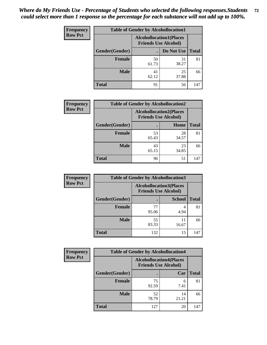| <b>Frequency</b> | <b>Table of Gender by Alcohollocation1</b> |                                                               |             |              |
|------------------|--------------------------------------------|---------------------------------------------------------------|-------------|--------------|
| <b>Row Pct</b>   |                                            | <b>Alcohollocation1(Places</b><br><b>Friends Use Alcohol)</b> |             |              |
|                  | Gender(Gender)                             |                                                               | Do Not Use  | <b>Total</b> |
|                  | <b>Female</b>                              | 50<br>61.73                                                   | 31<br>38.27 | 81           |
|                  | <b>Male</b>                                | 41<br>62.12                                                   | 25<br>37.88 | 66           |
|                  | Total                                      | 91                                                            | 56          | 147          |

| <b>Frequency</b> | <b>Table of Gender by Alcohollocation2</b> |                                                               |             |              |
|------------------|--------------------------------------------|---------------------------------------------------------------|-------------|--------------|
| <b>Row Pct</b>   |                                            | <b>Alcohollocation2(Places</b><br><b>Friends Use Alcohol)</b> |             |              |
|                  | Gender(Gender)                             |                                                               | Home        | <b>Total</b> |
|                  | <b>Female</b>                              | 53<br>65.43                                                   | 28<br>34.57 | 81           |
|                  | <b>Male</b>                                | 43<br>65.15                                                   | 23<br>34.85 | 66           |
|                  | <b>Total</b>                               | 96                                                            | 51          | 147          |

| Frequency      | <b>Table of Gender by Alcohollocation3</b> |                                                               |               |              |
|----------------|--------------------------------------------|---------------------------------------------------------------|---------------|--------------|
| <b>Row Pct</b> |                                            | <b>Alcohollocation3(Places</b><br><b>Friends Use Alcohol)</b> |               |              |
|                | Gender(Gender)                             |                                                               | <b>School</b> | <b>Total</b> |
|                | <b>Female</b>                              | 77<br>95.06                                                   | 4.94          | 81           |
|                | <b>Male</b>                                | 55<br>83.33                                                   | 11<br>16.67   | 66           |
|                | <b>Total</b>                               | 132                                                           | 15            | 147          |

| <b>Frequency</b> | <b>Table of Gender by Alcohollocation4</b> |                                                               |             |              |  |
|------------------|--------------------------------------------|---------------------------------------------------------------|-------------|--------------|--|
| <b>Row Pct</b>   |                                            | <b>Alcohollocation4(Places</b><br><b>Friends Use Alcohol)</b> |             |              |  |
|                  | Gender(Gender)                             |                                                               | Car         | <b>Total</b> |  |
|                  | <b>Female</b>                              | 75<br>92.59                                                   | 6<br>7.41   | 81           |  |
|                  | <b>Male</b>                                | 52<br>78.79                                                   | 14<br>21.21 | 66           |  |
|                  | <b>Total</b>                               | 127                                                           | 20          | 147          |  |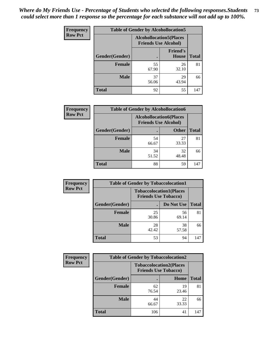| <b>Frequency</b> |                | <b>Table of Gender by Alcohollocation5</b> |                                                                |              |
|------------------|----------------|--------------------------------------------|----------------------------------------------------------------|--------------|
| <b>Row Pct</b>   |                |                                            | <b>Alcohollocation5</b> (Places<br><b>Friends Use Alcohol)</b> |              |
|                  | Gender(Gender) | $\bullet$                                  | <b>Friend's</b><br><b>House</b>                                | <b>Total</b> |
|                  | <b>Female</b>  | 55<br>67.90                                | 26<br>32.10                                                    | 81           |
|                  | <b>Male</b>    | 37<br>56.06                                | 29<br>43.94                                                    | 66           |
|                  | <b>Total</b>   | 92                                         | 55                                                             | 147          |

| <b>Frequency</b> | <b>Table of Gender by Alcohollocation6</b> |                                                               |              |              |
|------------------|--------------------------------------------|---------------------------------------------------------------|--------------|--------------|
| <b>Row Pct</b>   |                                            | <b>Alcohollocation6(Places</b><br><b>Friends Use Alcohol)</b> |              |              |
|                  | Gender(Gender)                             |                                                               | <b>Other</b> | <b>Total</b> |
|                  | Female                                     | 54<br>66.67                                                   | 27<br>33.33  | 81           |
|                  | <b>Male</b>                                | 34<br>51.52                                                   | 32<br>48.48  | 66           |
|                  | <b>Total</b>                               | 88                                                            | 59           | 147          |

| Frequency      | <b>Table of Gender by Tobaccolocation1</b> |                                                               |             |              |  |
|----------------|--------------------------------------------|---------------------------------------------------------------|-------------|--------------|--|
| <b>Row Pct</b> |                                            | <b>Tobaccolocation1(Places</b><br><b>Friends Use Tobacco)</b> |             |              |  |
|                | Gender(Gender)                             |                                                               | Do Not Use  | <b>Total</b> |  |
|                | Female                                     | 25<br>30.86                                                   | 56<br>69.14 | 81           |  |
|                | <b>Male</b>                                | 28<br>42.42                                                   | 38<br>57.58 | 66           |  |
|                | <b>Total</b>                               | 53                                                            | 94          | 147          |  |

| <b>Frequency</b> | <b>Table of Gender by Tobaccolocation2</b> |                                                               |             |              |
|------------------|--------------------------------------------|---------------------------------------------------------------|-------------|--------------|
| <b>Row Pct</b>   |                                            | <b>Tobaccolocation2(Places</b><br><b>Friends Use Tobacco)</b> |             |              |
|                  | Gender(Gender)                             |                                                               | Home        | <b>Total</b> |
|                  | Female                                     | 62<br>76.54                                                   | 19<br>23.46 | 81           |
|                  | <b>Male</b>                                | 44<br>66.67                                                   | 22<br>33.33 | 66           |
|                  | <b>Total</b>                               | 106                                                           | 41          | 147          |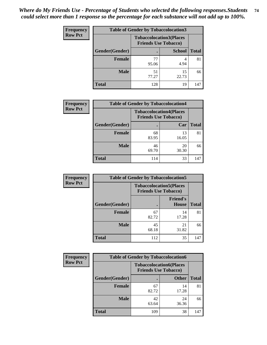| <b>Frequency</b> | <b>Table of Gender by Tobaccolocation3</b> |                             |                                |              |  |
|------------------|--------------------------------------------|-----------------------------|--------------------------------|--------------|--|
| <b>Row Pct</b>   |                                            | <b>Friends Use Tobacco)</b> | <b>Tobaccolocation3(Places</b> |              |  |
|                  | Gender(Gender)                             |                             | <b>School</b>                  | <b>Total</b> |  |
|                  | Female                                     | 95.06                       | 4.94                           | 81           |  |
|                  | <b>Male</b>                                | 51<br>77.27                 | 15<br>22.73                    | 66           |  |
|                  | <b>Total</b>                               | 128                         | 19                             | 147          |  |

| <b>Frequency</b> | <b>Table of Gender by Tobaccolocation4</b> |                                                               |             |              |
|------------------|--------------------------------------------|---------------------------------------------------------------|-------------|--------------|
| <b>Row Pct</b>   |                                            | <b>Tobaccolocation4(Places</b><br><b>Friends Use Tobacco)</b> |             |              |
|                  | Gender(Gender)                             |                                                               | Car         | <b>Total</b> |
|                  | <b>Female</b>                              | 68<br>83.95                                                   | 13<br>16.05 | 81           |
|                  | <b>Male</b>                                | 46<br>69.70                                                   | 20<br>30.30 | 66           |
|                  | <b>Total</b>                               | 114                                                           | 33          | 147          |

| <b>Frequency</b> | <b>Table of Gender by Tobaccolocation5</b> |                                                               |                                 |              |
|------------------|--------------------------------------------|---------------------------------------------------------------|---------------------------------|--------------|
| <b>Row Pct</b>   |                                            | <b>Tobaccolocation5(Places</b><br><b>Friends Use Tobacco)</b> |                                 |              |
|                  | Gender(Gender)                             |                                                               | <b>Friend's</b><br><b>House</b> | <b>Total</b> |
|                  | <b>Female</b>                              | 67<br>82.72                                                   | 14<br>17.28                     | 81           |
|                  | <b>Male</b>                                | 45<br>68.18                                                   | 21<br>31.82                     | 66           |
|                  | <b>Total</b>                               | 112                                                           | 35                              | 147          |

| <b>Frequency</b> |                | <b>Table of Gender by Tobaccolocation6</b>                    |              |              |
|------------------|----------------|---------------------------------------------------------------|--------------|--------------|
| <b>Row Pct</b>   |                | <b>Tobaccolocation6(Places</b><br><b>Friends Use Tobacco)</b> |              |              |
|                  | Gender(Gender) |                                                               | <b>Other</b> | <b>Total</b> |
|                  | Female         | 67<br>82.72                                                   | 14<br>17.28  | 81           |
|                  | <b>Male</b>    | 42<br>63.64                                                   | 24<br>36.36  | 66           |
|                  | <b>Total</b>   | 109                                                           | 38           | 147          |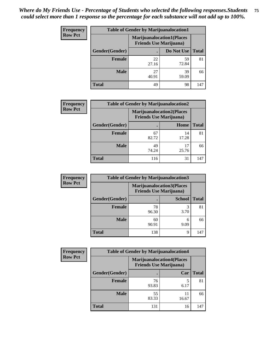| <b>Frequency</b> | <b>Table of Gender by Marijuanalocation1</b> |                                |                                  |              |  |
|------------------|----------------------------------------------|--------------------------------|----------------------------------|--------------|--|
| <b>Row Pct</b>   |                                              | <b>Friends Use Marijuana</b> ) | <b>Marijuanalocation1(Places</b> |              |  |
|                  | Gender(Gender)                               |                                | Do Not Use                       | <b>Total</b> |  |
|                  | <b>Female</b>                                | 22<br>27.16                    | 59<br>72.84                      | 81           |  |
|                  | <b>Male</b>                                  | 27<br>40.91                    | 39<br>59.09                      | 66           |  |
|                  | <b>Total</b>                                 | 49                             | 98                               | 147          |  |

| <b>Frequency</b> |                | <b>Table of Gender by Marijuanalocation2</b>                       |             |              |
|------------------|----------------|--------------------------------------------------------------------|-------------|--------------|
| <b>Row Pct</b>   |                | <b>Marijuanalocation2(Places</b><br><b>Friends Use Marijuana</b> ) |             |              |
|                  | Gender(Gender) |                                                                    | Home        | <b>Total</b> |
|                  | Female         | 67<br>82.72                                                        | 14<br>17.28 | 81           |
|                  | <b>Male</b>    | 49<br>74.24                                                        | 25.76       | 66           |
|                  | <b>Total</b>   | 116                                                                | 31          | 147          |

| Frequency      | <b>Table of Gender by Marijuanalocation3</b> |                                |                                  |              |
|----------------|----------------------------------------------|--------------------------------|----------------------------------|--------------|
| <b>Row Pct</b> |                                              | <b>Friends Use Marijuana</b> ) | <b>Marijuanalocation3(Places</b> |              |
|                | Gender(Gender)                               |                                | <b>School</b>                    | <b>Total</b> |
|                | Female                                       | 78<br>96.30                    | 3<br>3.70                        | 81           |
|                | <b>Male</b>                                  | 60<br>90.91                    | 6<br>9.09                        | 66           |
|                | <b>Total</b>                                 | 138                            | 9                                | 147          |

| <b>Frequency</b> | <b>Table of Gender by Marijuanalocation4</b> |             |                                                                    |              |  |
|------------------|----------------------------------------------|-------------|--------------------------------------------------------------------|--------------|--|
| <b>Row Pct</b>   |                                              |             | <b>Marijuanalocation4(Places</b><br><b>Friends Use Marijuana</b> ) |              |  |
|                  | Gender(Gender)                               |             | Car                                                                | <b>Total</b> |  |
|                  | <b>Female</b>                                | 76<br>93.83 | 6.17                                                               | 81           |  |
|                  | <b>Male</b>                                  | 55<br>83.33 | 11<br>16.67                                                        | 66           |  |
|                  | <b>Total</b>                                 | 131         | 16                                                                 | 147          |  |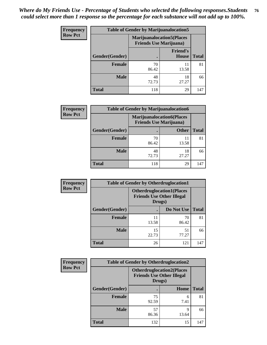| <b>Frequency</b> | <b>Table of Gender by Marijuanalocation5</b> |                                                                    |                          |              |
|------------------|----------------------------------------------|--------------------------------------------------------------------|--------------------------|--------------|
| <b>Row Pct</b>   |                                              | <b>Marijuanalocation5(Places</b><br><b>Friends Use Marijuana</b> ) |                          |              |
|                  | Gender(Gender)                               |                                                                    | <b>Friend's</b><br>House | <b>Total</b> |
|                  | <b>Female</b>                                | 70<br>86.42                                                        | 11<br>13.58              | 81           |
|                  | <b>Male</b>                                  | 48<br>72.73                                                        | 18<br>27.27              | 66           |
|                  | <b>Total</b>                                 | 118                                                                | 29                       | 147          |

| <b>Frequency</b> | <b>Table of Gender by Marijuanalocation6</b> |                                |                                  |              |
|------------------|----------------------------------------------|--------------------------------|----------------------------------|--------------|
| <b>Row Pct</b>   |                                              | <b>Friends Use Marijuana</b> ) | <b>Marijuanalocation6(Places</b> |              |
|                  | <b>Gender</b> (Gender)                       |                                | <b>Other</b>                     | <b>Total</b> |
|                  | <b>Female</b>                                | 70<br>86.42                    | 13.58                            | 81           |
|                  | <b>Male</b>                                  | 48<br>72.73                    | 18<br>27.27                      | 66           |
|                  | <b>Total</b>                                 | 118                            | 29                               | 147          |

| <b>Frequency</b> | <b>Table of Gender by Otherdruglocation1</b> |                                                                                |             |              |
|------------------|----------------------------------------------|--------------------------------------------------------------------------------|-------------|--------------|
| <b>Row Pct</b>   |                                              | <b>Otherdruglocation1(Places</b><br><b>Friends Use Other Illegal</b><br>Drugs) |             |              |
|                  | Gender(Gender)                               |                                                                                | Do Not Use  | <b>Total</b> |
|                  | <b>Female</b>                                | 11<br>13.58                                                                    | 70<br>86.42 | 81           |
|                  | <b>Male</b>                                  | 15<br>22.73                                                                    | 51<br>77.27 | 66           |
|                  | <b>Total</b>                                 | 26                                                                             | 121         | 147          |

| Frequency      | <b>Table of Gender by Otherdruglocation2</b> |                                                                                |            |              |
|----------------|----------------------------------------------|--------------------------------------------------------------------------------|------------|--------------|
| <b>Row Pct</b> |                                              | <b>Otherdruglocation2(Places</b><br><b>Friends Use Other Illegal</b><br>Drugs) |            |              |
|                | Gender(Gender)                               |                                                                                | Home       | <b>Total</b> |
|                | <b>Female</b>                                | 75<br>92.59                                                                    | 6<br>7.41  | 81           |
|                | <b>Male</b>                                  | 57<br>86.36                                                                    | Q<br>13.64 | 66           |
|                | <b>Total</b>                                 | 132                                                                            | 15         | 147          |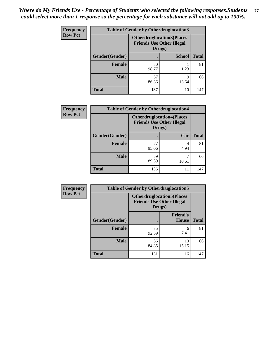| Frequency      | <b>Table of Gender by Otherdruglocation3</b> |                                                                                |               |              |
|----------------|----------------------------------------------|--------------------------------------------------------------------------------|---------------|--------------|
| <b>Row Pct</b> |                                              | <b>Otherdruglocation3(Places</b><br><b>Friends Use Other Illegal</b><br>Drugs) |               |              |
|                | Gender(Gender)                               |                                                                                | <b>School</b> | <b>Total</b> |
|                | <b>Female</b>                                | 80<br>98.77                                                                    | 1.23          | 81           |
|                | <b>Male</b>                                  | 57<br>86.36                                                                    | Q<br>13.64    | 66           |
|                | <b>Total</b>                                 | 137                                                                            | 10            | 147          |

| Frequency      | <b>Table of Gender by Otherdruglocation4</b> |             |                                                                      |              |
|----------------|----------------------------------------------|-------------|----------------------------------------------------------------------|--------------|
| <b>Row Pct</b> |                                              | Drugs)      | <b>Otherdruglocation4(Places</b><br><b>Friends Use Other Illegal</b> |              |
|                | Gender(Gender)                               |             | Car                                                                  | <b>Total</b> |
|                | Female                                       | 77<br>95.06 | 4<br>4.94                                                            | 81           |
|                | <b>Male</b>                                  | 59<br>89.39 | 10.61                                                                | 66           |
|                | <b>Total</b>                                 | 136         | 11                                                                   | 147          |

| <b>Frequency</b> | <b>Table of Gender by Otherdruglocation5</b> |                                            |                                   |              |
|------------------|----------------------------------------------|--------------------------------------------|-----------------------------------|--------------|
| <b>Row Pct</b>   |                                              | <b>Friends Use Other Illegal</b><br>Drugs) | <b>Otherdruglocation5(Places)</b> |              |
|                  | Gender(Gender)                               |                                            | <b>Friend's</b><br><b>House</b>   | <b>Total</b> |
|                  | Female                                       | 75<br>92.59                                | 6<br>7.41                         | 81           |
|                  | <b>Male</b>                                  | 56<br>84.85                                | 10<br>15.15                       | 66           |
|                  | <b>Total</b>                                 | 131                                        | 16                                | 147          |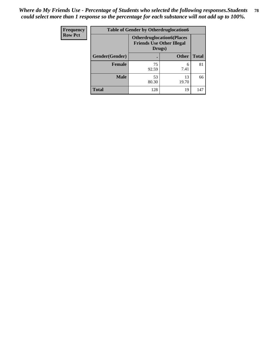| Frequency      | <b>Table of Gender by Otherdruglocation6</b> |                                                                                |              |              |
|----------------|----------------------------------------------|--------------------------------------------------------------------------------|--------------|--------------|
| <b>Row Pct</b> |                                              | <b>Otherdruglocation6(Places</b><br><b>Friends Use Other Illegal</b><br>Drugs) |              |              |
|                | Gender(Gender)                               |                                                                                | <b>Other</b> | <b>Total</b> |
|                | Female                                       | 75<br>92.59                                                                    | 6<br>7.41    | 81           |
|                | <b>Male</b>                                  | 53<br>80.30                                                                    | 13<br>19.70  | 66           |
|                | <b>Total</b>                                 | 128                                                                            | 19           | 147          |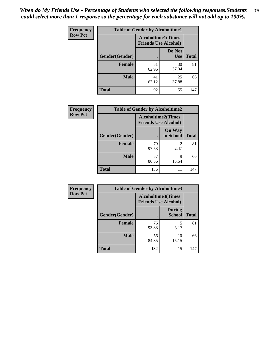| <b>Frequency</b> | <b>Table of Gender by Alcoholtime1</b> |                                                          |                      |              |
|------------------|----------------------------------------|----------------------------------------------------------|----------------------|--------------|
| <b>Row Pct</b>   |                                        | <b>Alcoholtime1(Times</b><br><b>Friends Use Alcohol)</b> |                      |              |
|                  | Gender(Gender)                         | $\bullet$                                                | Do Not<br><b>Use</b> | <b>Total</b> |
|                  | <b>Female</b>                          | 51<br>62.96                                              | 30<br>37.04          | 81           |
|                  | <b>Male</b>                            | 41<br>62.12                                              | 25<br>37.88          | 66           |
|                  | <b>Total</b>                           | 92                                                       | 55                   | 147          |

| Frequency      | <b>Table of Gender by Alcoholtime2</b> |                                                          |                            |              |
|----------------|----------------------------------------|----------------------------------------------------------|----------------------------|--------------|
| <b>Row Pct</b> |                                        | <b>Alcoholtime2(Times</b><br><b>Friends Use Alcohol)</b> |                            |              |
|                | Gender(Gender)                         |                                                          | <b>On Way</b><br>to School | <b>Total</b> |
|                | <b>Female</b>                          | 79<br>97.53                                              | 2<br>2.47                  | 81           |
|                | <b>Male</b>                            | 57<br>86.36                                              | 9<br>13.64                 | 66           |
|                | <b>Total</b>                           | 136                                                      | 11                         | 147          |

| Frequency      | <b>Table of Gender by Alcoholtime3</b> |                                                          |                                |              |
|----------------|----------------------------------------|----------------------------------------------------------|--------------------------------|--------------|
| <b>Row Pct</b> |                                        | <b>Alcoholtime3(Times</b><br><b>Friends Use Alcohol)</b> |                                |              |
|                | Gender(Gender)                         |                                                          | <b>During</b><br><b>School</b> | <b>Total</b> |
|                | Female                                 | 76<br>93.83                                              | 5<br>6.17                      | 81           |
|                | <b>Male</b>                            | 56<br>84.85                                              | 10<br>15.15                    | 66           |
|                | <b>Total</b>                           | 132                                                      | 15                             | 147          |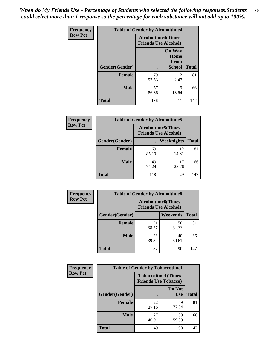*When do My Friends Use - Percentage of Students who selected the following responses.Students could select more than 1 response so the percentage for each substance will not add up to 100%.* **80**

| <b>Frequency</b> | <b>Table of Gender by Alcoholtime4</b> |                                                          |                                         |              |
|------------------|----------------------------------------|----------------------------------------------------------|-----------------------------------------|--------------|
| <b>Row Pct</b>   |                                        | <b>Alcoholtime4(Times</b><br><b>Friends Use Alcohol)</b> |                                         |              |
|                  | Gender(Gender)                         | $\bullet$                                                | <b>On Way</b><br>Home<br>From<br>School | <b>Total</b> |
|                  | <b>Female</b>                          | 79<br>97.53                                              | 2<br>2.47                               | 81           |
|                  | <b>Male</b>                            | 57<br>86.36                                              | 9<br>13.64                              | 66           |
|                  | <b>Total</b>                           | 136                                                      | 11                                      | 147          |

| <b>Frequency</b> | <b>Table of Gender by Alcoholtime5</b> |                                                   |             |              |
|------------------|----------------------------------------|---------------------------------------------------|-------------|--------------|
| <b>Row Pct</b>   |                                        | Alcoholtime5(Times<br><b>Friends Use Alcohol)</b> |             |              |
|                  | Gender(Gender)                         | $\bullet$                                         | Weeknights  | <b>Total</b> |
|                  | <b>Female</b>                          | 69<br>85.19                                       | 12<br>14.81 | 81           |
|                  | <b>Male</b>                            | 49<br>74.24                                       | 17<br>25.76 | 66           |
|                  | Total                                  | 118                                               | 29          | 147          |

| <b>Frequency</b> | <b>Table of Gender by Alcoholtime6</b> |                                                           |                 |              |
|------------------|----------------------------------------|-----------------------------------------------------------|-----------------|--------------|
| <b>Row Pct</b>   |                                        | <b>Alcoholtime6</b> (Times<br><b>Friends Use Alcohol)</b> |                 |              |
|                  | Gender(Gender)                         |                                                           | <b>Weekends</b> | <b>Total</b> |
|                  | <b>Female</b>                          | 31<br>38.27                                               | 50<br>61.73     | 81           |
|                  | <b>Male</b>                            | 26<br>39.39                                               | 40<br>60.61     | 66           |
|                  | Total                                  | 57                                                        | 90              | 147          |

| Frequency      | <b>Table of Gender by Tobaccotime1</b>                   |             |                      |              |
|----------------|----------------------------------------------------------|-------------|----------------------|--------------|
| <b>Row Pct</b> | <b>Tobaccotime1(Times</b><br><b>Friends Use Tobacco)</b> |             |                      |              |
|                | Gender(Gender)                                           |             | Do Not<br><b>Use</b> | <b>Total</b> |
|                | <b>Female</b>                                            | 22<br>27.16 | 59<br>72.84          | 81           |
|                | <b>Male</b>                                              | 27<br>40.91 | 39<br>59.09          | 66           |
|                | <b>Total</b>                                             | 49          | 98                   | 147          |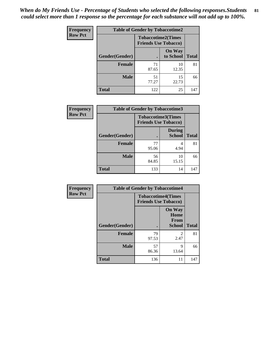*When do My Friends Use - Percentage of Students who selected the following responses.Students could select more than 1 response so the percentage for each substance will not add up to 100%.* **81**

| <b>Frequency</b> | <b>Table of Gender by Tobaccotime2</b> |                                                          |                            |              |
|------------------|----------------------------------------|----------------------------------------------------------|----------------------------|--------------|
| <b>Row Pct</b>   |                                        | <b>Tobaccotime2(Times</b><br><b>Friends Use Tobacco)</b> |                            |              |
|                  | Gender(Gender)                         | $\bullet$                                                | <b>On Way</b><br>to School | <b>Total</b> |
|                  | Female                                 | 71<br>87.65                                              | 10<br>12.35                | 81           |
|                  | <b>Male</b>                            | 51<br>77.27                                              | 15<br>22.73                | 66           |
|                  | <b>Total</b>                           | 122                                                      | 25                         | 147          |

| Frequency      | <b>Table of Gender by Tobaccotime3</b> |                                                          |                                |              |
|----------------|----------------------------------------|----------------------------------------------------------|--------------------------------|--------------|
| <b>Row Pct</b> |                                        | <b>Tobaccotime3(Times</b><br><b>Friends Use Tobacco)</b> |                                |              |
|                | Gender(Gender)                         |                                                          | <b>During</b><br><b>School</b> | <b>Total</b> |
|                | <b>Female</b>                          | 77<br>95.06                                              | 4<br>4.94                      | 81           |
|                | <b>Male</b>                            | 56<br>84.85                                              | 10<br>15.15                    | 66           |
|                | <b>Total</b>                           | 133                                                      | 14                             | 147          |

| <b>Frequency</b> | <b>Table of Gender by Tobaccotime4</b> |                                                          |                                                |              |
|------------------|----------------------------------------|----------------------------------------------------------|------------------------------------------------|--------------|
| <b>Row Pct</b>   |                                        | <b>Tobaccotime4(Times</b><br><b>Friends Use Tobacco)</b> |                                                |              |
|                  | Gender(Gender)                         |                                                          | <b>On Way</b><br>Home<br>From<br><b>School</b> | <b>Total</b> |
|                  | <b>Female</b>                          | 79<br>97.53                                              | $\mathfrak{D}$<br>2.47                         | 81           |
|                  | <b>Male</b>                            | 57<br>86.36                                              | 9<br>13.64                                     | 66           |
|                  | <b>Total</b>                           | 136                                                      | 11                                             | 147          |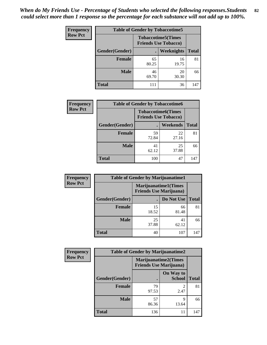| Frequency      | <b>Table of Gender by Tobaccotime5</b> |             |                                                          |              |  |
|----------------|----------------------------------------|-------------|----------------------------------------------------------|--------------|--|
| <b>Row Pct</b> |                                        |             | <b>Tobaccotime5(Times</b><br><b>Friends Use Tobacco)</b> |              |  |
|                | Gender(Gender)                         |             | Weeknights                                               | <b>Total</b> |  |
|                | <b>Female</b>                          | 65<br>80.25 | 16<br>19.75                                              | 81           |  |
|                | <b>Male</b>                            | 46<br>69.70 | 20<br>30.30                                              | 66           |  |
|                | <b>Total</b>                           | 111         | 36                                                       | 147          |  |

| <b>Frequency</b> | <b>Table of Gender by Tobaccotime6</b> |                                                          |                 |              |
|------------------|----------------------------------------|----------------------------------------------------------|-----------------|--------------|
| <b>Row Pct</b>   |                                        | <b>Tobaccotime6(Times</b><br><b>Friends Use Tobacco)</b> |                 |              |
|                  | Gender(Gender)                         |                                                          | <b>Weekends</b> | <b>Total</b> |
|                  | Female                                 | 59<br>72.84                                              | 22<br>27.16     | 81           |
|                  | <b>Male</b>                            | 41<br>62.12                                              | 25<br>37.88     | 66           |
|                  | <b>Total</b>                           | 100                                                      | 47              | 147          |

| <b>Frequency</b> | <b>Table of Gender by Marijuanatime1</b> |                                                               |             |              |
|------------------|------------------------------------------|---------------------------------------------------------------|-------------|--------------|
| <b>Row Pct</b>   |                                          | <b>Marijuanatime1(Times</b><br><b>Friends Use Marijuana</b> ) |             |              |
|                  | Gender(Gender)                           |                                                               | Do Not Use  | <b>Total</b> |
|                  | <b>Female</b>                            | 15<br>18.52                                                   | 66<br>81.48 | 81           |
|                  | <b>Male</b>                              | 25<br>37.88                                                   | 41<br>62.12 | 66           |
|                  | <b>Total</b>                             | 40                                                            | 107         | 147          |

| <b>Frequency</b> | <b>Table of Gender by Marijuanatime2</b> |                                                               |                            |              |
|------------------|------------------------------------------|---------------------------------------------------------------|----------------------------|--------------|
| <b>Row Pct</b>   |                                          | <b>Marijuanatime2(Times</b><br><b>Friends Use Marijuana</b> ) |                            |              |
|                  | Gender(Gender)                           |                                                               | On Way to<br><b>School</b> | <b>Total</b> |
|                  | <b>Female</b>                            | 79<br>97.53                                                   | $\mathfrak{D}$<br>2.47     | 81           |
|                  | <b>Male</b>                              | 57<br>86.36                                                   | 9<br>13.64                 | 66           |
|                  | <b>Total</b>                             | 136                                                           | 11                         | 147          |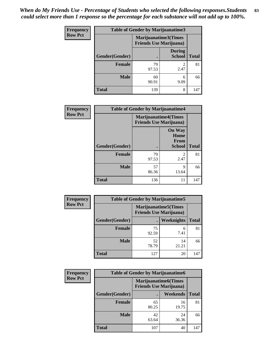| <b>Frequency</b> | <b>Table of Gender by Marijuanatime3</b> |                                                        |                                |              |
|------------------|------------------------------------------|--------------------------------------------------------|--------------------------------|--------------|
| <b>Row Pct</b>   |                                          | Marijuanatime3(Times<br><b>Friends Use Marijuana</b> ) |                                |              |
|                  | Gender(Gender)                           |                                                        | <b>During</b><br><b>School</b> | <b>Total</b> |
|                  | <b>Female</b>                            | 79<br>97.53                                            | 2.47                           | 81           |
|                  | <b>Male</b>                              | 60<br>90.91                                            | 6<br>9.09                      | 66           |
|                  | <b>Total</b>                             | 139                                                    | 8                              | 147          |

| Frequency      | <b>Table of Gender by Marijuanatime4</b> |                                |                                                       |              |
|----------------|------------------------------------------|--------------------------------|-------------------------------------------------------|--------------|
| <b>Row Pct</b> |                                          | <b>Friends Use Marijuana</b> ) | <b>Marijuanatime4</b> (Times                          |              |
|                | Gender(Gender)                           |                                | <b>On Way</b><br>Home<br><b>From</b><br><b>School</b> | <b>Total</b> |
|                | <b>Female</b>                            | 79<br>97.53                    | $\mathfrak{D}$<br>2.47                                | 81           |
|                | <b>Male</b>                              | 57<br>86.36                    | 9<br>13.64                                            | 66           |
|                | <b>Total</b>                             | 136                            | 11                                                    | 147          |

| Frequency      | <b>Table of Gender by Marijuanatime5</b> |                                                                |                   |              |  |  |
|----------------|------------------------------------------|----------------------------------------------------------------|-------------------|--------------|--|--|
| <b>Row Pct</b> |                                          | <b>Marijuanatime5</b> (Times<br><b>Friends Use Marijuana</b> ) |                   |              |  |  |
|                | Gender(Gender)                           |                                                                | <b>Weeknights</b> | <b>Total</b> |  |  |
|                | <b>Female</b>                            | 75<br>92.59                                                    | 6<br>7.41         | 81           |  |  |
|                | <b>Male</b>                              | 52<br>78.79                                                    | 14<br>21.21       | 66           |  |  |
|                | <b>Total</b>                             | 127                                                            | 20                | 147          |  |  |

| <b>Frequency</b> |                | <b>Table of Gender by Marijuanatime6</b>                      |                 |              |
|------------------|----------------|---------------------------------------------------------------|-----------------|--------------|
| <b>Row Pct</b>   |                | <b>Marijuanatime6(Times</b><br><b>Friends Use Marijuana</b> ) |                 |              |
|                  | Gender(Gender) |                                                               | <b>Weekends</b> | <b>Total</b> |
|                  | Female         | 65<br>80.25                                                   | 16<br>19.75     | 81           |
|                  | <b>Male</b>    | 42<br>63.64                                                   | 24<br>36.36     | 66           |
|                  | <b>Total</b>   | 107                                                           | 40              | 147          |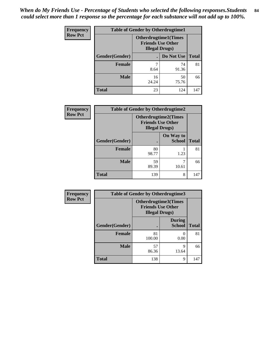| <b>Frequency</b> |                | <b>Table of Gender by Otherdrugtime1</b>                                          |            |              |  |  |
|------------------|----------------|-----------------------------------------------------------------------------------|------------|--------------|--|--|
| <b>Row Pct</b>   |                | <b>Otherdrugtime1(Times</b><br><b>Friends Use Other</b><br><b>Illegal Drugs</b> ) |            |              |  |  |
|                  | Gender(Gender) |                                                                                   | Do Not Use | <b>Total</b> |  |  |
|                  | <b>Female</b>  | 7                                                                                 | 74         | 81           |  |  |
|                  |                | 8.64                                                                              | 91.36      |              |  |  |
|                  | <b>Male</b>    | 16                                                                                | 50         | 66           |  |  |
|                  |                | 24.24                                                                             | 75.76      |              |  |  |
|                  | <b>Total</b>   | 23                                                                                | 124        | 147          |  |  |

| Frequency      | <b>Table of Gender by Otherdrugtime2</b> |                                                                                   |                            |              |  |
|----------------|------------------------------------------|-----------------------------------------------------------------------------------|----------------------------|--------------|--|
| <b>Row Pct</b> |                                          | <b>Otherdrugtime2(Times</b><br><b>Friends Use Other</b><br><b>Illegal Drugs</b> ) |                            |              |  |
|                | Gender(Gender)                           |                                                                                   | On Way to<br><b>School</b> | <b>Total</b> |  |
|                | <b>Female</b>                            | 80<br>98.77                                                                       | 1.23                       | 81           |  |
|                | <b>Male</b>                              | 59<br>89.39                                                                       | 10.61                      | 66           |  |
|                | <b>Total</b>                             | 139                                                                               | 8                          | 147          |  |

| Frequency      | <b>Table of Gender by Otherdrugtime3</b> |                                                                            |                                |              |
|----------------|------------------------------------------|----------------------------------------------------------------------------|--------------------------------|--------------|
| <b>Row Pct</b> |                                          | Otherdrugtime3(Times<br><b>Friends Use Other</b><br><b>Illegal Drugs</b> ) |                                |              |
|                | Gender(Gender)                           |                                                                            | <b>During</b><br><b>School</b> | <b>Total</b> |
|                | <b>Female</b>                            | 81<br>100.00                                                               | 0.00                           | 81           |
|                | <b>Male</b>                              | 57<br>86.36                                                                | q<br>13.64                     | 66           |
|                | <b>Total</b>                             | 138                                                                        | 9                              | 147          |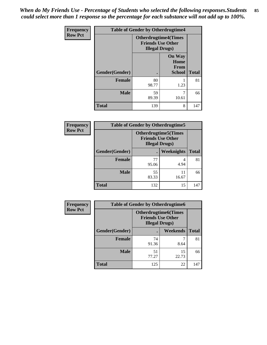*When do My Friends Use - Percentage of Students who selected the following responses.Students could select more than 1 response so the percentage for each substance will not add up to 100%.* **85**

| Frequency      |                | <b>Table of Gender by Otherdrugtime4</b>                                          |                                                       |              |
|----------------|----------------|-----------------------------------------------------------------------------------|-------------------------------------------------------|--------------|
| <b>Row Pct</b> |                | <b>Otherdrugtime4(Times</b><br><b>Friends Use Other</b><br><b>Illegal Drugs</b> ) |                                                       |              |
|                | Gender(Gender) |                                                                                   | <b>On Way</b><br>Home<br><b>From</b><br><b>School</b> | <b>Total</b> |
|                | <b>Female</b>  | 80<br>98.77                                                                       | 1.23                                                  | 81           |
|                | <b>Male</b>    | 59<br>89.39                                                                       | 10.61                                                 | 66           |
|                | <b>Total</b>   | 139                                                                               | 8                                                     | 147          |

| <b>Frequency</b> | <b>Table of Gender by Otherdrugtime5</b> |                                                                                    |                   |              |  |
|------------------|------------------------------------------|------------------------------------------------------------------------------------|-------------------|--------------|--|
| <b>Row Pct</b>   |                                          | <b>Otherdrugtime5</b> (Times<br><b>Friends Use Other</b><br><b>Illegal Drugs</b> ) |                   |              |  |
|                  | Gender(Gender)                           |                                                                                    | <b>Weeknights</b> | <b>Total</b> |  |
|                  | <b>Female</b>                            | 77<br>95.06                                                                        | 4<br>4.94         | 81           |  |
|                  | <b>Male</b>                              | 55<br>83.33                                                                        | 11<br>16.67       | 66           |  |
|                  | Total                                    | 132                                                                                | 15                | 147          |  |

| <b>Frequency</b> |                | <b>Table of Gender by Otherdrugtime6</b>                                          |             |              |  |  |
|------------------|----------------|-----------------------------------------------------------------------------------|-------------|--------------|--|--|
| <b>Row Pct</b>   |                | <b>Otherdrugtime6(Times</b><br><b>Friends Use Other</b><br><b>Illegal Drugs</b> ) |             |              |  |  |
|                  | Gender(Gender) |                                                                                   | Weekends    | <b>Total</b> |  |  |
|                  | Female         | 74<br>91.36                                                                       | 8.64        | 81           |  |  |
|                  | <b>Male</b>    | 51<br>77.27                                                                       | 15<br>22.73 | 66           |  |  |
|                  | <b>Total</b>   | 125                                                                               | 22          | 147          |  |  |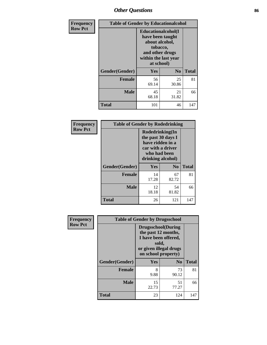# *Other Questions* **86**

| Frequency      | <b>Table of Gender by Educationalcohol</b> |                                                                                                                               |                |              |  |
|----------------|--------------------------------------------|-------------------------------------------------------------------------------------------------------------------------------|----------------|--------------|--|
| <b>Row Pct</b> |                                            | Educationalcohol(I<br>have been taught<br>about alcohol,<br>tobacco,<br>and other drugs<br>within the last year<br>at school) |                |              |  |
|                | Gender(Gender)                             | Yes                                                                                                                           | N <sub>0</sub> | <b>Total</b> |  |
|                | <b>Female</b>                              | 56<br>69.14                                                                                                                   | 25<br>30.86    | 81           |  |
|                | <b>Male</b>                                | 45<br>68.18                                                                                                                   | 21<br>31.82    | 66           |  |
|                | <b>Total</b>                               | 101                                                                                                                           | 46             | 147          |  |

| Frequency      | <b>Table of Gender by Rodedrinking</b> |                                                                                                                     |             |              |  |  |
|----------------|----------------------------------------|---------------------------------------------------------------------------------------------------------------------|-------------|--------------|--|--|
| <b>Row Pct</b> |                                        | Rodedrinking(In<br>the past 30 days I<br>have ridden in a<br>car with a driver<br>who had been<br>drinking alcohol) |             |              |  |  |
|                | Gender(Gender)                         | Yes                                                                                                                 | $\bf N_0$   | <b>Total</b> |  |  |
|                | <b>Female</b>                          | 14<br>17.28                                                                                                         | 67<br>82.72 | 81           |  |  |
|                | <b>Male</b>                            | 12<br>18.18                                                                                                         | 54<br>81.82 | 66           |  |  |
|                | <b>Total</b>                           | 26                                                                                                                  | 121         | 147          |  |  |

| Frequency      |                | <b>Table of Gender by Drugsschool</b>                                                                                               |                |              |  |  |
|----------------|----------------|-------------------------------------------------------------------------------------------------------------------------------------|----------------|--------------|--|--|
| <b>Row Pct</b> |                | <b>Drugsschool</b> (During<br>the past 12 months,<br>I have been offered,<br>sold,<br>or given illegal drugs<br>on school property) |                |              |  |  |
|                | Gender(Gender) | <b>Yes</b>                                                                                                                          | N <sub>0</sub> | <b>Total</b> |  |  |
|                | <b>Female</b>  | 8<br>9.88                                                                                                                           | 73<br>90.12    | 81           |  |  |
|                | <b>Male</b>    | 15<br>22.73                                                                                                                         | 51<br>77.27    | 66           |  |  |
|                | <b>Total</b>   | 23                                                                                                                                  | 124            | 147          |  |  |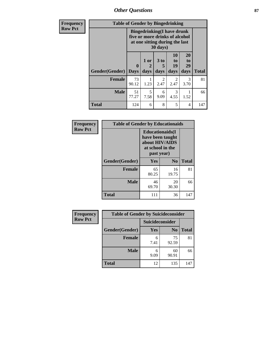*Other Questions* **87**

| <b>Frequency</b> | <b>Table of Gender by Bingedrinking</b> |                                                                                                                            |              |                         |                               |                        |              |
|------------------|-----------------------------------------|----------------------------------------------------------------------------------------------------------------------------|--------------|-------------------------|-------------------------------|------------------------|--------------|
| <b>Row Pct</b>   |                                         | <b>Bingedrinking(I have drunk</b><br>five or more drinks of alcohol<br>at one sitting during the last<br>$30 \text{ days}$ |              |                         |                               |                        |              |
|                  | <b>Gender</b> (Gender)   Days           | $\mathbf{0}$                                                                                                               | 1 or<br>days | 3 <sub>to</sub><br>days | <b>10</b><br>to<br>19<br>days | 20<br>to<br>29<br>days | <b>Total</b> |
|                  | Female                                  | 73<br>90.12                                                                                                                | 1.23         | 2<br>2.47               | 2<br>2.47                     | 3<br>3.70              | 81           |
|                  | <b>Male</b>                             | 51<br>77.27                                                                                                                | 5<br>7.58    | 6<br>9.09               | 3<br>4.55                     | 1.52                   | 66           |
|                  | <b>Total</b>                            | 124                                                                                                                        | 6            | 8                       | 5                             | 4                      | 147          |

| Frequency      | <b>Table of Gender by Educationaids</b> |                                                                                                 |             |              |
|----------------|-----------------------------------------|-------------------------------------------------------------------------------------------------|-------------|--------------|
| <b>Row Pct</b> |                                         | <b>Educationaids</b> (I<br>have been taught<br>about HIV/AIDS<br>at school in the<br>past year) |             |              |
|                | Gender(Gender)                          | Yes                                                                                             | $\bf N_0$   | <b>Total</b> |
|                | <b>Female</b>                           | 65<br>80.25                                                                                     | 16<br>19.75 | 81           |
|                | <b>Male</b>                             | 46<br>69.70                                                                                     | 20<br>30.30 | 66           |
|                | <b>Total</b>                            | 111                                                                                             | 36          | 147          |

| Frequency      | <b>Table of Gender by Suicideconsider</b> |                 |                |              |
|----------------|-------------------------------------------|-----------------|----------------|--------------|
| <b>Row Pct</b> |                                           | Suicideconsider |                |              |
|                | Gender(Gender)                            | Yes             | N <sub>0</sub> | <b>Total</b> |
|                | <b>Female</b>                             | 6<br>7.41       | 75<br>92.59    | 81           |
|                | <b>Male</b>                               | 9.09            | 60<br>90.91    | 66           |
|                | <b>Total</b>                              | 12              | 135            | 147          |